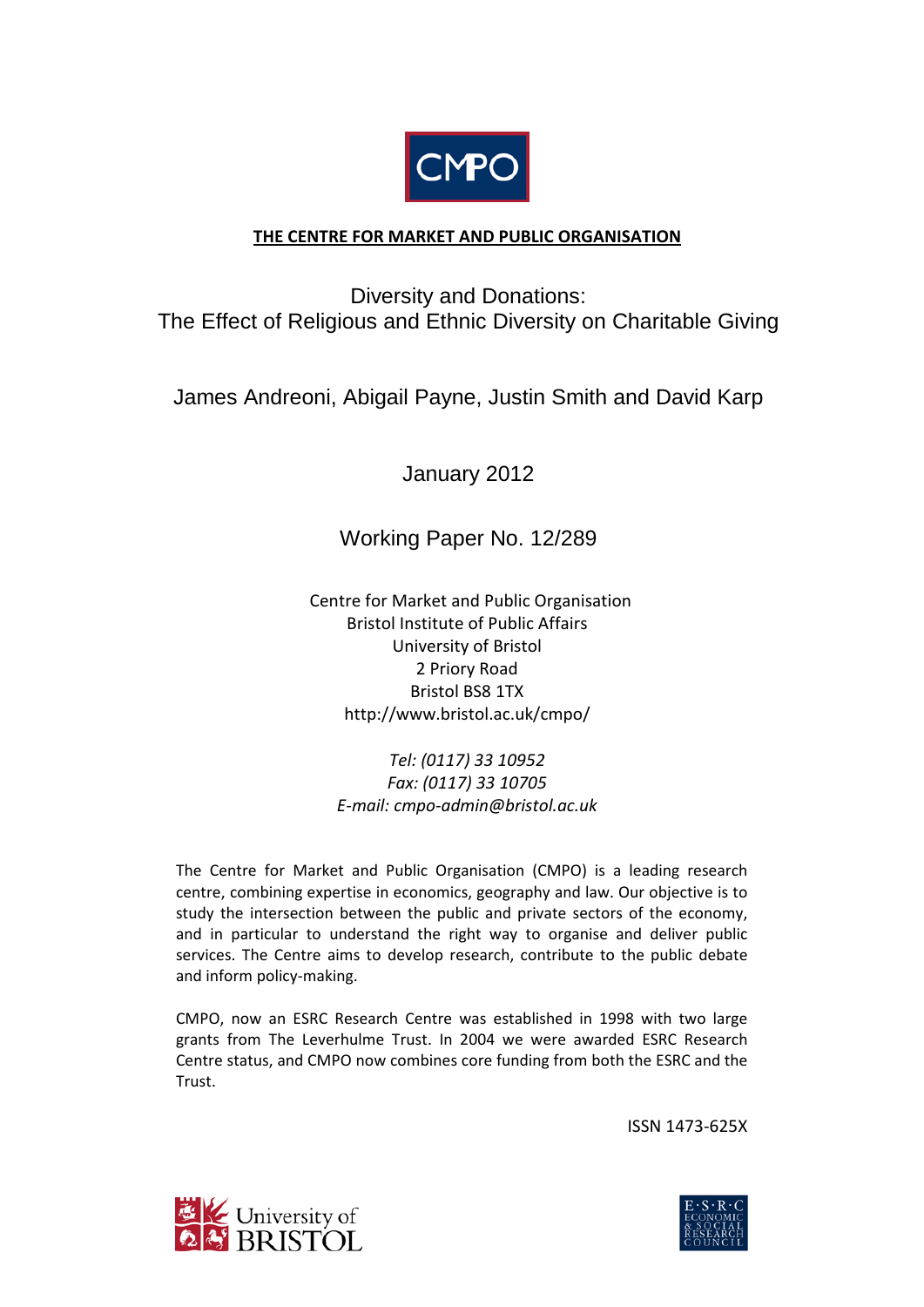

# **THE CENTRE FOR MARKET AND PUBLIC ORGANISATION**

Diversity and Donations: The Effect of Religious and Ethnic Diversity on Charitable Giving

James Andreoni, Abigail Payne, Justin Smith and David Karp

January 2012

Working Paper No. 12/289

 Centre for Market and Public Organisation Bristol Institute of Public Affairs University of Bristol 2 Priory Road Bristol BS8 1TX http://www.bristol.ac.uk/cmpo/

*Tel: (0117) 33 10952 Fax: (0117) 33 10705 E-mail: cmpo-admin@bristol.ac.uk*

The Centre for Market and Public Organisation (CMPO) is a leading research centre, combining expertise in economics, geography and law. Our objective is to study the intersection between the public and private sectors of the economy, and in particular to understand the right way to organise and deliver public services. The Centre aims to develop research, contribute to the public debate and inform policy-making.

CMPO, now an ESRC Research Centre was established in 1998 with two large grants from The Leverhulme Trust. In 2004 we were awarded ESRC Research Centre status, and CMPO now combines core funding from both the ESRC and the Trust.

ISSN 1473-625X



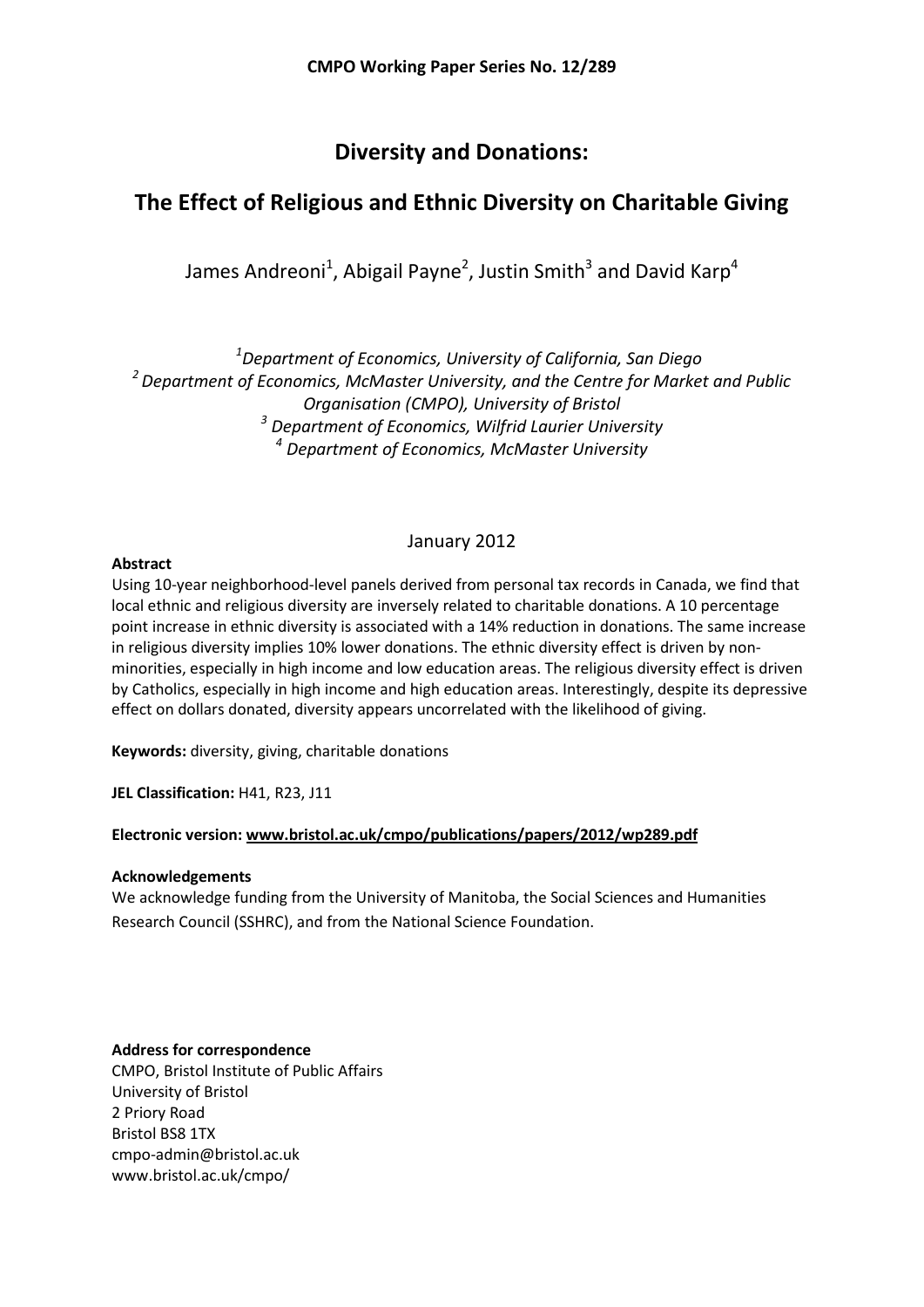# **Diversity and Donations:**

# **The Effect of Religious and Ethnic Diversity on Charitable Giving**

James Andreoni<sup>1</sup>, Abigail Payne<sup>2</sup>, Justin Smith<sup>3</sup> and David Karp<sup>4</sup>

*1 Department of Economics, University of California, San Diego 2 Department of Economics, McMaster University, and the Centre for Market and Public Organisation (CMPO), University of Bristol <sup>3</sup> Department of Economics, Wilfrid Laurier University <sup>4</sup> Department of Economics, McMaster University*

# January 2012

### **Abstract**

Using 10-year neighborhood-level panels derived from personal tax records in Canada, we find that local ethnic and religious diversity are inversely related to charitable donations. A 10 percentage point increase in ethnic diversity is associated with a 14% reduction in donations. The same increase in religious diversity implies 10% lower donations. The ethnic diversity effect is driven by nonminorities, especially in high income and low education areas. The religious diversity effect is driven by Catholics, especially in high income and high education areas. Interestingly, despite its depressive effect on dollars donated, diversity appears uncorrelated with the likelihood of giving.

**Keywords:** diversity, giving, charitable donations

**JEL Classification:** H41, R23, J11

# **Electronic version: www.bristol.ac.uk/cmpo/publications/papers/2012/wp289.pdf**

#### **Acknowledgements**

We acknowledge funding from the University of Manitoba, the Social Sciences and Humanities Research Council (SSHRC), and from the National Science Foundation.

# **Address for correspondence**

CMPO, Bristol Institute of Public Affairs University of Bristol 2 Priory Road Bristol BS8 1TX cmpo-admin@bristol.ac.uk www.bristol.ac.uk/cmpo/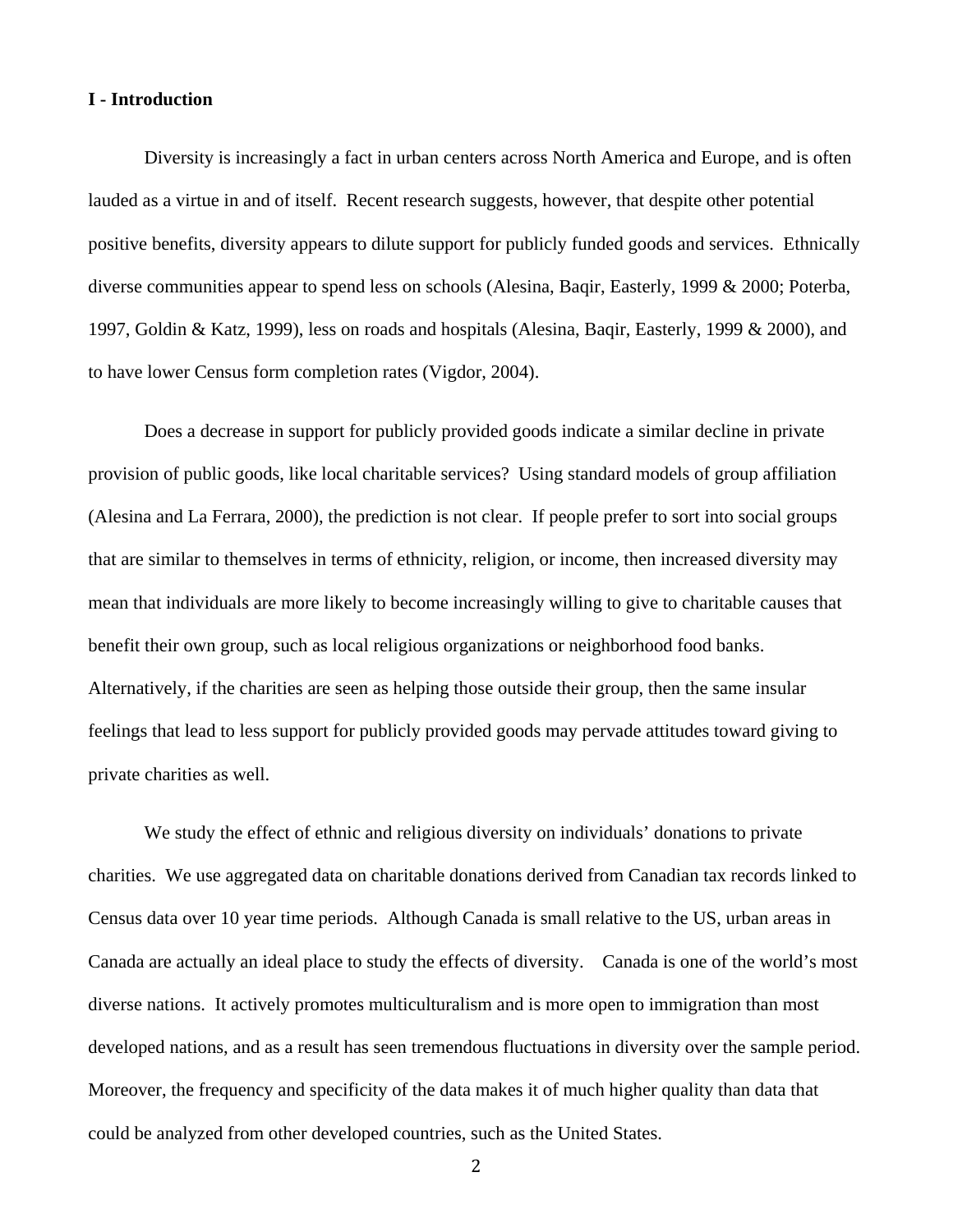#### **I - Introduction**

Diversity is increasingly a fact in urban centers across North America and Europe, and is often lauded as a virtue in and of itself. Recent research suggests, however, that despite other potential positive benefits, diversity appears to dilute support for publicly funded goods and services. Ethnically diverse communities appear to spend less on schools (Alesina, Baqir, Easterly, 1999 & 2000; Poterba, 1997, Goldin & Katz, 1999), less on roads and hospitals (Alesina, Baqir, Easterly, 1999 & 2000), and to have lower Census form completion rates (Vigdor, 2004).

Does a decrease in support for publicly provided goods indicate a similar decline in private provision of public goods, like local charitable services? Using standard models of group affiliation (Alesina and La Ferrara, 2000), the prediction is not clear. If people prefer to sort into social groups that are similar to themselves in terms of ethnicity, religion, or income, then increased diversity may mean that individuals are more likely to become increasingly willing to give to charitable causes that benefit their own group, such as local religious organizations or neighborhood food banks. Alternatively, if the charities are seen as helping those outside their group, then the same insular feelings that lead to less support for publicly provided goods may pervade attitudes toward giving to private charities as well.

We study the effect of ethnic and religious diversity on individuals' donations to private charities. We use aggregated data on charitable donations derived from Canadian tax records linked to Census data over 10 year time periods. Although Canada is small relative to the US, urban areas in Canada are actually an ideal place to study the effects of diversity. Canada is one of the world's most diverse nations. It actively promotes multiculturalism and is more open to immigration than most developed nations, and as a result has seen tremendous fluctuations in diversity over the sample period. Moreover, the frequency and specificity of the data makes it of much higher quality than data that could be analyzed from other developed countries, such as the United States.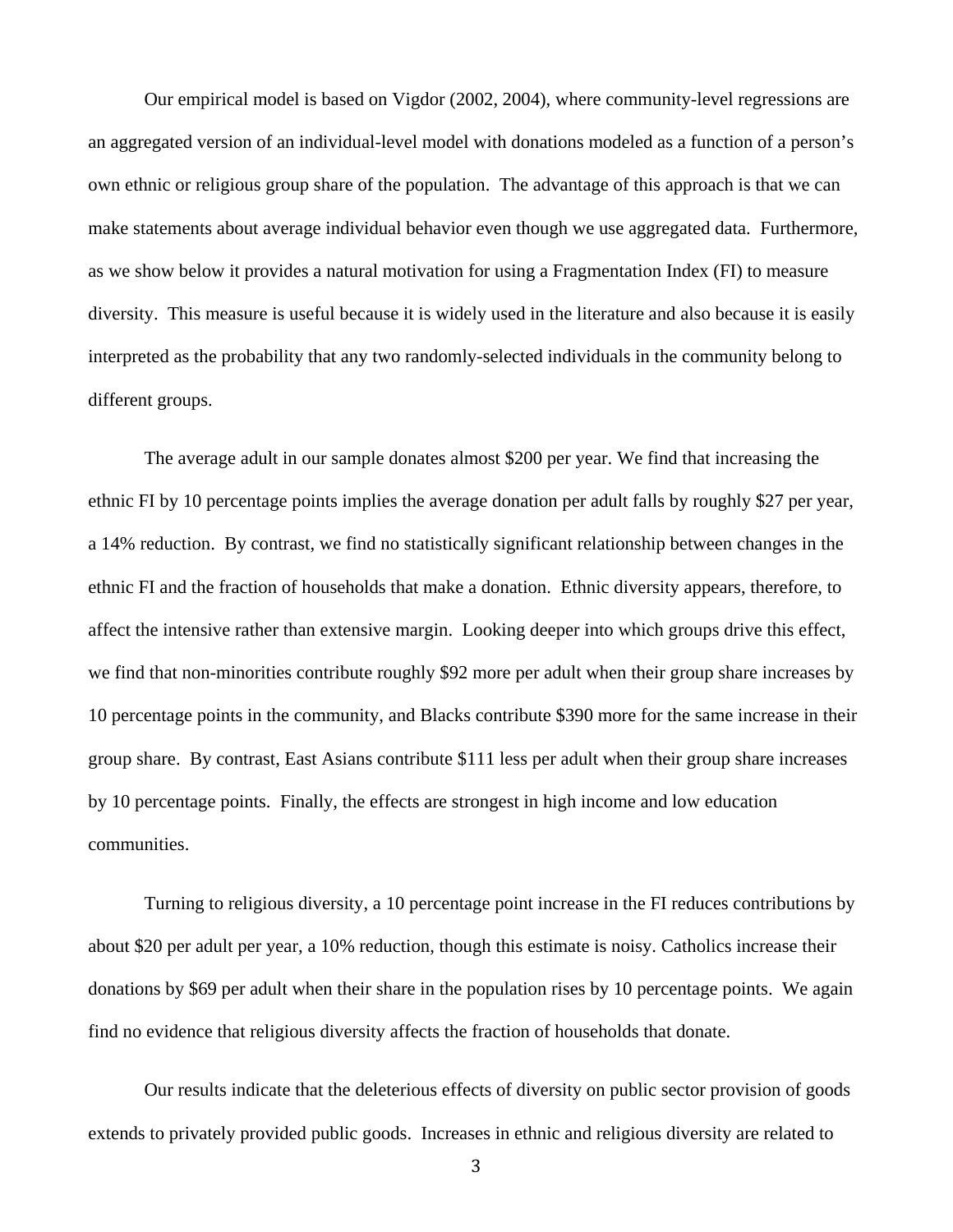Our empirical model is based on Vigdor (2002, 2004), where community-level regressions are an aggregated version of an individual-level model with donations modeled as a function of a person's own ethnic or religious group share of the population. The advantage of this approach is that we can make statements about average individual behavior even though we use aggregated data. Furthermore, as we show below it provides a natural motivation for using a Fragmentation Index (FI) to measure diversity. This measure is useful because it is widely used in the literature and also because it is easily interpreted as the probability that any two randomly-selected individuals in the community belong to different groups.

The average adult in our sample donates almost \$200 per year. We find that increasing the ethnic FI by 10 percentage points implies the average donation per adult falls by roughly \$27 per year, a 14% reduction. By contrast, we find no statistically significant relationship between changes in the ethnic FI and the fraction of households that make a donation. Ethnic diversity appears, therefore, to affect the intensive rather than extensive margin. Looking deeper into which groups drive this effect, we find that non-minorities contribute roughly \$92 more per adult when their group share increases by 10 percentage points in the community, and Blacks contribute \$390 more for the same increase in their group share. By contrast, East Asians contribute \$111 less per adult when their group share increases by 10 percentage points. Finally, the effects are strongest in high income and low education communities.

Turning to religious diversity, a 10 percentage point increase in the FI reduces contributions by about \$20 per adult per year, a 10% reduction, though this estimate is noisy. Catholics increase their donations by \$69 per adult when their share in the population rises by 10 percentage points. We again find no evidence that religious diversity affects the fraction of households that donate.

Our results indicate that the deleterious effects of diversity on public sector provision of goods extends to privately provided public goods. Increases in ethnic and religious diversity are related to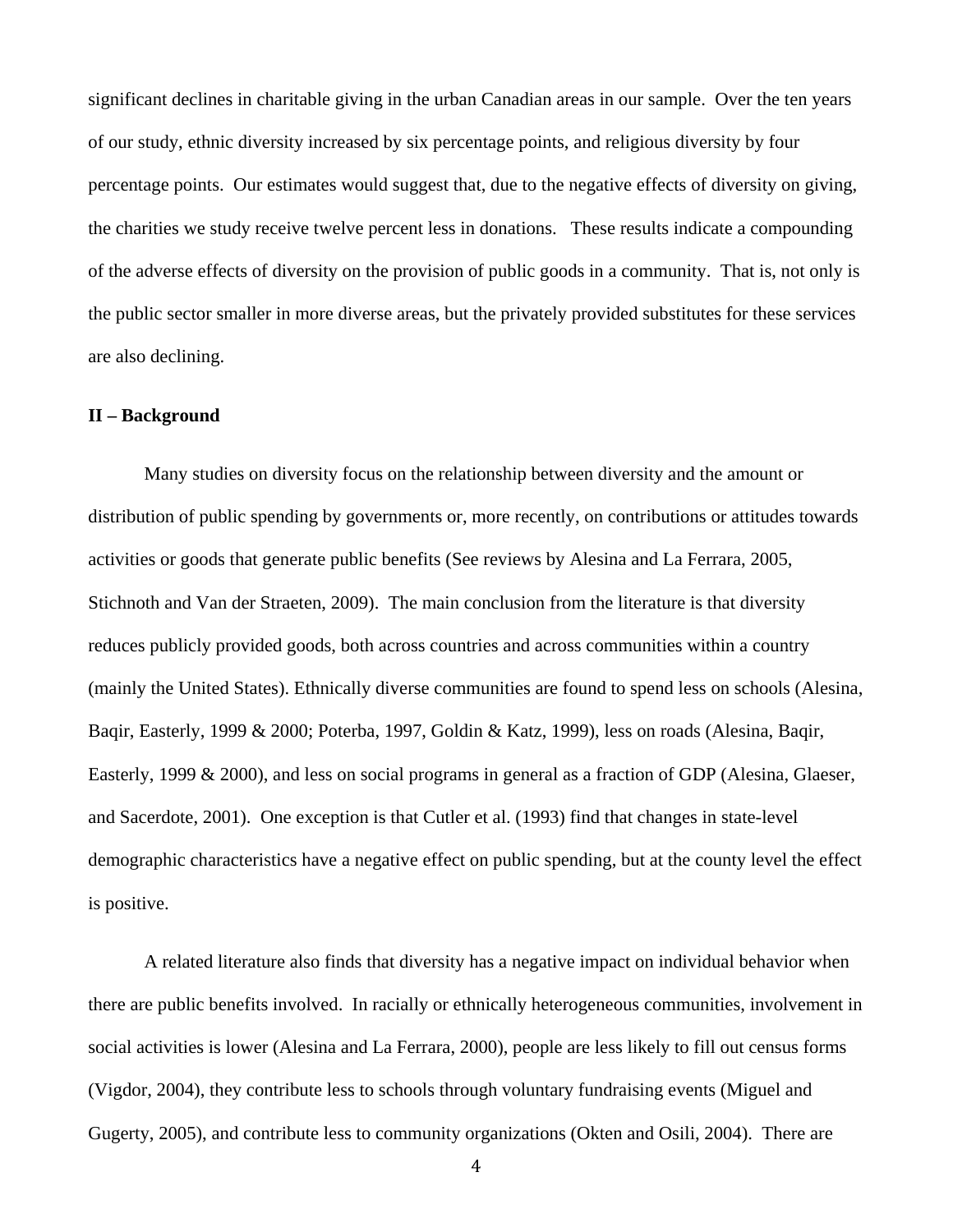significant declines in charitable giving in the urban Canadian areas in our sample. Over the ten years of our study, ethnic diversity increased by six percentage points, and religious diversity by four percentage points. Our estimates would suggest that, due to the negative effects of diversity on giving, the charities we study receive twelve percent less in donations. These results indicate a compounding of the adverse effects of diversity on the provision of public goods in a community. That is, not only is the public sector smaller in more diverse areas, but the privately provided substitutes for these services are also declining.

#### **II – Background**

Many studies on diversity focus on the relationship between diversity and the amount or distribution of public spending by governments or, more recently, on contributions or attitudes towards activities or goods that generate public benefits (See reviews by Alesina and La Ferrara, 2005, Stichnoth and Van der Straeten, 2009). The main conclusion from the literature is that diversity reduces publicly provided goods, both across countries and across communities within a country (mainly the United States). Ethnically diverse communities are found to spend less on schools (Alesina, Baqir, Easterly, 1999 & 2000; Poterba, 1997, Goldin & Katz, 1999), less on roads (Alesina, Baqir, Easterly, 1999 & 2000), and less on social programs in general as a fraction of GDP (Alesina, Glaeser, and Sacerdote, 2001). One exception is that Cutler et al. (1993) find that changes in state-level demographic characteristics have a negative effect on public spending, but at the county level the effect is positive.

A related literature also finds that diversity has a negative impact on individual behavior when there are public benefits involved. In racially or ethnically heterogeneous communities, involvement in social activities is lower (Alesina and La Ferrara, 2000), people are less likely to fill out census forms (Vigdor, 2004), they contribute less to schools through voluntary fundraising events (Miguel and Gugerty, 2005), and contribute less to community organizations (Okten and Osili, 2004). There are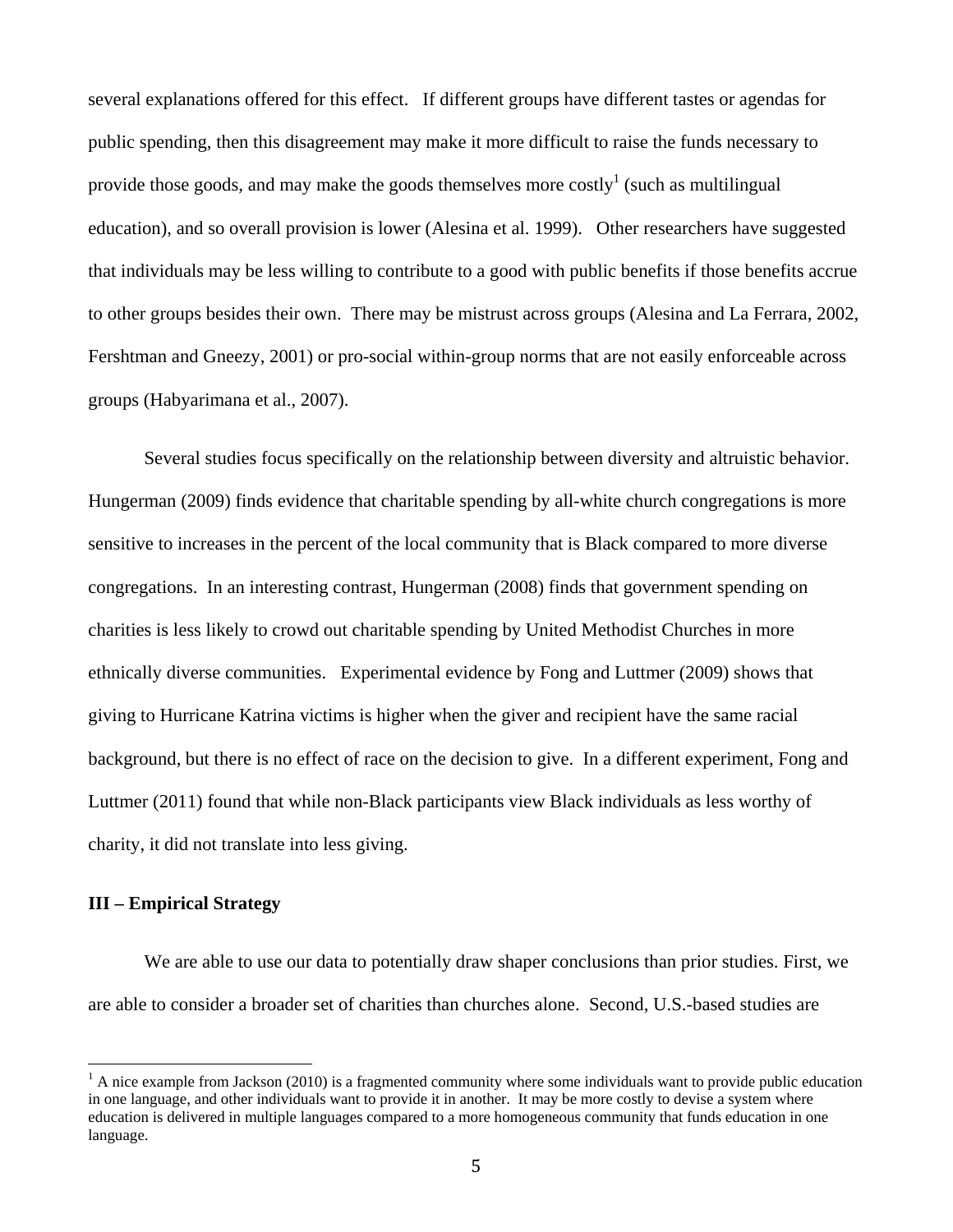several explanations offered for this effect. If different groups have different tastes or agendas for public spending, then this disagreement may make it more difficult to raise the funds necessary to provide those goods, and may make the goods themselves more costly<sup>1</sup> (such as multilingual education), and so overall provision is lower (Alesina et al. 1999). Other researchers have suggested that individuals may be less willing to contribute to a good with public benefits if those benefits accrue to other groups besides their own. There may be mistrust across groups (Alesina and La Ferrara, 2002, Fershtman and Gneezy, 2001) or pro-social within-group norms that are not easily enforceable across groups (Habyarimana et al., 2007).

Several studies focus specifically on the relationship between diversity and altruistic behavior. Hungerman (2009) finds evidence that charitable spending by all-white church congregations is more sensitive to increases in the percent of the local community that is Black compared to more diverse congregations. In an interesting contrast, Hungerman (2008) finds that government spending on charities is less likely to crowd out charitable spending by United Methodist Churches in more ethnically diverse communities. Experimental evidence by Fong and Luttmer (2009) shows that giving to Hurricane Katrina victims is higher when the giver and recipient have the same racial background, but there is no effect of race on the decision to give. In a different experiment, Fong and Luttmer (2011) found that while non-Black participants view Black individuals as less worthy of charity, it did not translate into less giving.

## **III – Empirical Strategy**

 

We are able to use our data to potentially draw shaper conclusions than prior studies. First, we are able to consider a broader set of charities than churches alone. Second, U.S.-based studies are

 $<sup>1</sup>$  A nice example from Jackson (2010) is a fragmented community where some individuals want to provide public education</sup> in one language, and other individuals want to provide it in another. It may be more costly to devise a system where education is delivered in multiple languages compared to a more homogeneous community that funds education in one language.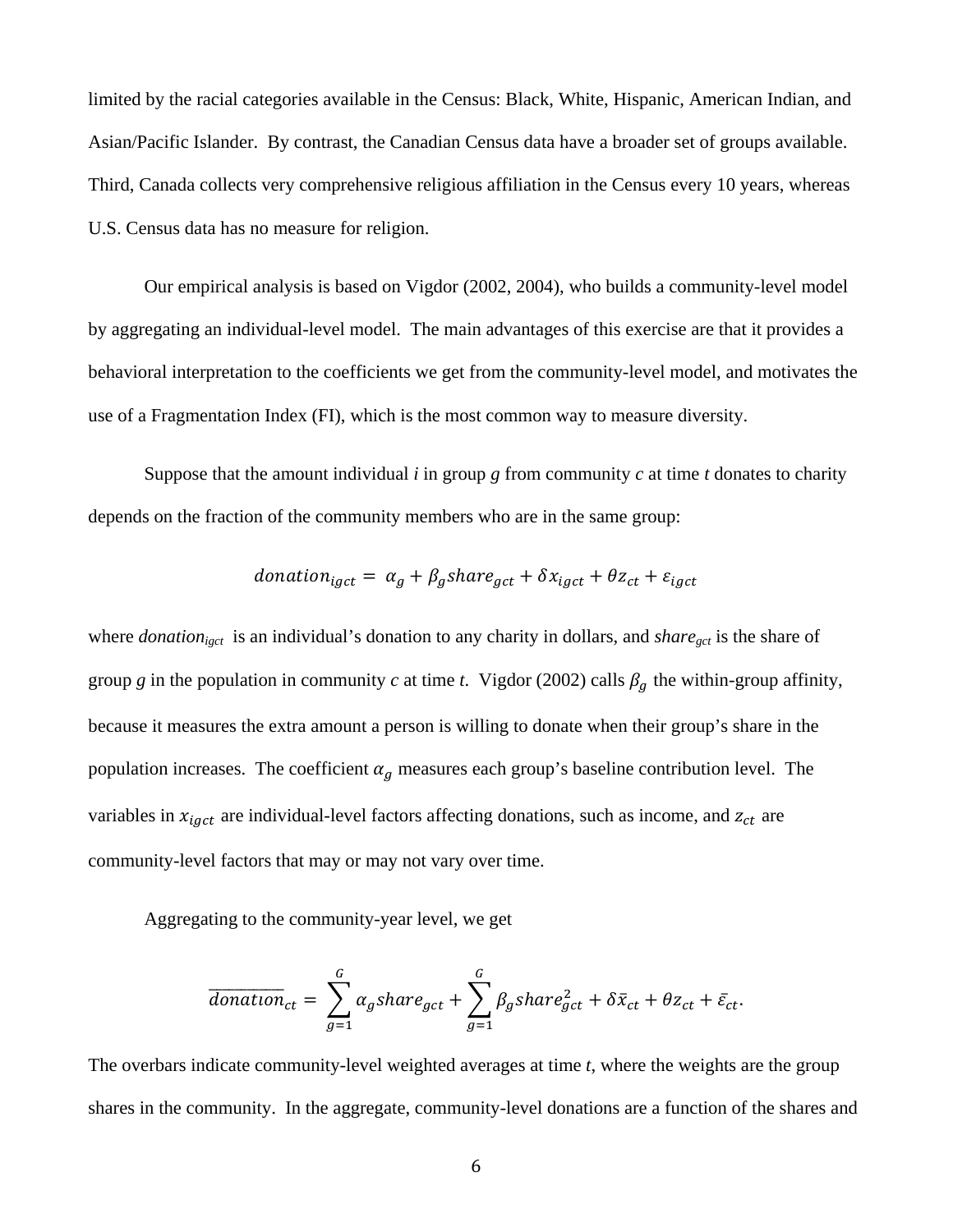limited by the racial categories available in the Census: Black, White, Hispanic, American Indian, and Asian/Pacific Islander. By contrast, the Canadian Census data have a broader set of groups available. Third, Canada collects very comprehensive religious affiliation in the Census every 10 years, whereas U.S. Census data has no measure for religion.

Our empirical analysis is based on Vigdor (2002, 2004), who builds a community-level model by aggregating an individual-level model. The main advantages of this exercise are that it provides a behavioral interpretation to the coefficients we get from the community-level model, and motivates the use of a Fragmentation Index (FI), which is the most common way to measure diversity.

 Suppose that the amount individual *i* in group *g* from community *c* at time *t* donates to charity depends on the fraction of the community members who are in the same group:

$$
domain_{igct} = \alpha_g + \beta_g share_{gct} + \delta x_{igct} + \theta z_{ct} + \varepsilon_{igct}
$$

where *donation<sub>igct</sub>* is an individual's donation to any charity in dollars, and *share<sub>gct</sub>* is the share of group *g* in the population in community *c* at time *t*. Vigdor (2002) calls  $\beta_g$  the within-group affinity, because it measures the extra amount a person is willing to donate when their group's share in the population increases. The coefficient  $\alpha_g$  measures each group's baseline contribution level. The variables in  $x_{i qct}$  are individual-level factors affecting donations, such as income, and  $z_{ct}$  are community-level factors that may or may not vary over time.

Aggregating to the community-year level, we get

$$
\overline{donation}_{ct} = \sum_{g=1}^{G} \alpha_g share_{gct} + \sum_{g=1}^{G} \beta_g share_{gct}^2 + \delta \bar{x}_{ct} + \theta z_{ct} + \bar{\varepsilon}_{ct}.
$$

The overbars indicate community-level weighted averages at time *t*, where the weights are the group shares in the community. In the aggregate, community-level donations are a function of the shares and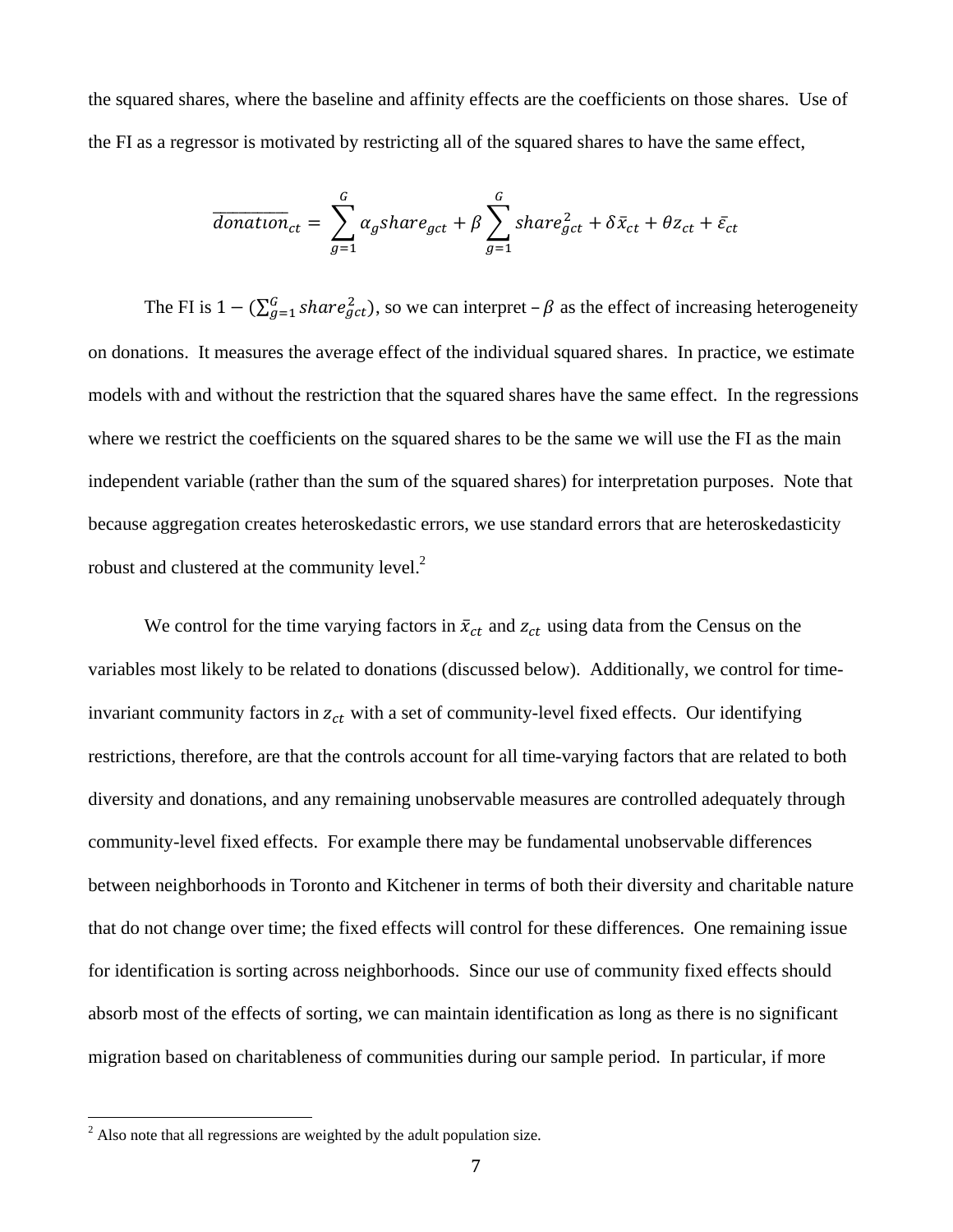the squared shares, where the baseline and affinity effects are the coefficients on those shares. Use of the FI as a regressor is motivated by restricting all of the squared shares to have the same effect,

$$
\overline{donation}_{ct} = \sum_{g=1}^{G} \alpha_g share_{gct} + \beta \sum_{g=1}^{G} share_{gct}^2 + \delta \bar{x}_{ct} + \theta z_{ct} + \bar{\varepsilon}_{ct}
$$

The FI is  $1 - (\sum_{g=1}^{G} share_{gct}^2)$ , so we can interpret –  $\beta$  as the effect of increasing heterogeneity on donations. It measures the average effect of the individual squared shares. In practice, we estimate models with and without the restriction that the squared shares have the same effect. In the regressions where we restrict the coefficients on the squared shares to be the same we will use the FI as the main independent variable (rather than the sum of the squared shares) for interpretation purposes. Note that because aggregation creates heteroskedastic errors, we use standard errors that are heteroskedasticity robust and clustered at the community level.<sup>2</sup>

We control for the time varying factors in  $\bar{x}_{ct}$  and  $z_{ct}$  using data from the Census on the variables most likely to be related to donations (discussed below). Additionally, we control for timeinvariant community factors in  $z_{ct}$  with a set of community-level fixed effects. Our identifying restrictions, therefore, are that the controls account for all time-varying factors that are related to both diversity and donations, and any remaining unobservable measures are controlled adequately through community-level fixed effects. For example there may be fundamental unobservable differences between neighborhoods in Toronto and Kitchener in terms of both their diversity and charitable nature that do not change over time; the fixed effects will control for these differences. One remaining issue for identification is sorting across neighborhoods. Since our use of community fixed effects should absorb most of the effects of sorting, we can maintain identification as long as there is no significant migration based on charitableness of communities during our sample period. In particular, if more

<sup>&</sup>lt;sup>2</sup> Also note that all regressions are weighted by the adult population size.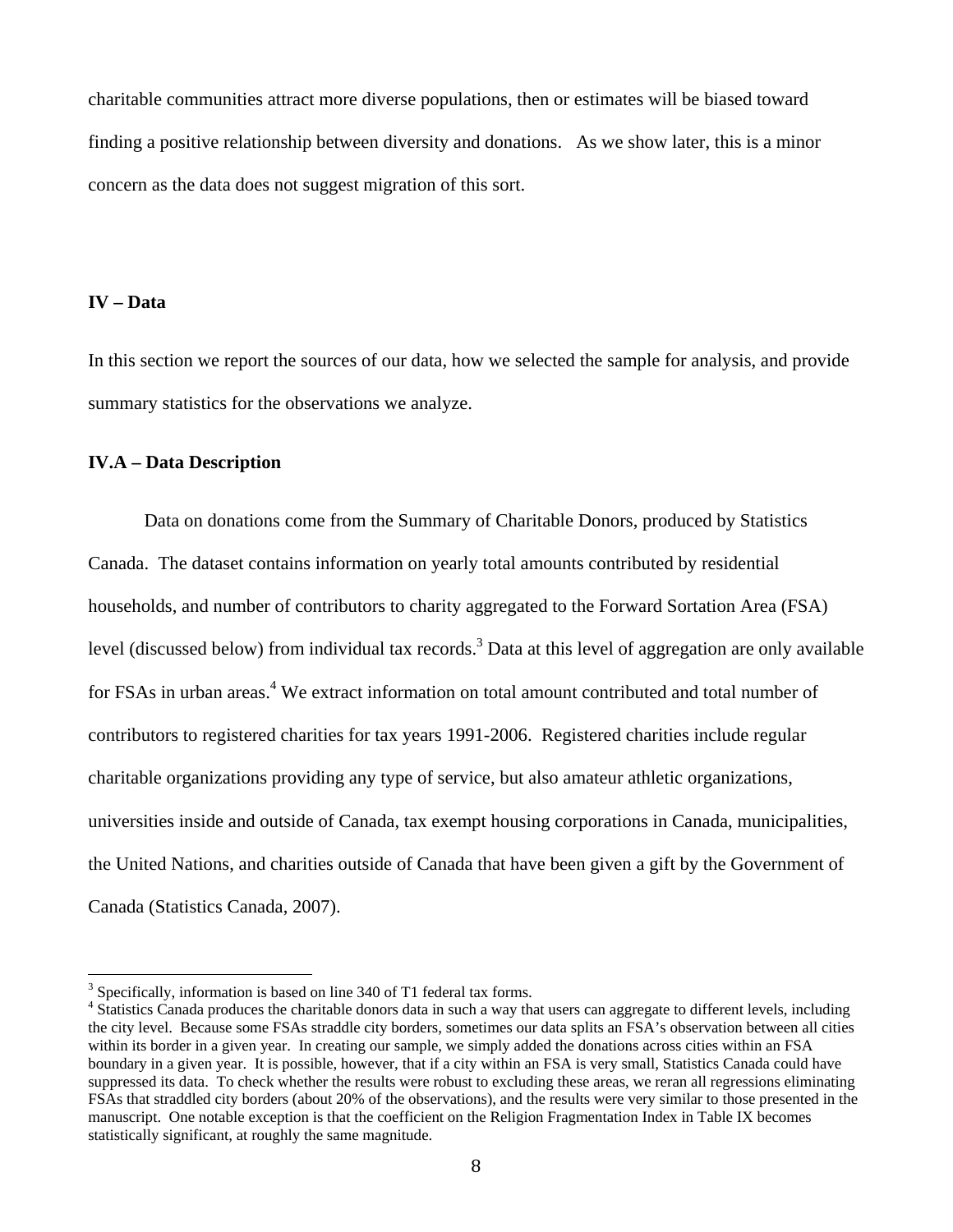charitable communities attract more diverse populations, then or estimates will be biased toward finding a positive relationship between diversity and donations. As we show later, this is a minor concern as the data does not suggest migration of this sort.

## **IV – Data**

In this section we report the sources of our data, how we selected the sample for analysis, and provide summary statistics for the observations we analyze.

# **IV.A – Data Description**

Data on donations come from the Summary of Charitable Donors, produced by Statistics Canada. The dataset contains information on yearly total amounts contributed by residential households, and number of contributors to charity aggregated to the Forward Sortation Area (FSA) level (discussed below) from individual tax records.<sup>3</sup> Data at this level of aggregation are only available for FSAs in urban areas.<sup>4</sup> We extract information on total amount contributed and total number of contributors to registered charities for tax years 1991-2006. Registered charities include regular charitable organizations providing any type of service, but also amateur athletic organizations, universities inside and outside of Canada, tax exempt housing corporations in Canada, municipalities, the United Nations, and charities outside of Canada that have been given a gift by the Government of Canada (Statistics Canada, 2007).

 $3$  Specifically, information is based on line 340 of T1 federal tax forms.

<sup>&</sup>lt;sup>4</sup> Statistics Canada produces the charitable donors data in such a way that users can aggregate to different levels, including the city level. Because some FSAs straddle city borders, sometimes our data splits an FSA's observation between all cities within its border in a given year. In creating our sample, we simply added the donations across cities within an FSA boundary in a given year. It is possible, however, that if a city within an FSA is very small, Statistics Canada could have suppressed its data. To check whether the results were robust to excluding these areas, we reran all regressions eliminating FSAs that straddled city borders (about 20% of the observations), and the results were very similar to those presented in the manuscript. One notable exception is that the coefficient on the Religion Fragmentation Index in Table IX becomes statistically significant, at roughly the same magnitude.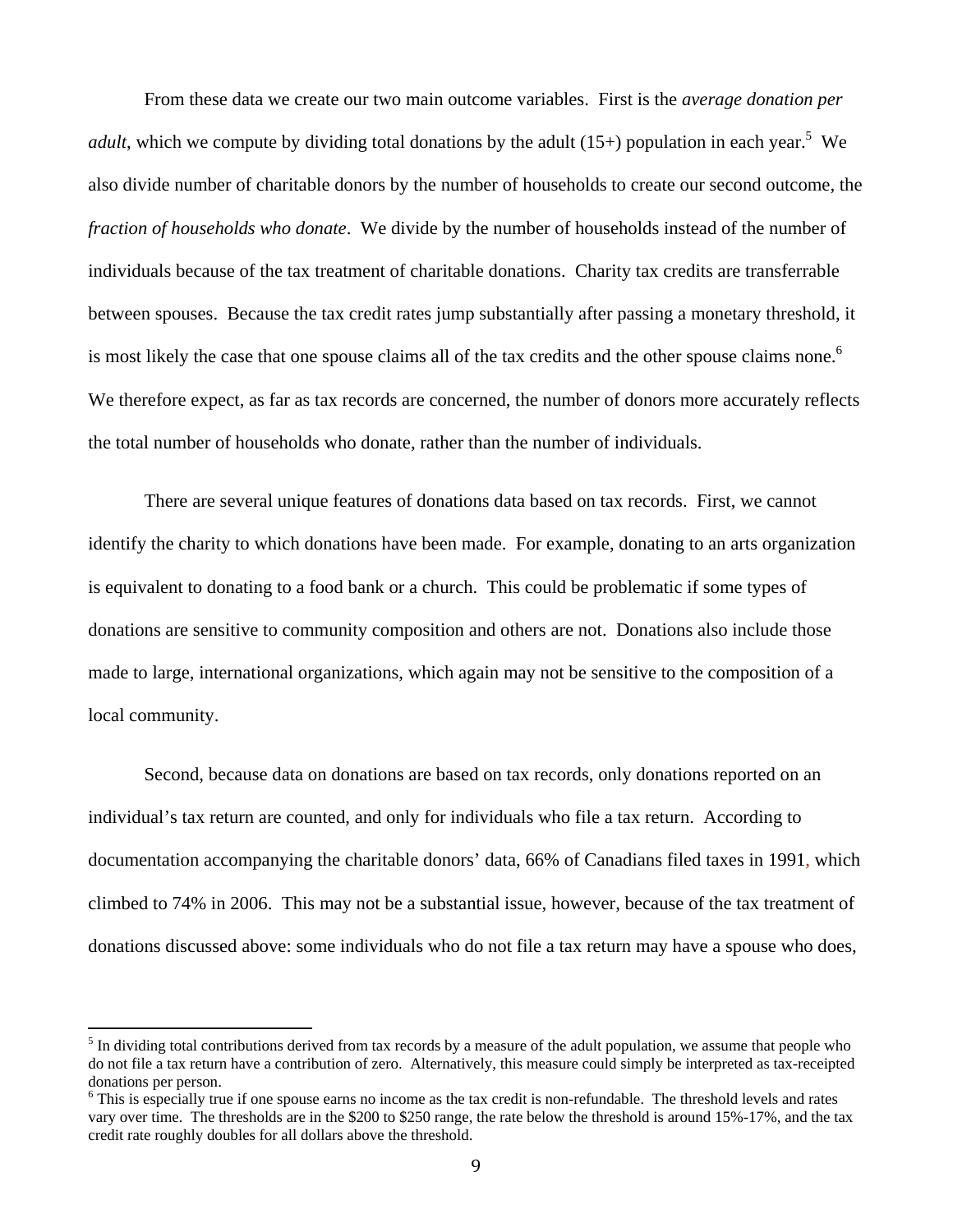From these data we create our two main outcome variables. First is the *average donation per adult*, which we compute by dividing total donations by the adult  $(15+)$  population in each year.<sup>5</sup> We also divide number of charitable donors by the number of households to create our second outcome, the *fraction of households who donate*. We divide by the number of households instead of the number of individuals because of the tax treatment of charitable donations. Charity tax credits are transferrable between spouses. Because the tax credit rates jump substantially after passing a monetary threshold, it is most likely the case that one spouse claims all of the tax credits and the other spouse claims none.<sup>6</sup> We therefore expect, as far as tax records are concerned, the number of donors more accurately reflects the total number of households who donate, rather than the number of individuals.

There are several unique features of donations data based on tax records. First, we cannot identify the charity to which donations have been made. For example, donating to an arts organization is equivalent to donating to a food bank or a church. This could be problematic if some types of donations are sensitive to community composition and others are not. Donations also include those made to large, international organizations, which again may not be sensitive to the composition of a local community.

 Second, because data on donations are based on tax records, only donations reported on an individual's tax return are counted, and only for individuals who file a tax return. According to documentation accompanying the charitable donors' data, 66% of Canadians filed taxes in 1991, which climbed to 74% in 2006. This may not be a substantial issue, however, because of the tax treatment of donations discussed above: some individuals who do not file a tax return may have a spouse who does,

 $<sup>5</sup>$  In dividing total contributions derived from tax records by a measure of the adult population, we assume that people who</sup> do not file a tax return have a contribution of zero. Alternatively, this measure could simply be interpreted as tax-receipted donations per person.

<sup>&</sup>lt;sup>6</sup> This is especially true if one spouse earns no income as the tax credit is non-refundable. The threshold levels and rates vary over time. The thresholds are in the \$200 to \$250 range, the rate below the threshold is around 15%-17%, and the tax credit rate roughly doubles for all dollars above the threshold.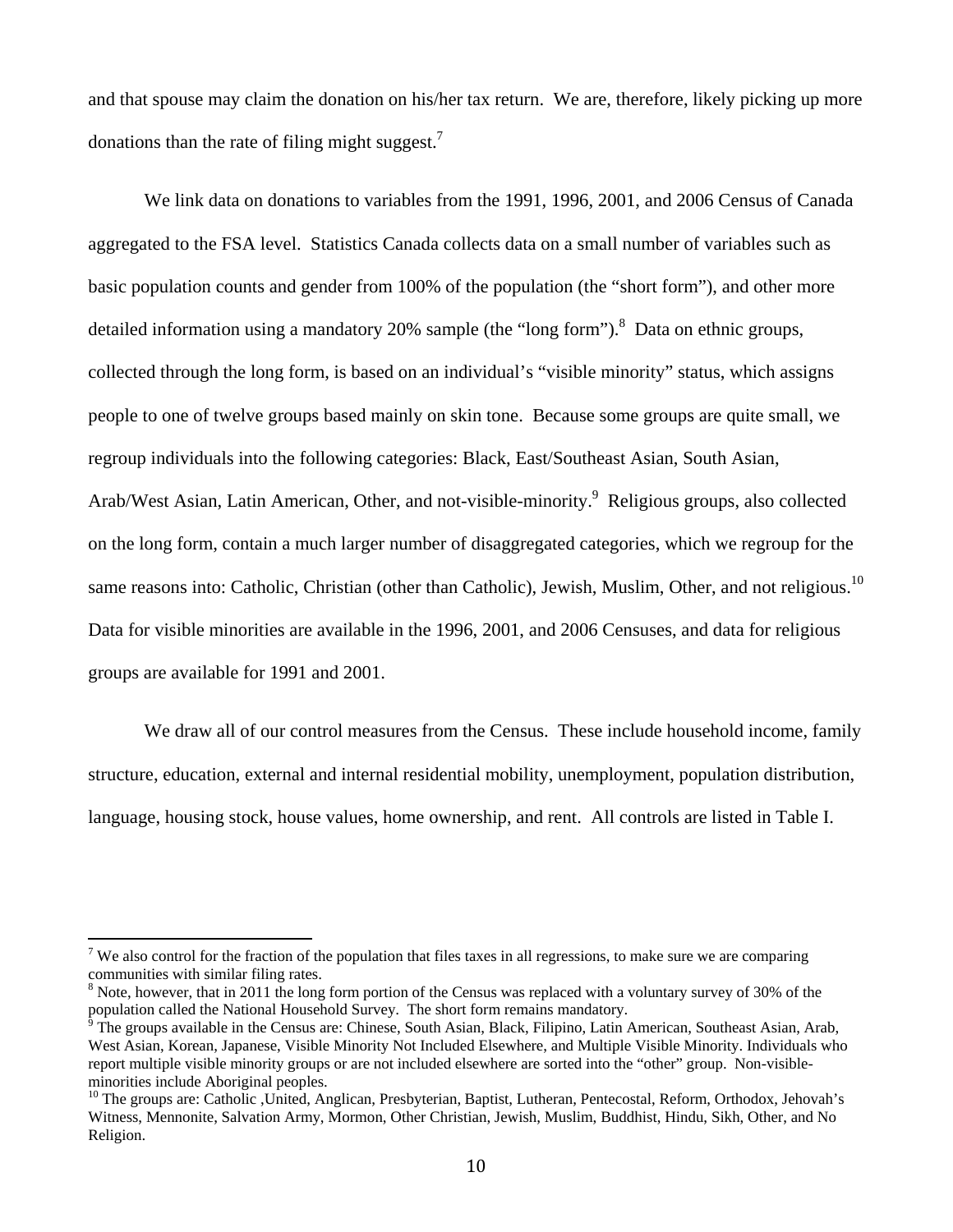and that spouse may claim the donation on his/her tax return. We are, therefore, likely picking up more donations than the rate of filing might suggest.<sup>7</sup>

We link data on donations to variables from the 1991, 1996, 2001, and 2006 Census of Canada aggregated to the FSA level. Statistics Canada collects data on a small number of variables such as basic population counts and gender from 100% of the population (the "short form"), and other more detailed information using a mandatory 20% sample (the "long form").<sup>8</sup> Data on ethnic groups, collected through the long form, is based on an individual's "visible minority" status, which assigns people to one of twelve groups based mainly on skin tone. Because some groups are quite small, we regroup individuals into the following categories: Black, East/Southeast Asian, South Asian, Arab/West Asian, Latin American, Other, and not-visible-minority.<sup>9</sup> Religious groups, also collected on the long form, contain a much larger number of disaggregated categories, which we regroup for the same reasons into: Catholic, Christian (other than Catholic), Jewish, Muslim, Other, and not religious.<sup>10</sup> Data for visible minorities are available in the 1996, 2001, and 2006 Censuses, and data for religious groups are available for 1991 and 2001.

 We draw all of our control measures from the Census. These include household income, family structure, education, external and internal residential mobility, unemployment, population distribution, language, housing stock, house values, home ownership, and rent. All controls are listed in Table I.

 $7$  We also control for the fraction of the population that files taxes in all regressions, to make sure we are comparing communities with similar filing rates.

 $8$  Note, however, that in 2011 the long form portion of the Census was replaced with a voluntary survey of 30% of the

population called the National Household Survey. The short form remains mandatory.<br><sup>9</sup> The groups available in the Census are: Chinese, South Asian, Black, Filipino, Latin American, Southeast Asian, Arab, West Asian, Korean, Japanese, Visible Minority Not Included Elsewhere, and Multiple Visible Minority. Individuals who report multiple visible minority groups or are not included elsewhere are sorted into the "other" group. Non-visibleminorities include Aboriginal peoples.

 $10$  The groups are: Catholic ,United, Anglican, Presbyterian, Baptist, Lutheran, Pentecostal, Reform, Orthodox, Jehovah's Witness, Mennonite, Salvation Army, Mormon, Other Christian, Jewish, Muslim, Buddhist, Hindu, Sikh, Other, and No Religion.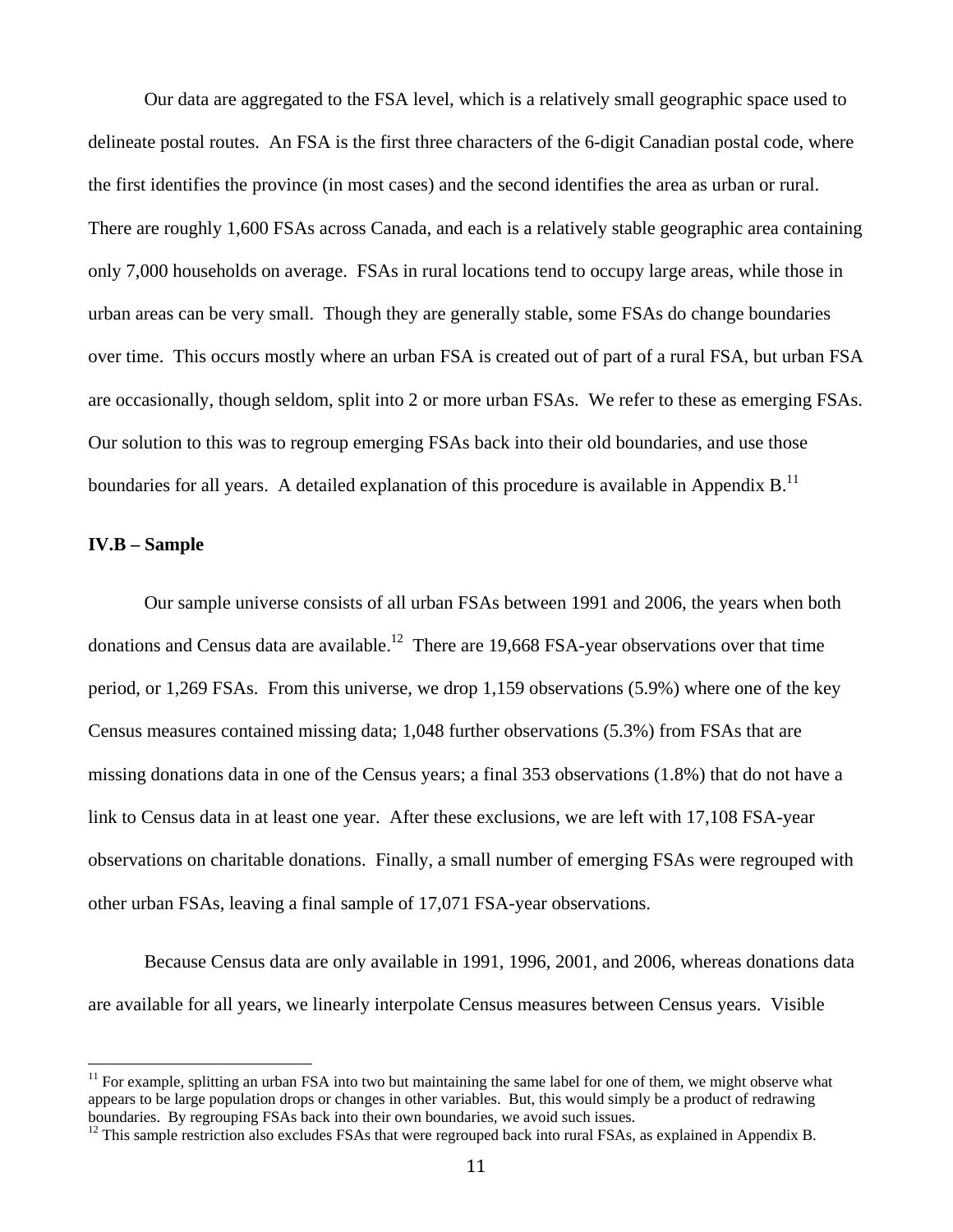Our data are aggregated to the FSA level, which is a relatively small geographic space used to delineate postal routes. An FSA is the first three characters of the 6-digit Canadian postal code, where the first identifies the province (in most cases) and the second identifies the area as urban or rural. There are roughly 1,600 FSAs across Canada, and each is a relatively stable geographic area containing only 7,000 households on average. FSAs in rural locations tend to occupy large areas, while those in urban areas can be very small. Though they are generally stable, some FSAs do change boundaries over time. This occurs mostly where an urban FSA is created out of part of a rural FSA, but urban FSA are occasionally, though seldom, split into 2 or more urban FSAs. We refer to these as emerging FSAs. Our solution to this was to regroup emerging FSAs back into their old boundaries, and use those boundaries for all years. A detailed explanation of this procedure is available in Appendix B.<sup>11</sup>

#### **IV.B – Sample**

 

 Our sample universe consists of all urban FSAs between 1991 and 2006, the years when both donations and Census data are available.<sup>12</sup> There are 19,668 FSA-year observations over that time period, or 1,269 FSAs. From this universe, we drop 1,159 observations (5.9%) where one of the key Census measures contained missing data; 1,048 further observations (5.3%) from FSAs that are missing donations data in one of the Census years; a final 353 observations (1.8%) that do not have a link to Census data in at least one year. After these exclusions, we are left with 17,108 FSA-year observations on charitable donations. Finally, a small number of emerging FSAs were regrouped with other urban FSAs, leaving a final sample of 17,071 FSA-year observations.

 Because Census data are only available in 1991, 1996, 2001, and 2006, whereas donations data are available for all years, we linearly interpolate Census measures between Census years. Visible

<sup>&</sup>lt;sup>11</sup> For example, splitting an urban FSA into two but maintaining the same label for one of them, we might observe what appears to be large population drops or changes in other variables. But, this would simply be a product of redrawing boundaries. By regrouping FSAs back into their own boundaries, we avoid such issues.

 $12$  This sample restriction also excludes FSAs that were regrouped back into rural FSAs, as explained in Appendix B.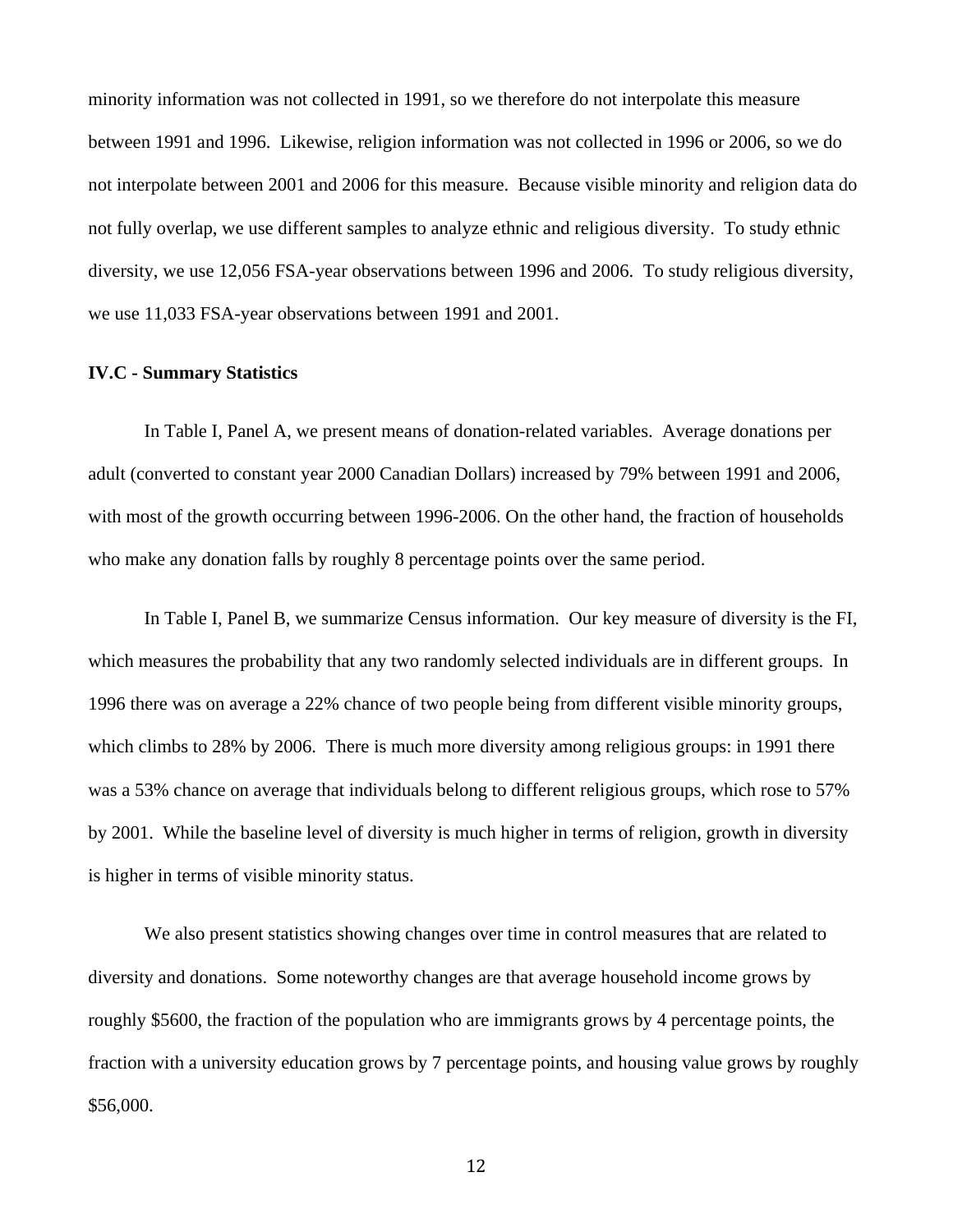minority information was not collected in 1991, so we therefore do not interpolate this measure between 1991 and 1996. Likewise, religion information was not collected in 1996 or 2006, so we do not interpolate between 2001 and 2006 for this measure. Because visible minority and religion data do not fully overlap, we use different samples to analyze ethnic and religious diversity. To study ethnic diversity, we use 12,056 FSA-year observations between 1996 and 2006. To study religious diversity, we use 11,033 FSA-year observations between 1991 and 2001.

#### **IV.C - Summary Statistics**

In Table I, Panel A, we present means of donation-related variables. Average donations per adult (converted to constant year 2000 Canadian Dollars) increased by 79% between 1991 and 2006, with most of the growth occurring between 1996-2006. On the other hand, the fraction of households who make any donation falls by roughly 8 percentage points over the same period.

In Table I, Panel B, we summarize Census information. Our key measure of diversity is the FI, which measures the probability that any two randomly selected individuals are in different groups. In 1996 there was on average a 22% chance of two people being from different visible minority groups, which climbs to 28% by 2006. There is much more diversity among religious groups: in 1991 there was a 53% chance on average that individuals belong to different religious groups, which rose to 57% by 2001. While the baseline level of diversity is much higher in terms of religion, growth in diversity is higher in terms of visible minority status.

We also present statistics showing changes over time in control measures that are related to diversity and donations. Some noteworthy changes are that average household income grows by roughly \$5600, the fraction of the population who are immigrants grows by 4 percentage points, the fraction with a university education grows by 7 percentage points, and housing value grows by roughly \$56,000.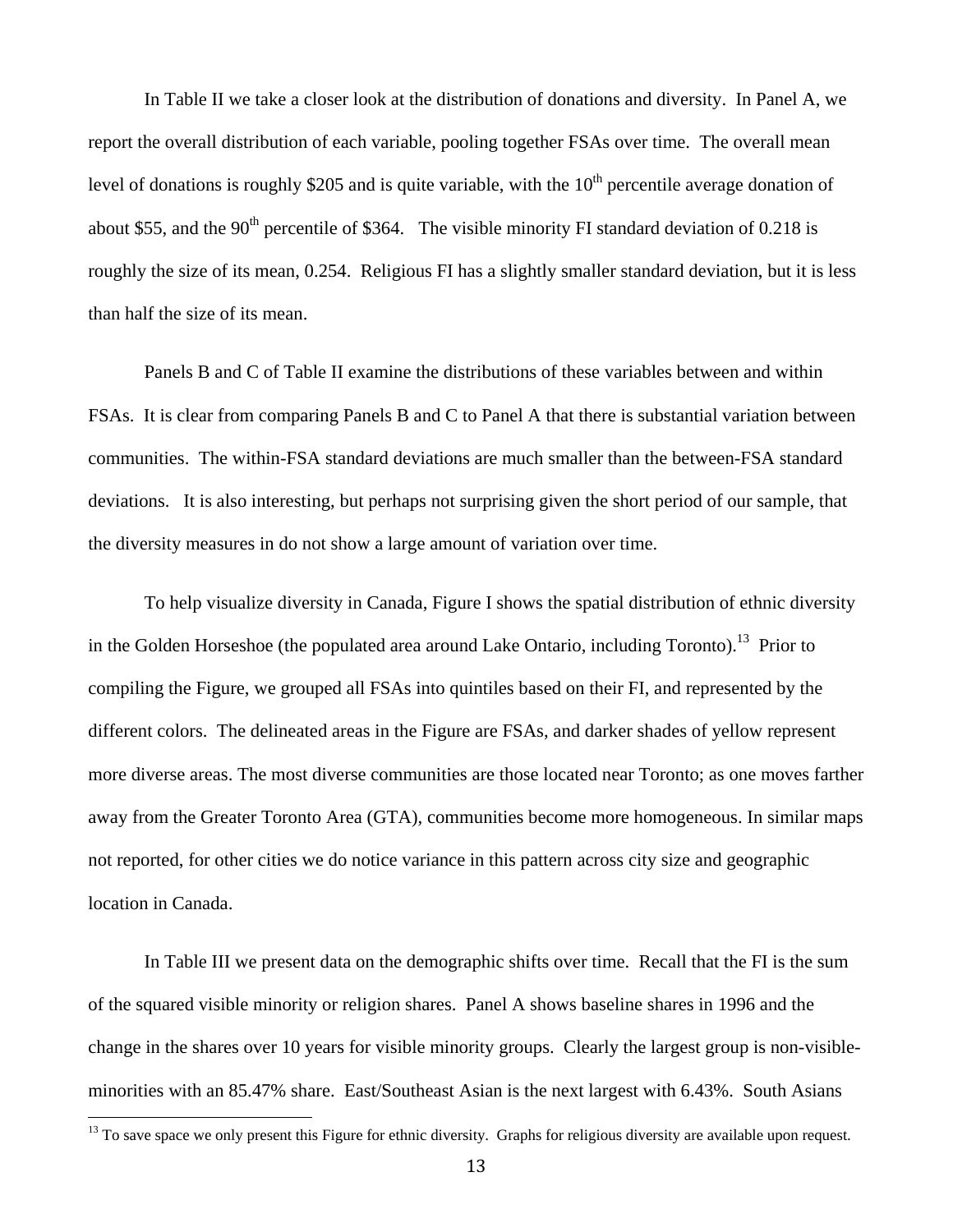In Table II we take a closer look at the distribution of donations and diversity. In Panel A, we report the overall distribution of each variable, pooling together FSAs over time. The overall mean level of donations is roughly \$205 and is quite variable, with the  $10<sup>th</sup>$  percentile average donation of about \$55, and the 90<sup>th</sup> percentile of \$364. The visible minority FI standard deviation of 0.218 is roughly the size of its mean, 0.254. Religious FI has a slightly smaller standard deviation, but it is less than half the size of its mean.

Panels B and C of Table II examine the distributions of these variables between and within FSAs. It is clear from comparing Panels B and C to Panel A that there is substantial variation between communities. The within-FSA standard deviations are much smaller than the between-FSA standard deviations. It is also interesting, but perhaps not surprising given the short period of our sample, that the diversity measures in do not show a large amount of variation over time.

To help visualize diversity in Canada, Figure I shows the spatial distribution of ethnic diversity in the Golden Horseshoe (the populated area around Lake Ontario, including Toronto).<sup>13</sup> Prior to compiling the Figure, we grouped all FSAs into quintiles based on their FI, and represented by the different colors. The delineated areas in the Figure are FSAs, and darker shades of yellow represent more diverse areas. The most diverse communities are those located near Toronto; as one moves farther away from the Greater Toronto Area (GTA), communities become more homogeneous. In similar maps not reported, for other cities we do notice variance in this pattern across city size and geographic location in Canada.

In Table III we present data on the demographic shifts over time. Recall that the FI is the sum of the squared visible minority or religion shares. Panel A shows baseline shares in 1996 and the change in the shares over 10 years for visible minority groups. Clearly the largest group is non-visibleminorities with an 85.47% share. East/Southeast Asian is the next largest with 6.43%. South Asians

<sup>&</sup>lt;sup>13</sup> To save space we only present this Figure for ethnic diversity. Graphs for religious diversity are available upon request.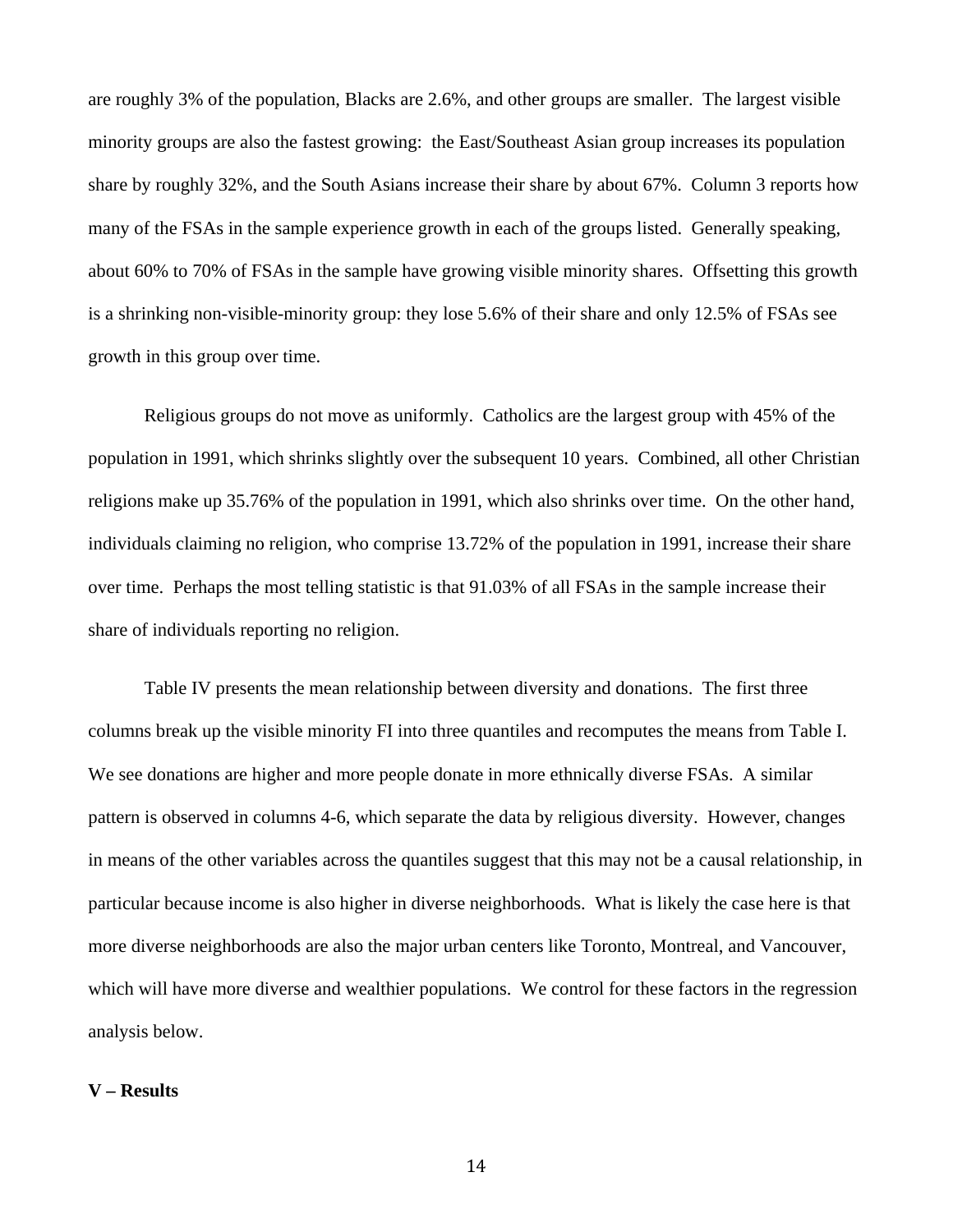are roughly 3% of the population, Blacks are 2.6%, and other groups are smaller. The largest visible minority groups are also the fastest growing: the East/Southeast Asian group increases its population share by roughly 32%, and the South Asians increase their share by about 67%. Column 3 reports how many of the FSAs in the sample experience growth in each of the groups listed. Generally speaking, about 60% to 70% of FSAs in the sample have growing visible minority shares. Offsetting this growth is a shrinking non-visible-minority group: they lose 5.6% of their share and only 12.5% of FSAs see growth in this group over time.

Religious groups do not move as uniformly. Catholics are the largest group with 45% of the population in 1991, which shrinks slightly over the subsequent 10 years. Combined, all other Christian religions make up 35.76% of the population in 1991, which also shrinks over time. On the other hand, individuals claiming no religion, who comprise 13.72% of the population in 1991, increase their share over time. Perhaps the most telling statistic is that 91.03% of all FSAs in the sample increase their share of individuals reporting no religion.

Table IV presents the mean relationship between diversity and donations. The first three columns break up the visible minority FI into three quantiles and recomputes the means from Table I. We see donations are higher and more people donate in more ethnically diverse FSAs. A similar pattern is observed in columns 4-6, which separate the data by religious diversity. However, changes in means of the other variables across the quantiles suggest that this may not be a causal relationship, in particular because income is also higher in diverse neighborhoods. What is likely the case here is that more diverse neighborhoods are also the major urban centers like Toronto, Montreal, and Vancouver, which will have more diverse and wealthier populations. We control for these factors in the regression analysis below.

### **V – Results**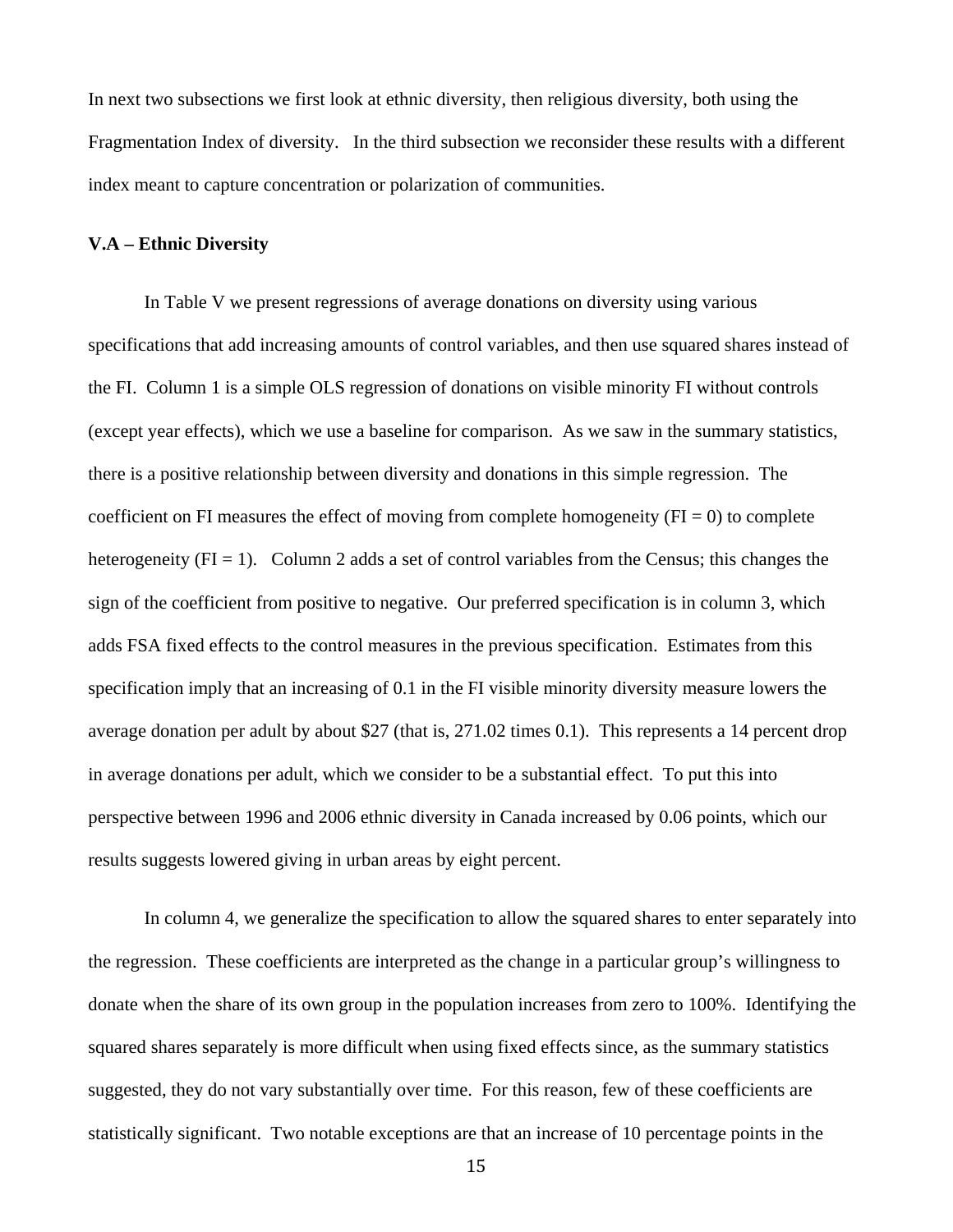In next two subsections we first look at ethnic diversity, then religious diversity, both using the Fragmentation Index of diversity. In the third subsection we reconsider these results with a different index meant to capture concentration or polarization of communities.

#### **V.A – Ethnic Diversity**

In Table V we present regressions of average donations on diversity using various specifications that add increasing amounts of control variables, and then use squared shares instead of the FI. Column 1 is a simple OLS regression of donations on visible minority FI without controls (except year effects), which we use a baseline for comparison. As we saw in the summary statistics, there is a positive relationship between diversity and donations in this simple regression. The coefficient on FI measures the effect of moving from complete homogeneity ( $FI = 0$ ) to complete heterogeneity ( $FI = 1$ ). Column 2 adds a set of control variables from the Census; this changes the sign of the coefficient from positive to negative. Our preferred specification is in column 3, which adds FSA fixed effects to the control measures in the previous specification. Estimates from this specification imply that an increasing of 0.1 in the FI visible minority diversity measure lowers the average donation per adult by about \$27 (that is, 271.02 times 0.1). This represents a 14 percent drop in average donations per adult, which we consider to be a substantial effect. To put this into perspective between 1996 and 2006 ethnic diversity in Canada increased by 0.06 points, which our results suggests lowered giving in urban areas by eight percent.

In column 4, we generalize the specification to allow the squared shares to enter separately into the regression. These coefficients are interpreted as the change in a particular group's willingness to donate when the share of its own group in the population increases from zero to 100%. Identifying the squared shares separately is more difficult when using fixed effects since, as the summary statistics suggested, they do not vary substantially over time. For this reason, few of these coefficients are statistically significant. Two notable exceptions are that an increase of 10 percentage points in the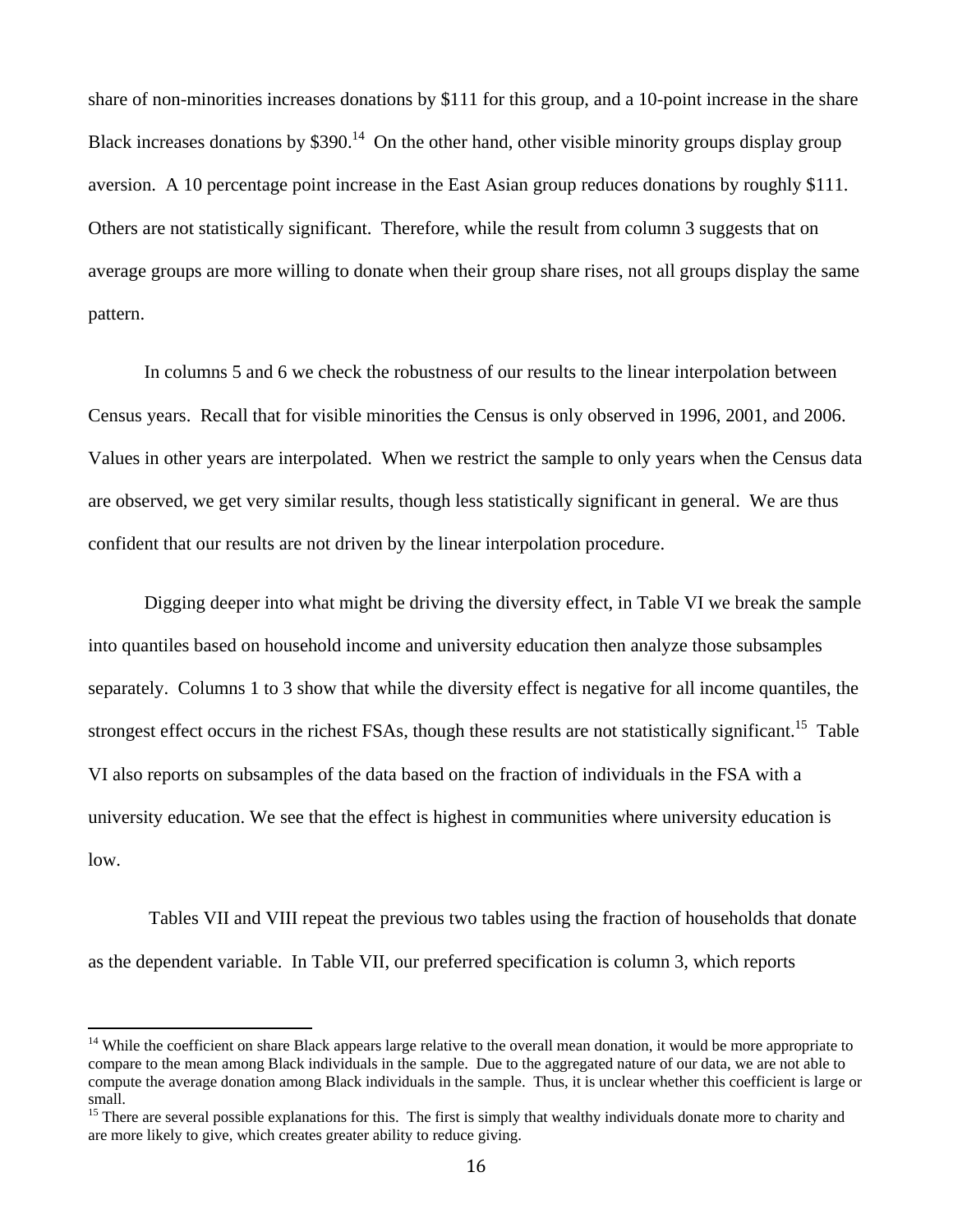share of non-minorities increases donations by \$111 for this group, and a 10-point increase in the share Black increases donations by  $$390<sup>14</sup>$  On the other hand, other visible minority groups display group aversion. A 10 percentage point increase in the East Asian group reduces donations by roughly \$111. Others are not statistically significant. Therefore, while the result from column 3 suggests that on average groups are more willing to donate when their group share rises, not all groups display the same pattern.

In columns 5 and 6 we check the robustness of our results to the linear interpolation between Census years. Recall that for visible minorities the Census is only observed in 1996, 2001, and 2006. Values in other years are interpolated. When we restrict the sample to only years when the Census data are observed, we get very similar results, though less statistically significant in general. We are thus confident that our results are not driven by the linear interpolation procedure.

Digging deeper into what might be driving the diversity effect, in Table VI we break the sample into quantiles based on household income and university education then analyze those subsamples separately. Columns 1 to 3 show that while the diversity effect is negative for all income quantiles, the strongest effect occurs in the richest FSAs, though these results are not statistically significant.<sup>15</sup> Table VI also reports on subsamples of the data based on the fraction of individuals in the FSA with a university education. We see that the effect is highest in communities where university education is low.

 Tables VII and VIII repeat the previous two tables using the fraction of households that donate as the dependent variable. In Table VII, our preferred specification is column 3, which reports

<sup>&</sup>lt;sup>14</sup> While the coefficient on share Black appears large relative to the overall mean donation, it would be more appropriate to compare to the mean among Black individuals in the sample. Due to the aggregated nature of our data, we are not able to compute the average donation among Black individuals in the sample. Thus, it is unclear whether this coefficient is large or small.

 $15$  There are several possible explanations for this. The first is simply that wealthy individuals donate more to charity and are more likely to give, which creates greater ability to reduce giving.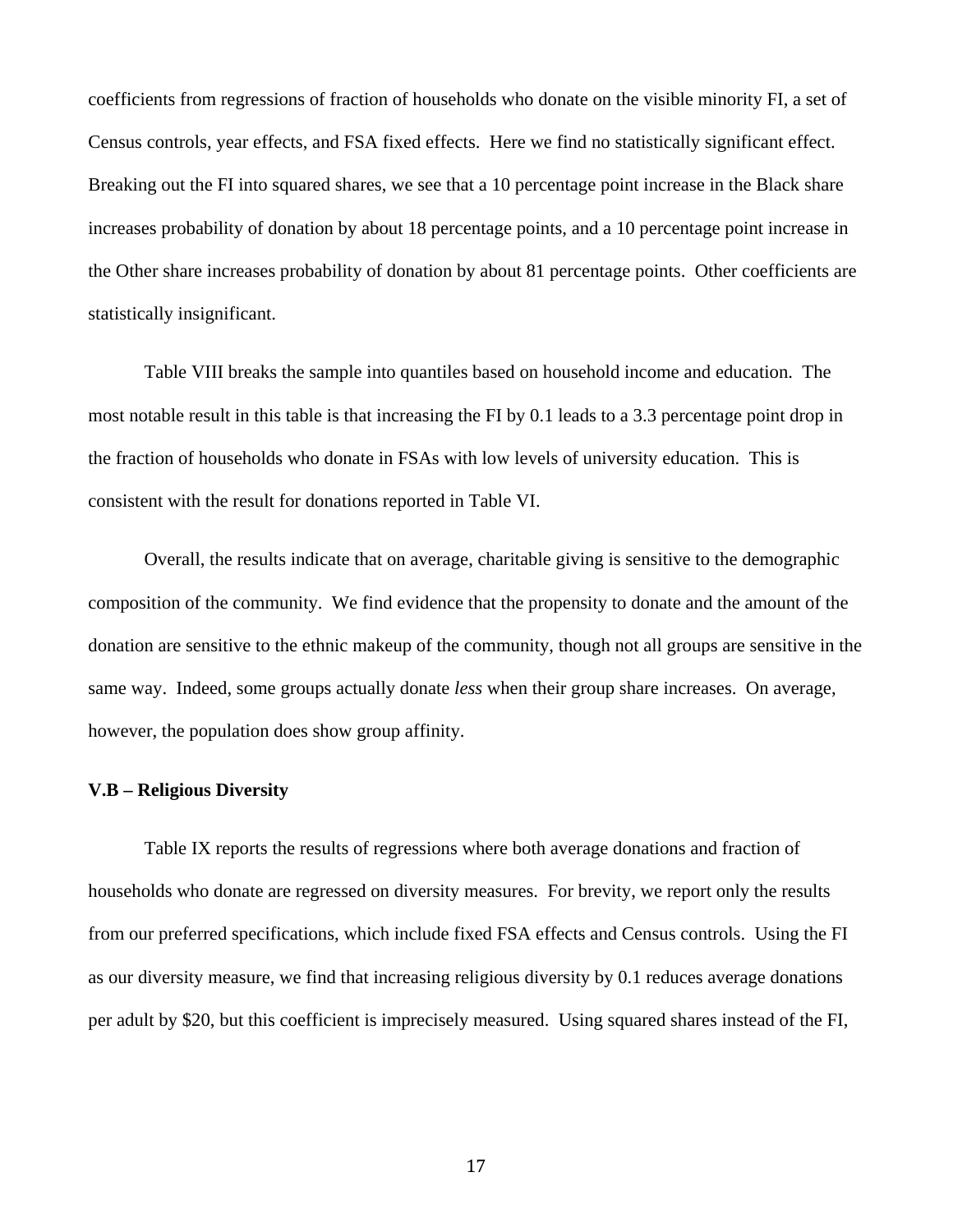coefficients from regressions of fraction of households who donate on the visible minority FI, a set of Census controls, year effects, and FSA fixed effects. Here we find no statistically significant effect. Breaking out the FI into squared shares, we see that a 10 percentage point increase in the Black share increases probability of donation by about 18 percentage points, and a 10 percentage point increase in the Other share increases probability of donation by about 81 percentage points. Other coefficients are statistically insignificant.

Table VIII breaks the sample into quantiles based on household income and education. The most notable result in this table is that increasing the FI by 0.1 leads to a 3.3 percentage point drop in the fraction of households who donate in FSAs with low levels of university education. This is consistent with the result for donations reported in Table VI.

Overall, the results indicate that on average, charitable giving is sensitive to the demographic composition of the community. We find evidence that the propensity to donate and the amount of the donation are sensitive to the ethnic makeup of the community, though not all groups are sensitive in the same way. Indeed, some groups actually donate *less* when their group share increases. On average, however, the population does show group affinity.

## **V.B – Religious Diversity**

Table IX reports the results of regressions where both average donations and fraction of households who donate are regressed on diversity measures. For brevity, we report only the results from our preferred specifications, which include fixed FSA effects and Census controls. Using the FI as our diversity measure, we find that increasing religious diversity by 0.1 reduces average donations per adult by \$20, but this coefficient is imprecisely measured. Using squared shares instead of the FI,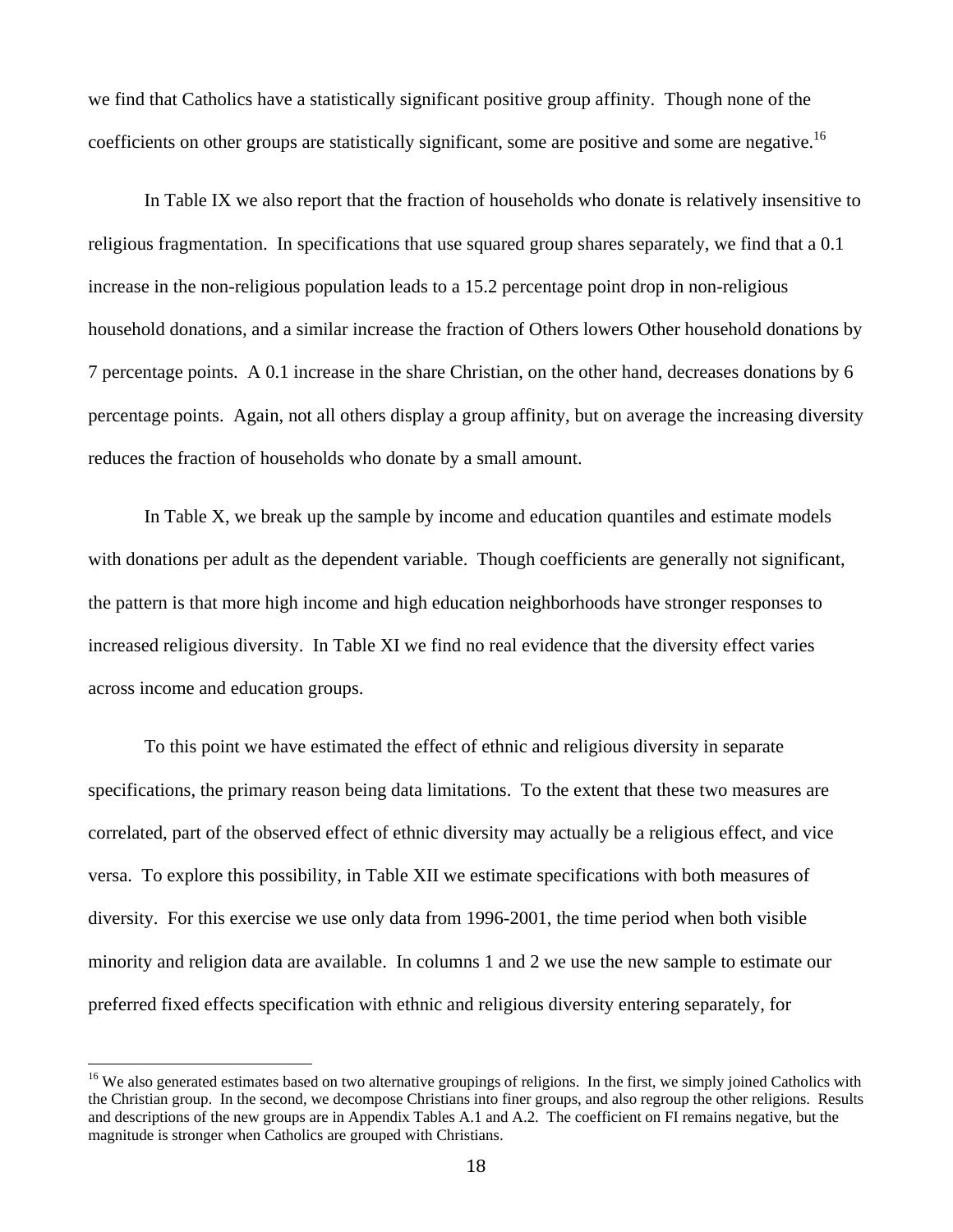we find that Catholics have a statistically significant positive group affinity. Though none of the coefficients on other groups are statistically significant, some are positive and some are negative.<sup>16</sup>

 In Table IX we also report that the fraction of households who donate is relatively insensitive to religious fragmentation. In specifications that use squared group shares separately, we find that a 0.1 increase in the non-religious population leads to a 15.2 percentage point drop in non-religious household donations, and a similar increase the fraction of Others lowers Other household donations by 7 percentage points. A 0.1 increase in the share Christian, on the other hand, decreases donations by 6 percentage points. Again, not all others display a group affinity, but on average the increasing diversity reduces the fraction of households who donate by a small amount.

 In Table X, we break up the sample by income and education quantiles and estimate models with donations per adult as the dependent variable. Though coefficients are generally not significant, the pattern is that more high income and high education neighborhoods have stronger responses to increased religious diversity. In Table XI we find no real evidence that the diversity effect varies across income and education groups.

 To this point we have estimated the effect of ethnic and religious diversity in separate specifications, the primary reason being data limitations. To the extent that these two measures are correlated, part of the observed effect of ethnic diversity may actually be a religious effect, and vice versa. To explore this possibility, in Table XII we estimate specifications with both measures of diversity. For this exercise we use only data from 1996-2001, the time period when both visible minority and religion data are available. In columns 1 and 2 we use the new sample to estimate our preferred fixed effects specification with ethnic and religious diversity entering separately, for

<sup>&</sup>lt;sup>16</sup> We also generated estimates based on two alternative groupings of religions. In the first, we simply joined Catholics with the Christian group. In the second, we decompose Christians into finer groups, and also regroup the other religions. Results and descriptions of the new groups are in Appendix Tables A.1 and A.2. The coefficient on FI remains negative, but the magnitude is stronger when Catholics are grouped with Christians.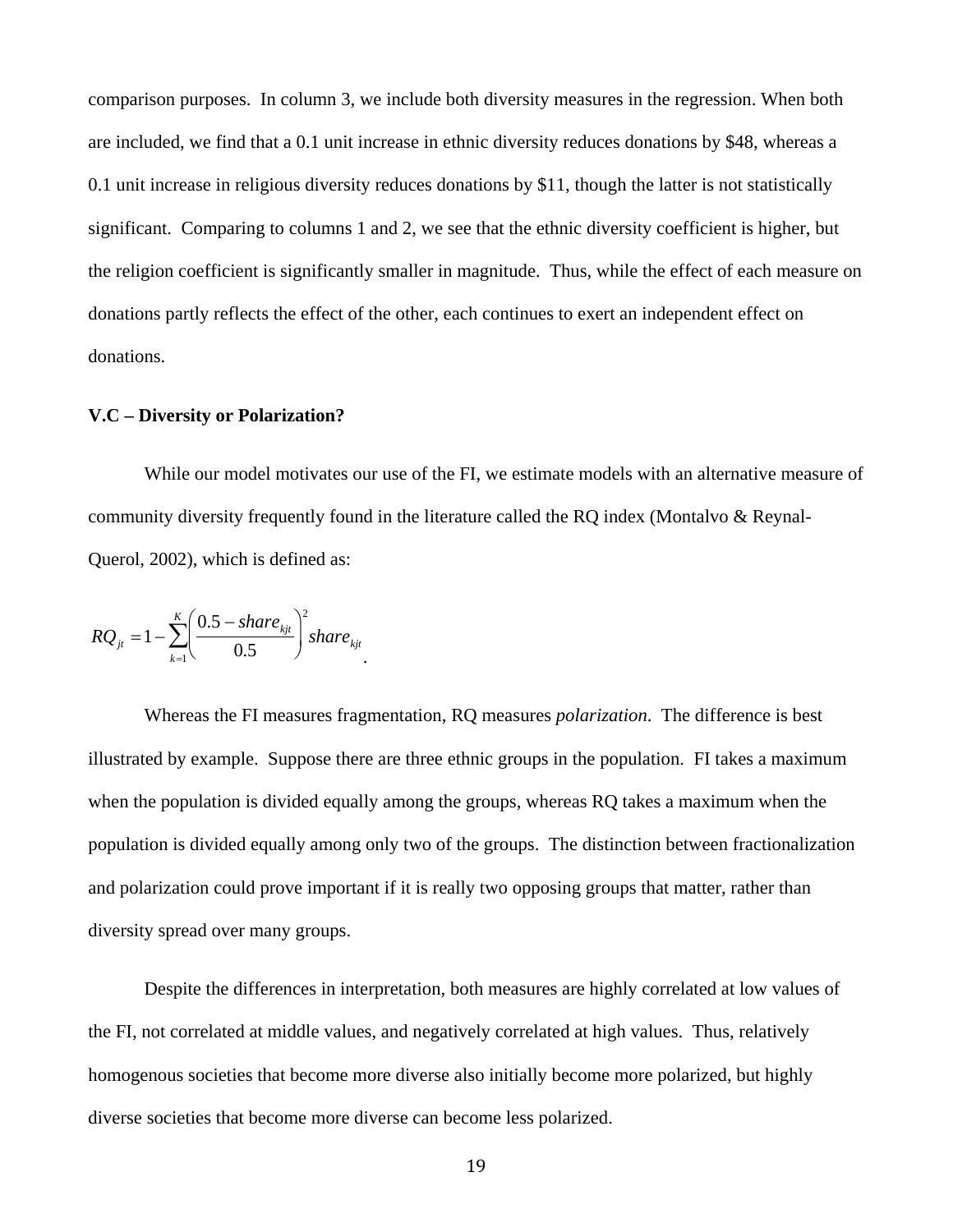comparison purposes. In column 3, we include both diversity measures in the regression. When both are included, we find that a 0.1 unit increase in ethnic diversity reduces donations by \$48, whereas a 0.1 unit increase in religious diversity reduces donations by \$11, though the latter is not statistically significant. Comparing to columns 1 and 2, we see that the ethnic diversity coefficient is higher, but the religion coefficient is significantly smaller in magnitude. Thus, while the effect of each measure on donations partly reflects the effect of the other, each continues to exert an independent effect on donations.

#### **V.C – Diversity or Polarization?**

 While our model motivates our use of the FI, we estimate models with an alternative measure of community diversity frequently found in the literature called the RQ index (Montalvo & Reynal-Querol, 2002), which is defined as:

$$
RQ_{jt} = 1 - \sum_{k=1}^{K} \left( \frac{0.5 - share_{kjt}}{0.5} \right)^2 share_{kjt}.
$$

Whereas the FI measures fragmentation, RQ measures *polarization*. The difference is best illustrated by example. Suppose there are three ethnic groups in the population. FI takes a maximum when the population is divided equally among the groups, whereas RQ takes a maximum when the population is divided equally among only two of the groups. The distinction between fractionalization and polarization could prove important if it is really two opposing groups that matter, rather than diversity spread over many groups.

Despite the differences in interpretation, both measures are highly correlated at low values of the FI, not correlated at middle values, and negatively correlated at high values. Thus, relatively homogenous societies that become more diverse also initially become more polarized, but highly diverse societies that become more diverse can become less polarized.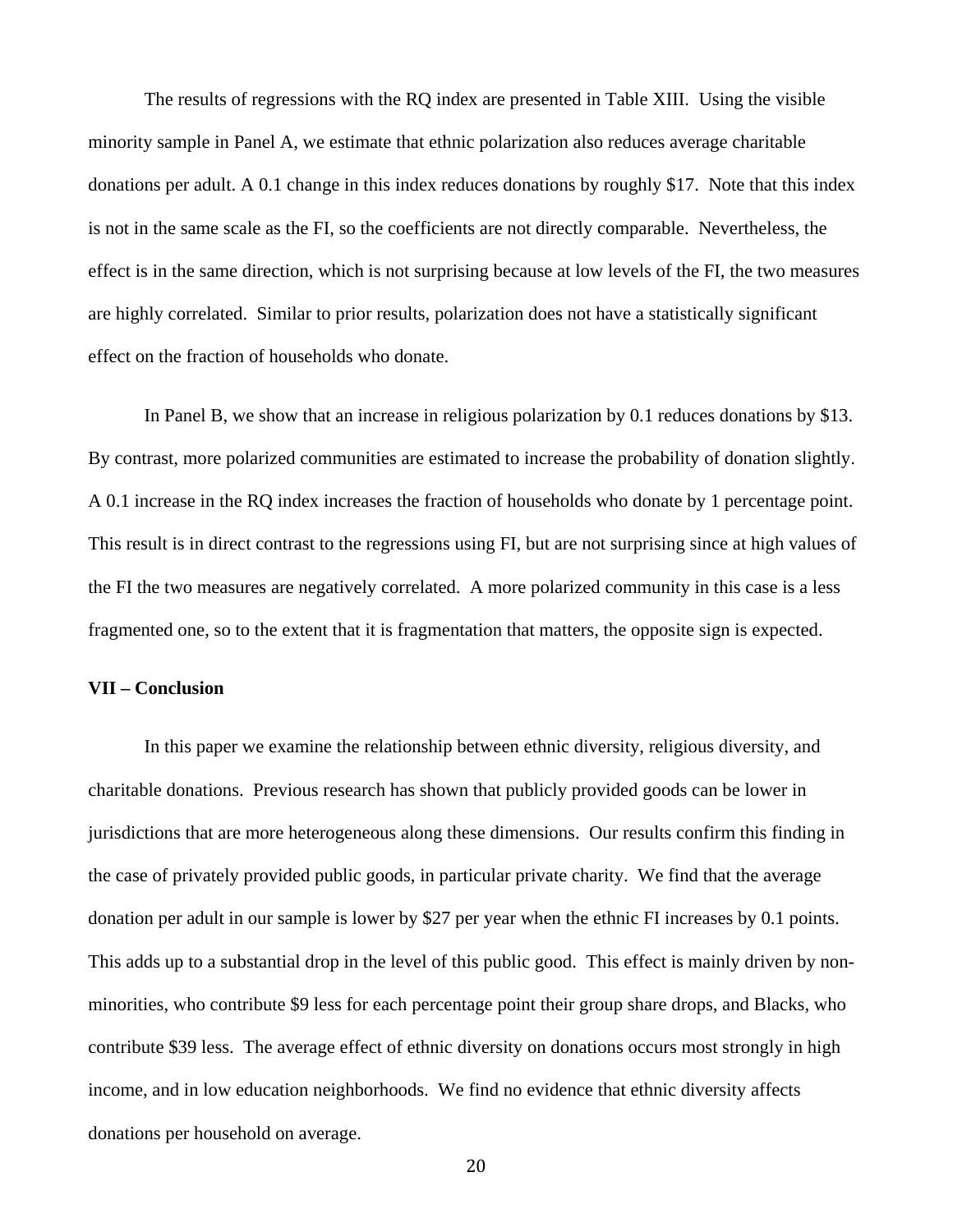The results of regressions with the RQ index are presented in Table XIII. Using the visible minority sample in Panel A, we estimate that ethnic polarization also reduces average charitable donations per adult. A 0.1 change in this index reduces donations by roughly \$17. Note that this index is not in the same scale as the FI, so the coefficients are not directly comparable. Nevertheless, the effect is in the same direction, which is not surprising because at low levels of the FI, the two measures are highly correlated. Similar to prior results, polarization does not have a statistically significant effect on the fraction of households who donate.

In Panel B, we show that an increase in religious polarization by 0.1 reduces donations by \$13. By contrast, more polarized communities are estimated to increase the probability of donation slightly. A 0.1 increase in the RQ index increases the fraction of households who donate by 1 percentage point. This result is in direct contrast to the regressions using FI, but are not surprising since at high values of the FI the two measures are negatively correlated. A more polarized community in this case is a less fragmented one, so to the extent that it is fragmentation that matters, the opposite sign is expected.

#### **VII – Conclusion**

 In this paper we examine the relationship between ethnic diversity, religious diversity, and charitable donations. Previous research has shown that publicly provided goods can be lower in jurisdictions that are more heterogeneous along these dimensions. Our results confirm this finding in the case of privately provided public goods, in particular private charity. We find that the average donation per adult in our sample is lower by \$27 per year when the ethnic FI increases by 0.1 points. This adds up to a substantial drop in the level of this public good. This effect is mainly driven by nonminorities, who contribute \$9 less for each percentage point their group share drops, and Blacks, who contribute \$39 less. The average effect of ethnic diversity on donations occurs most strongly in high income, and in low education neighborhoods. We find no evidence that ethnic diversity affects donations per household on average.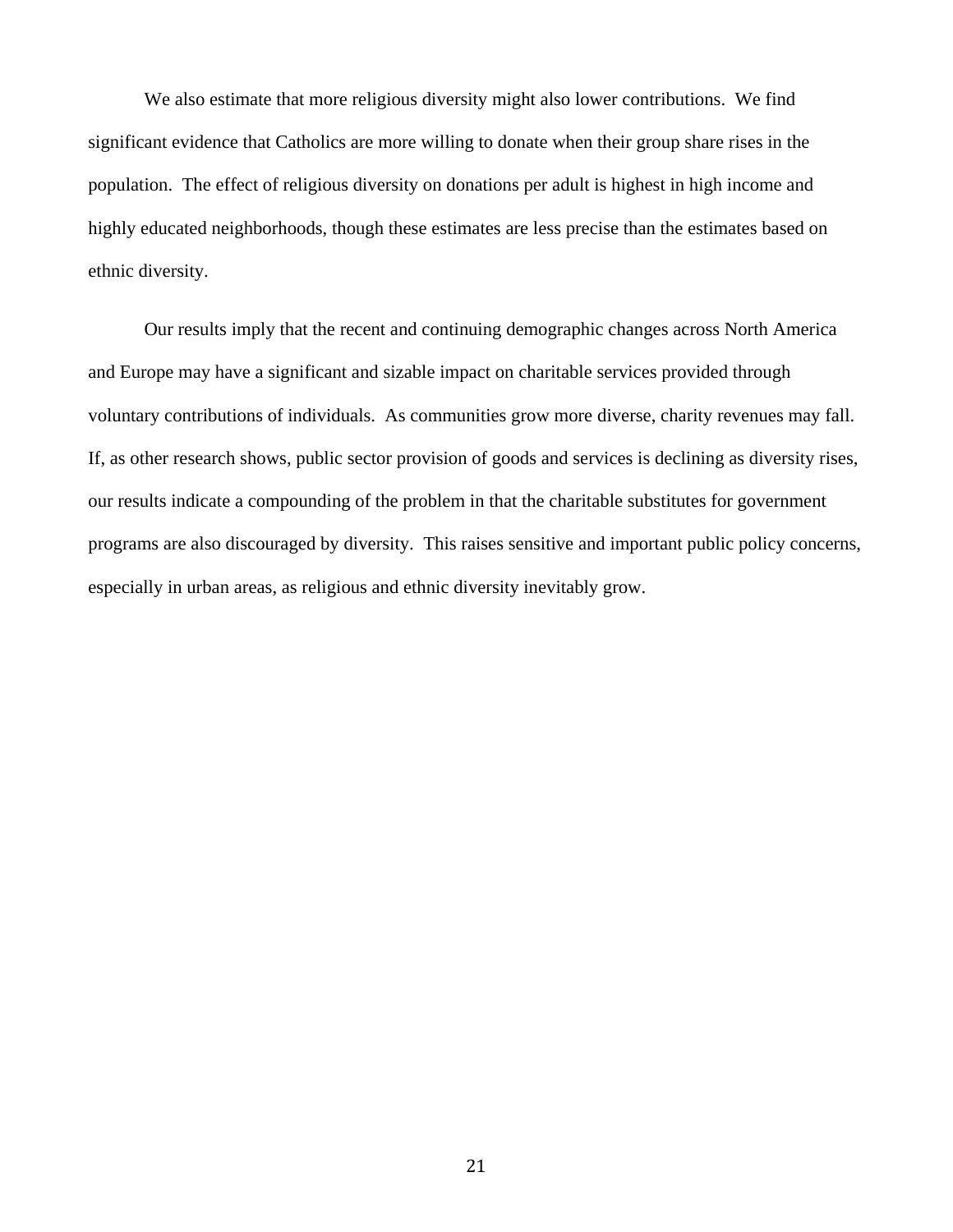We also estimate that more religious diversity might also lower contributions. We find significant evidence that Catholics are more willing to donate when their group share rises in the population. The effect of religious diversity on donations per adult is highest in high income and highly educated neighborhoods, though these estimates are less precise than the estimates based on ethnic diversity.

 Our results imply that the recent and continuing demographic changes across North America and Europe may have a significant and sizable impact on charitable services provided through voluntary contributions of individuals. As communities grow more diverse, charity revenues may fall. If, as other research shows, public sector provision of goods and services is declining as diversity rises, our results indicate a compounding of the problem in that the charitable substitutes for government programs are also discouraged by diversity. This raises sensitive and important public policy concerns, especially in urban areas, as religious and ethnic diversity inevitably grow.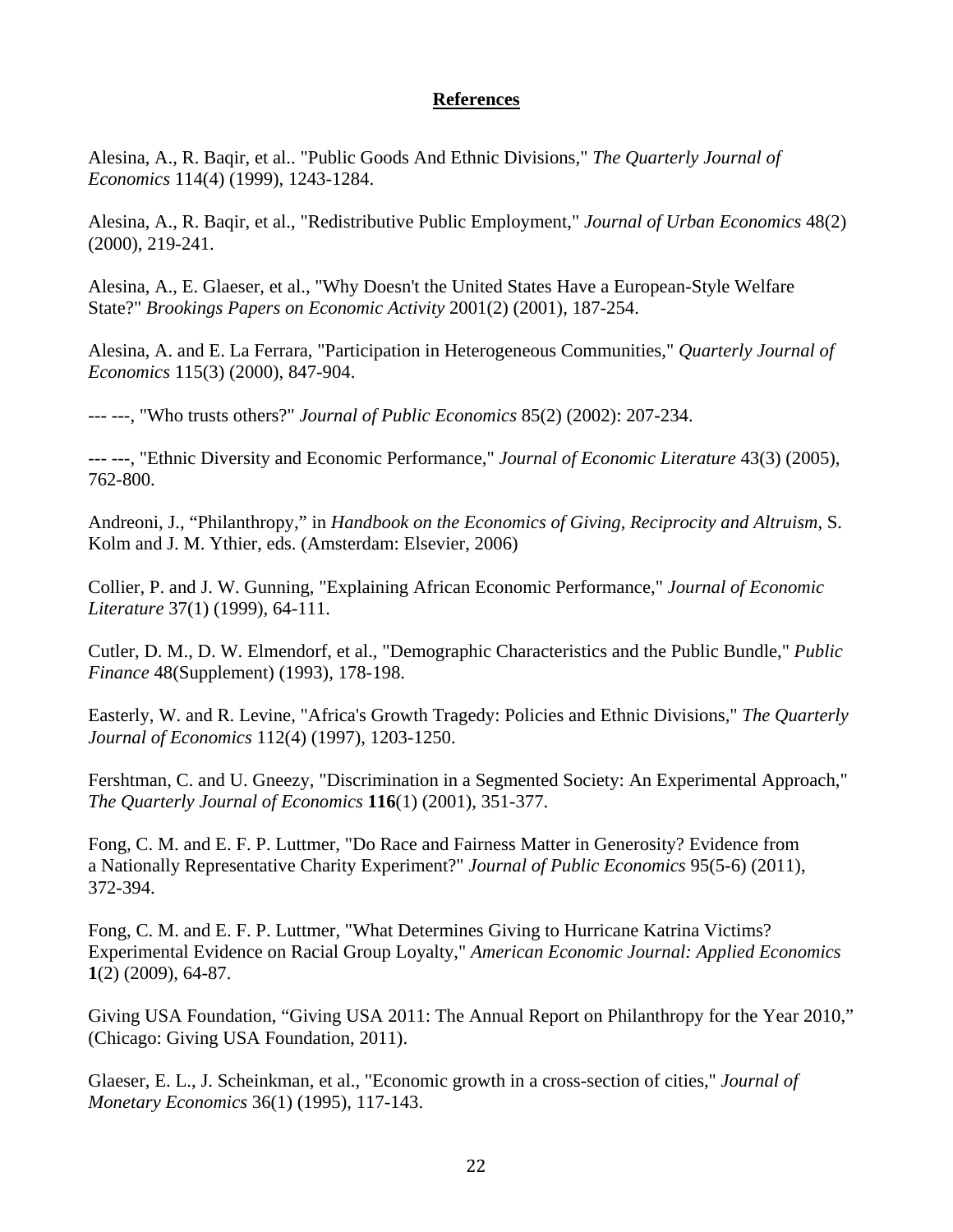# **References**

Alesina, A., R. Baqir, et al.. "Public Goods And Ethnic Divisions," *The Quarterly Journal of Economics* 114(4) (1999), 1243-1284.

Alesina, A., R. Baqir, et al., "Redistributive Public Employment," *Journal of Urban Economics* 48(2) (2000), 219-241.

Alesina, A., E. Glaeser, et al., "Why Doesn't the United States Have a European-Style Welfare State?" *Brookings Papers on Economic Activity* 2001(2) (2001), 187-254.

Alesina, A. and E. La Ferrara, "Participation in Heterogeneous Communities," *Quarterly Journal of Economics* 115(3) (2000), 847-904.

--- ---, "Who trusts others?" *Journal of Public Economics* 85(2) (2002): 207-234.

--- ---, "Ethnic Diversity and Economic Performance," *Journal of Economic Literature* 43(3) (2005), 762-800.

Andreoni, J., "Philanthropy," in *Handbook on the Economics of Giving, Reciprocity and Altruism*, S. Kolm and J. M. Ythier, eds. (Amsterdam: Elsevier, 2006)

Collier, P. and J. W. Gunning, "Explaining African Economic Performance," *Journal of Economic Literature* 37(1) (1999), 64-111.

Cutler, D. M., D. W. Elmendorf, et al., "Demographic Characteristics and the Public Bundle," *Public Finance* 48(Supplement) (1993), 178-198.

Easterly, W. and R. Levine, "Africa's Growth Tragedy: Policies and Ethnic Divisions," *The Quarterly Journal of Economics* 112(4) (1997), 1203-1250.

Fershtman, C. and U. Gneezy, "Discrimination in a Segmented Society: An Experimental Approach," *The Quarterly Journal of Economics* **116**(1) (2001), 351-377.

Fong, C. M. and E. F. P. Luttmer, "Do Race and Fairness Matter in Generosity? Evidence from a Nationally Representative Charity Experiment?" *Journal of Public Economics* 95(5-6) (2011), 372-394.

Fong, C. M. and E. F. P. Luttmer, "What Determines Giving to Hurricane Katrina Victims? Experimental Evidence on Racial Group Loyalty," *American Economic Journal: Applied Economics* **1**(2) (2009), 64-87.

Giving USA Foundation, "Giving USA 2011: The Annual Report on Philanthropy for the Year 2010," (Chicago: Giving USA Foundation, 2011).

Glaeser, E. L., J. Scheinkman, et al., "Economic growth in a cross-section of cities," *Journal of Monetary Economics* 36(1) (1995), 117-143.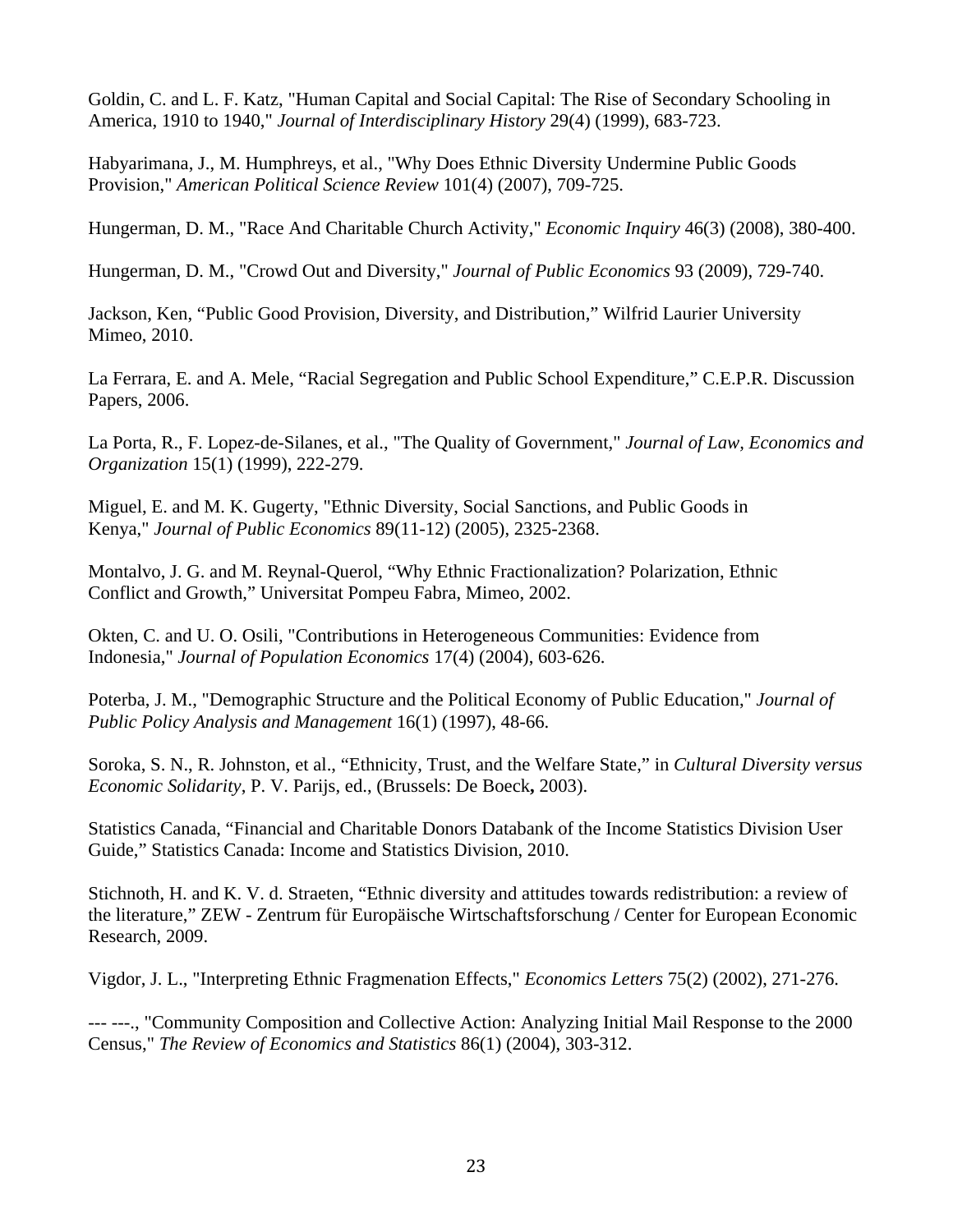Goldin, C. and L. F. Katz, "Human Capital and Social Capital: The Rise of Secondary Schooling in America, 1910 to 1940," *Journal of Interdisciplinary History* 29(4) (1999), 683-723.

Habyarimana, J., M. Humphreys, et al., "Why Does Ethnic Diversity Undermine Public Goods Provision," *American Political Science Review* 101(4) (2007), 709-725.

Hungerman, D. M., "Race And Charitable Church Activity," *Economic Inquiry* 46(3) (2008), 380-400.

Hungerman, D. M., "Crowd Out and Diversity," *Journal of Public Economics* 93 (2009), 729-740.

Jackson, Ken, "Public Good Provision, Diversity, and Distribution," Wilfrid Laurier University Mimeo, 2010.

La Ferrara, E. and A. Mele, "Racial Segregation and Public School Expenditure," C.E.P.R. Discussion Papers, 2006.

La Porta, R., F. Lopez-de-Silanes, et al., "The Quality of Government," *Journal of Law, Economics and Organization* 15(1) (1999), 222-279.

Miguel, E. and M. K. Gugerty, "Ethnic Diversity, Social Sanctions, and Public Goods in Kenya," *Journal of Public Economics* 89(11-12) (2005), 2325-2368.

Montalvo, J. G. and M. Reynal-Querol, "Why Ethnic Fractionalization? Polarization, Ethnic Conflict and Growth," Universitat Pompeu Fabra, Mimeo, 2002.

Okten, C. and U. O. Osili, "Contributions in Heterogeneous Communities: Evidence from Indonesia," *Journal of Population Economics* 17(4) (2004), 603-626.

Poterba, J. M., "Demographic Structure and the Political Economy of Public Education," *Journal of Public Policy Analysis and Management* 16(1) (1997), 48-66.

Soroka, S. N., R. Johnston, et al., "Ethnicity, Trust, and the Welfare State," in *Cultural Diversity versus Economic Solidarity*, P. V. Parijs, ed., (Brussels: De Boeck**,** 2003).

Statistics Canada, "Financial and Charitable Donors Databank of the Income Statistics Division User Guide," Statistics Canada: Income and Statistics Division, 2010.

Stichnoth, H. and K. V. d. Straeten, "Ethnic diversity and attitudes towards redistribution: a review of the literature," ZEW - Zentrum für Europäische Wirtschaftsforschung / Center for European Economic Research, 2009.

Vigdor, J. L., "Interpreting Ethnic Fragmenation Effects," *Economics Letters* 75(2) (2002), 271-276.

--- ---., "Community Composition and Collective Action: Analyzing Initial Mail Response to the 2000 Census," *The Review of Economics and Statistics* 86(1) (2004), 303-312.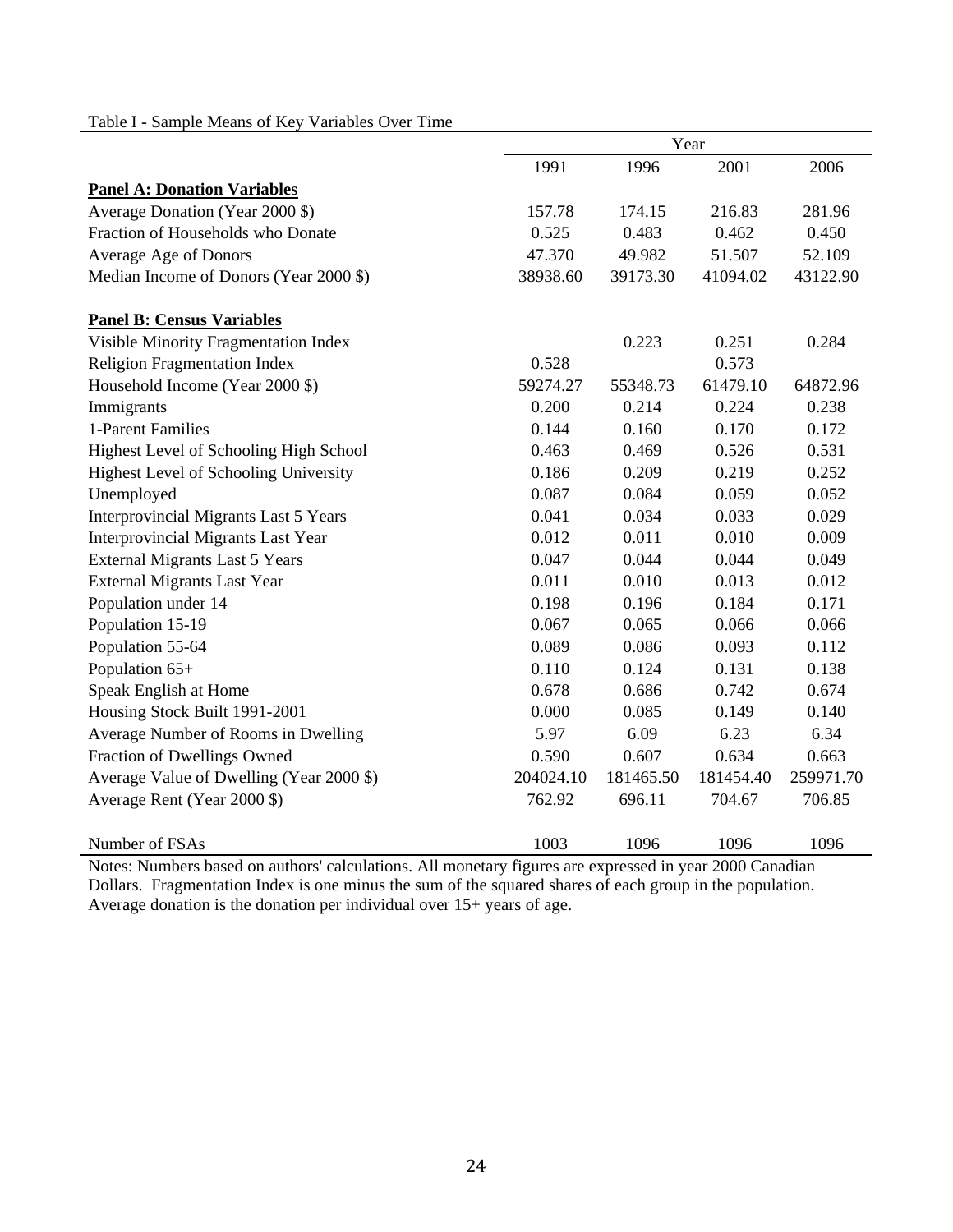|                                           | Year      |           |           |           |  |
|-------------------------------------------|-----------|-----------|-----------|-----------|--|
|                                           | 1991      | 1996      | 2001      | 2006      |  |
| <b>Panel A: Donation Variables</b>        |           |           |           |           |  |
| Average Donation (Year 2000 \$)           | 157.78    | 174.15    | 216.83    | 281.96    |  |
| Fraction of Households who Donate         | 0.525     | 0.483     | 0.462     | 0.450     |  |
| Average Age of Donors                     | 47.370    | 49.982    | 51.507    | 52.109    |  |
| Median Income of Donors (Year 2000 \$)    | 38938.60  | 39173.30  | 41094.02  | 43122.90  |  |
|                                           |           |           |           |           |  |
| <b>Panel B: Census Variables</b>          |           |           |           |           |  |
| Visible Minority Fragmentation Index      |           | 0.223     | 0.251     | 0.284     |  |
| <b>Religion Fragmentation Index</b>       | 0.528     |           | 0.573     |           |  |
| Household Income (Year 2000 \$)           | 59274.27  | 55348.73  | 61479.10  | 64872.96  |  |
| Immigrants                                | 0.200     | 0.214     | 0.224     | 0.238     |  |
| 1-Parent Families                         | 0.144     | 0.160     | 0.170     | 0.172     |  |
| Highest Level of Schooling High School    | 0.463     | 0.469     | 0.526     | 0.531     |  |
| Highest Level of Schooling University     | 0.186     | 0.209     | 0.219     | 0.252     |  |
| Unemployed                                | 0.087     | 0.084     | 0.059     | 0.052     |  |
| Interprovincial Migrants Last 5 Years     | 0.041     | 0.034     | 0.033     | 0.029     |  |
| <b>Interprovincial Migrants Last Year</b> | 0.012     | 0.011     | 0.010     | 0.009     |  |
| <b>External Migrants Last 5 Years</b>     | 0.047     | 0.044     | 0.044     | 0.049     |  |
| <b>External Migrants Last Year</b>        | 0.011     | 0.010     | 0.013     | 0.012     |  |
| Population under 14                       | 0.198     | 0.196     | 0.184     | 0.171     |  |
| Population 15-19                          | 0.067     | 0.065     | 0.066     | 0.066     |  |
| Population 55-64                          | 0.089     | 0.086     | 0.093     | 0.112     |  |
| Population 65+                            | 0.110     | 0.124     | 0.131     | 0.138     |  |
| Speak English at Home                     | 0.678     | 0.686     | 0.742     | 0.674     |  |
| Housing Stock Built 1991-2001             | 0.000     | 0.085     | 0.149     | 0.140     |  |
| Average Number of Rooms in Dwelling       | 5.97      | 6.09      | 6.23      | 6.34      |  |
| Fraction of Dwellings Owned               | 0.590     | 0.607     | 0.634     | 0.663     |  |
| Average Value of Dwelling (Year 2000 \$)  | 204024.10 | 181465.50 | 181454.40 | 259971.70 |  |
| Average Rent (Year 2000 \$)               | 762.92    | 696.11    | 704.67    | 706.85    |  |
| Number of FSAs                            | 1003      | 1096      | 1096      | 1096      |  |

Table I - Sample Means of Key Variables Over Time

Notes: Numbers based on authors' calculations. All monetary figures are expressed in year 2000 Canadian Dollars. Fragmentation Index is one minus the sum of the squared shares of each group in the population. Average donation is the donation per individual over 15+ years of age.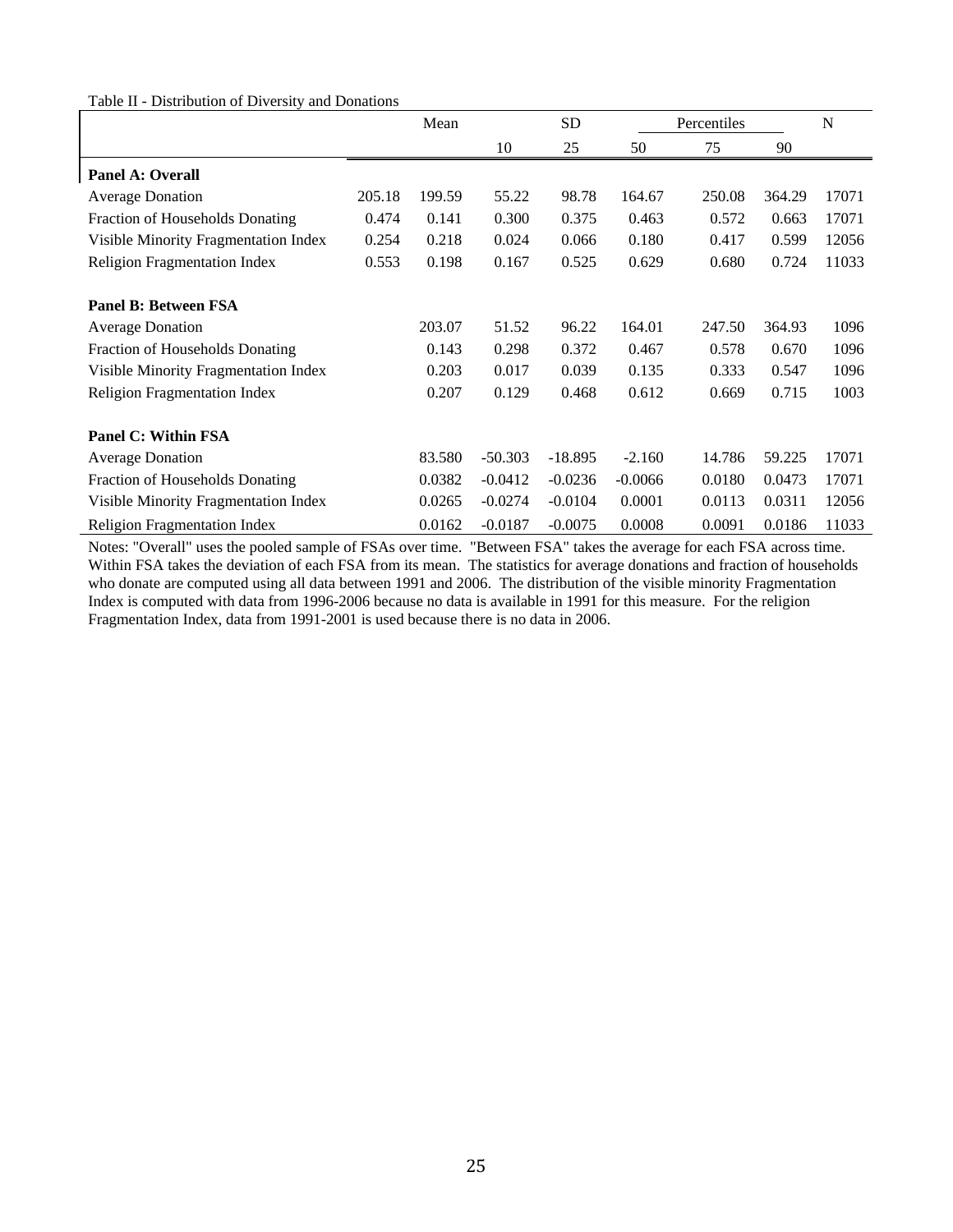#### Table II - Distribution of Diversity and Donations

|                                      |        | Mean   |           | <b>SD</b> |           | Percentiles |        | N     |
|--------------------------------------|--------|--------|-----------|-----------|-----------|-------------|--------|-------|
|                                      |        |        | 10        | 25        | 50        | 75          | 90     |       |
| <b>Panel A: Overall</b>              |        |        |           |           |           |             |        |       |
| <b>Average Donation</b>              | 205.18 | 199.59 | 55.22     | 98.78     | 164.67    | 250.08      | 364.29 | 17071 |
| Fraction of Households Donating      | 0.474  | 0.141  | 0.300     | 0.375     | 0.463     | 0.572       | 0.663  | 17071 |
| Visible Minority Fragmentation Index | 0.254  | 0.218  | 0.024     | 0.066     | 0.180     | 0.417       | 0.599  | 12056 |
| <b>Religion Fragmentation Index</b>  | 0.553  | 0.198  | 0.167     | 0.525     | 0.629     | 0.680       | 0.724  | 11033 |
| <b>Panel B: Between FSA</b>          |        |        |           |           |           |             |        |       |
| <b>Average Donation</b>              |        | 203.07 | 51.52     | 96.22     | 164.01    | 247.50      | 364.93 | 1096  |
| Fraction of Households Donating      |        | 0.143  | 0.298     | 0.372     | 0.467     | 0.578       | 0.670  | 1096  |
| Visible Minority Fragmentation Index |        | 0.203  | 0.017     | 0.039     | 0.135     | 0.333       | 0.547  | 1096  |
| <b>Religion Fragmentation Index</b>  |        | 0.207  | 0.129     | 0.468     | 0.612     | 0.669       | 0.715  | 1003  |
| <b>Panel C: Within FSA</b>           |        |        |           |           |           |             |        |       |
| <b>Average Donation</b>              |        | 83.580 | $-50.303$ | $-18.895$ | $-2.160$  | 14.786      | 59.225 | 17071 |
| Fraction of Households Donating      |        | 0.0382 | $-0.0412$ | $-0.0236$ | $-0.0066$ | 0.0180      | 0.0473 | 17071 |
| Visible Minority Fragmentation Index |        | 0.0265 | $-0.0274$ | $-0.0104$ | 0.0001    | 0.0113      | 0.0311 | 12056 |
| <b>Religion Fragmentation Index</b>  |        | 0.0162 | $-0.0187$ | $-0.0075$ | 0.0008    | 0.0091      | 0.0186 | 11033 |

Notes: "Overall" uses the pooled sample of FSAs over time. "Between FSA" takes the average for each FSA across time. Within FSA takes the deviation of each FSA from its mean. The statistics for average donations and fraction of households who donate are computed using all data between 1991 and 2006. The distribution of the visible minority Fragmentation Index is computed with data from 1996-2006 because no data is available in 1991 for this measure. For the religion Fragmentation Index, data from 1991-2001 is used because there is no data in 2006.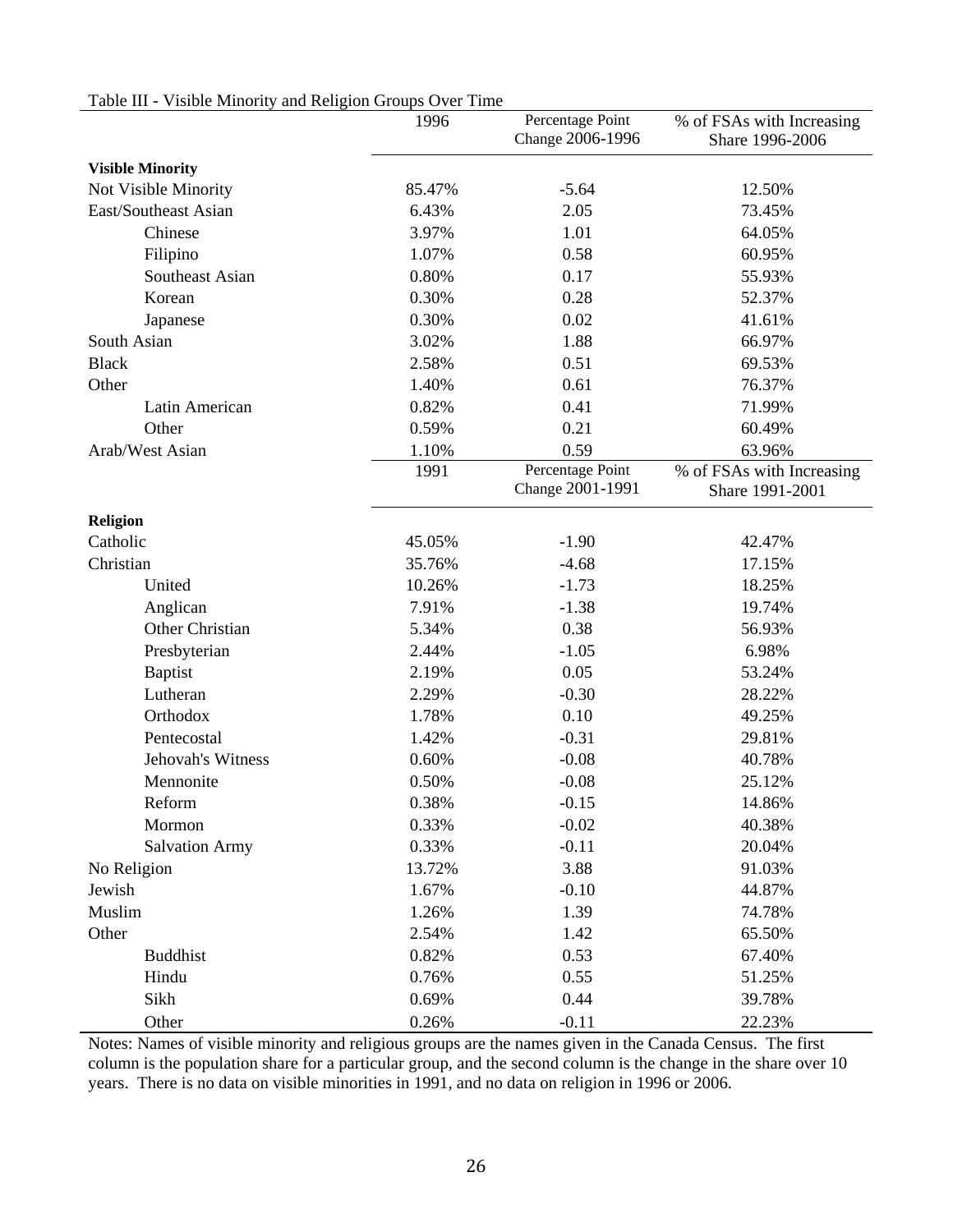| Lable III - VISIDIC MINOTITY and INCHERON OTOUPS OVER THING | 1996   | Percentage Point<br>Change 2006-1996 | % of FSAs with Increasing<br>Share 1996-2006 |
|-------------------------------------------------------------|--------|--------------------------------------|----------------------------------------------|
| <b>Visible Minority</b>                                     |        |                                      |                                              |
| Not Visible Minority                                        | 85.47% | $-5.64$                              | 12.50%                                       |
| East/Southeast Asian                                        | 6.43%  | 2.05                                 | 73.45%                                       |
| Chinese                                                     | 3.97%  | 1.01                                 | 64.05%                                       |
| Filipino                                                    | 1.07%  | 0.58                                 | 60.95%                                       |
| Southeast Asian                                             | 0.80%  | 0.17                                 | 55.93%                                       |
| Korean                                                      | 0.30%  | 0.28                                 | 52.37%                                       |
| Japanese                                                    | 0.30%  | 0.02                                 | 41.61%                                       |
| South Asian                                                 | 3.02%  | 1.88                                 | 66.97%                                       |
| <b>Black</b>                                                | 2.58%  | 0.51                                 | 69.53%                                       |
| Other                                                       | 1.40%  | 0.61                                 | 76.37%                                       |
| Latin American                                              | 0.82%  | 0.41                                 | 71.99%                                       |
| Other                                                       | 0.59%  | 0.21                                 | 60.49%                                       |
| Arab/West Asian                                             | 1.10%  | 0.59                                 | 63.96%                                       |
|                                                             | 1991   | Percentage Point<br>Change 2001-1991 | % of FSAs with Increasing<br>Share 1991-2001 |
| Religion                                                    |        |                                      |                                              |
| Catholic                                                    | 45.05% | $-1.90$                              | 42.47%                                       |
| Christian                                                   | 35.76% | $-4.68$                              | 17.15%                                       |
| United                                                      | 10.26% | $-1.73$                              | 18.25%                                       |
| Anglican                                                    | 7.91%  | $-1.38$                              | 19.74%                                       |
| Other Christian                                             | 5.34%  | 0.38                                 | 56.93%                                       |
| Presbyterian                                                | 2.44%  | $-1.05$                              | 6.98%                                        |
| <b>Baptist</b>                                              | 2.19%  | 0.05                                 | 53.24%                                       |
| Lutheran                                                    | 2.29%  | $-0.30$                              | 28.22%                                       |
| Orthodox                                                    | 1.78%  | 0.10                                 | 49.25%                                       |
| Pentecostal                                                 | 1.42%  | $-0.31$                              | 29.81%                                       |
| Jehovah's Witness                                           | 0.60%  | $-0.08$                              | 40.78%                                       |
| Mennonite                                                   | 0.50%  | $-0.08$                              | 25.12%                                       |
| Reform                                                      | 0.38%  | $-0.15$                              | 14.86%                                       |
| Mormon                                                      | 0.33%  | $-0.02$                              | 40.38%                                       |
| <b>Salvation Army</b>                                       | 0.33%  | $-0.11$                              | 20.04%                                       |
| No Religion                                                 | 13.72% | 3.88                                 | 91.03%                                       |
| Jewish                                                      | 1.67%  | $-0.10$                              | 44.87%                                       |
| Muslim                                                      | 1.26%  | 1.39                                 | 74.78%                                       |
| Other                                                       | 2.54%  | 1.42                                 | 65.50%                                       |
| <b>Buddhist</b>                                             | 0.82%  | 0.53                                 | 67.40%                                       |
| Hindu                                                       | 0.76%  | 0.55                                 | 51.25%                                       |
| Sikh                                                        | 0.69%  | 0.44                                 | 39.78%                                       |
| Other                                                       | 0.26%  | $-0.11$                              | 22.23%                                       |

# Table III - Visible Minority and Religion Groups Over Time

Notes: Names of visible minority and religious groups are the names given in the Canada Census. The first column is the population share for a particular group, and the second column is the change in the share over 10 years. There is no data on visible minorities in 1991, and no data on religion in 1996 or 2006.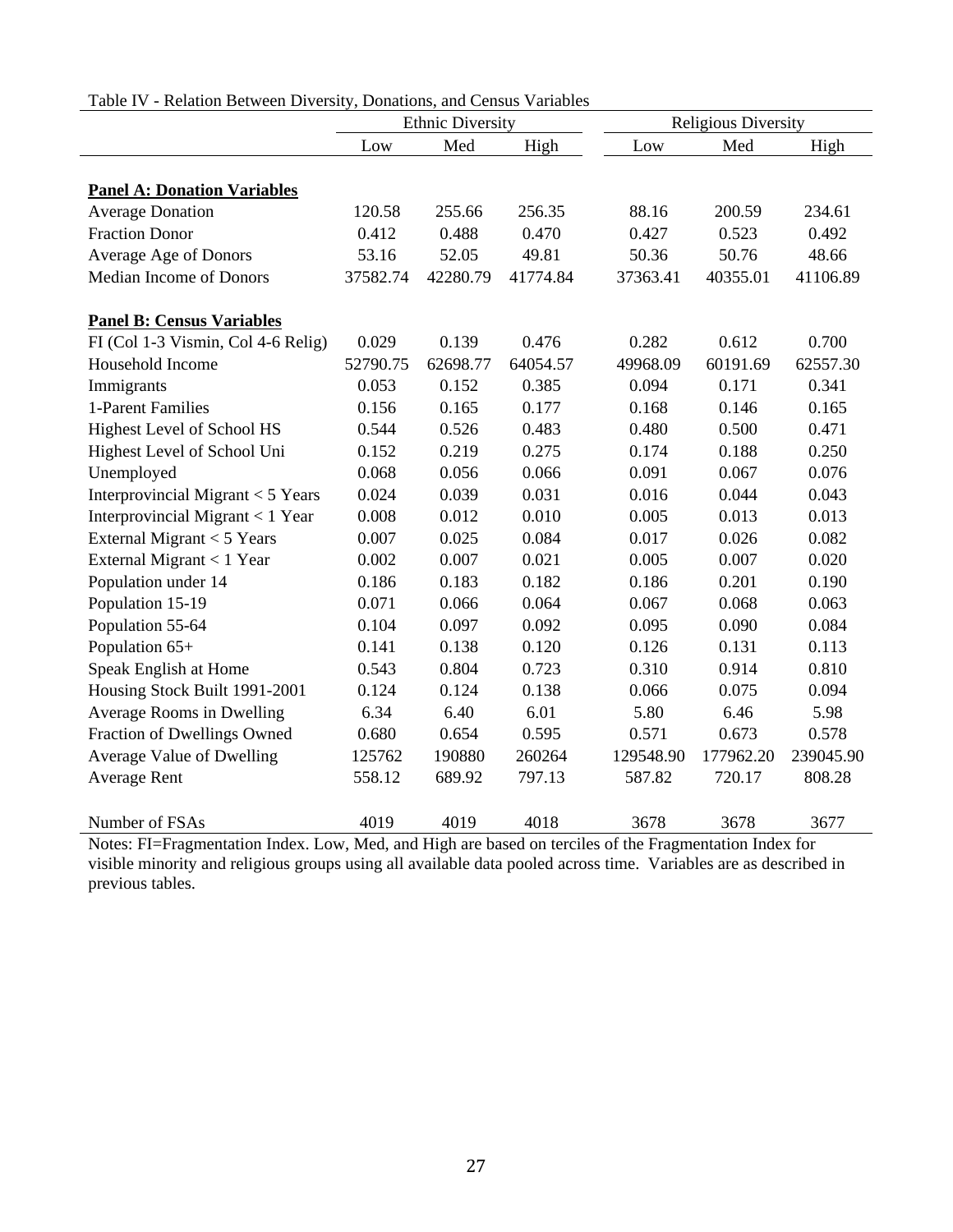|  | Table IV - Relation Between Diversity, Donations, and Census Variables |  |  |  |  |
|--|------------------------------------------------------------------------|--|--|--|--|
|--|------------------------------------------------------------------------|--|--|--|--|

|                                                                                            | <b>Ethnic Diversity</b> |          |                                                                            |           | <b>Religious Diversity</b>                                                              |           |
|--------------------------------------------------------------------------------------------|-------------------------|----------|----------------------------------------------------------------------------|-----------|-----------------------------------------------------------------------------------------|-----------|
|                                                                                            | Low                     | Med      | High                                                                       | Low       | Med                                                                                     | High      |
|                                                                                            |                         |          |                                                                            |           |                                                                                         |           |
| <b>Panel A: Donation Variables</b>                                                         |                         |          |                                                                            |           |                                                                                         |           |
| <b>Average Donation</b>                                                                    | 120.58                  | 255.66   | 256.35                                                                     | 88.16     | 200.59                                                                                  | 234.61    |
| <b>Fraction Donor</b>                                                                      | 0.412                   | 0.488    | 0.470                                                                      | 0.427     | 0.523                                                                                   | 0.492     |
| Average Age of Donors                                                                      | 53.16                   | 52.05    | 49.81                                                                      | 50.36     | 50.76                                                                                   | 48.66     |
| Median Income of Donors                                                                    | 37582.74                | 42280.79 | 41774.84                                                                   | 37363.41  | 40355.01                                                                                | 41106.89  |
| <b>Panel B: Census Variables</b>                                                           |                         |          |                                                                            |           |                                                                                         |           |
| FI (Col 1-3 Vismin, Col 4-6 Relig)                                                         | 0.029                   | 0.139    | 0.476                                                                      | 0.282     | 0.612                                                                                   | 0.700     |
| Household Income                                                                           | 52790.75                | 62698.77 | 64054.57                                                                   | 49968.09  | 60191.69                                                                                | 62557.30  |
| Immigrants                                                                                 | 0.053                   | 0.152    | 0.385                                                                      | 0.094     | 0.171                                                                                   | 0.341     |
| 1-Parent Families                                                                          | 0.156                   | 0.165    | 0.177                                                                      | 0.168     | 0.146                                                                                   | 0.165     |
| Highest Level of School HS                                                                 | 0.544                   | 0.526    | 0.483                                                                      | 0.480     | 0.500                                                                                   | 0.471     |
| Highest Level of School Uni                                                                | 0.152                   | 0.219    | 0.275                                                                      | 0.174     | 0.188                                                                                   | 0.250     |
| Unemployed                                                                                 | 0.068                   | 0.056    | 0.066                                                                      | 0.091     | 0.067                                                                                   | 0.076     |
| Interprovincial Migrant < 5 Years                                                          | 0.024                   | 0.039    | 0.031                                                                      | 0.016     | 0.044                                                                                   | 0.043     |
| Interprovincial Migrant < 1 Year                                                           | 0.008                   | 0.012    | 0.010                                                                      | 0.005     | 0.013                                                                                   | 0.013     |
| External Migrant $<$ 5 Years                                                               | 0.007                   | 0.025    | 0.084                                                                      | 0.017     | 0.026                                                                                   | 0.082     |
| External Migrant < 1 Year                                                                  | 0.002                   | 0.007    | 0.021                                                                      | 0.005     | 0.007                                                                                   | 0.020     |
| Population under 14                                                                        | 0.186                   | 0.183    | 0.182                                                                      | 0.186     | 0.201                                                                                   | 0.190     |
| Population 15-19                                                                           | 0.071                   | 0.066    | 0.064                                                                      | 0.067     | 0.068                                                                                   | 0.063     |
| Population 55-64                                                                           | 0.104                   | 0.097    | 0.092                                                                      | 0.095     | 0.090                                                                                   | 0.084     |
| Population 65+                                                                             | 0.141                   | 0.138    | 0.120                                                                      | 0.126     | 0.131                                                                                   | 0.113     |
| Speak English at Home                                                                      | 0.543                   | 0.804    | 0.723                                                                      | 0.310     | 0.914                                                                                   | 0.810     |
| Housing Stock Built 1991-2001                                                              | 0.124                   | 0.124    | 0.138                                                                      | 0.066     | 0.075                                                                                   | 0.094     |
| Average Rooms in Dwelling                                                                  | 6.34                    | 6.40     | 6.01                                                                       | 5.80      | 6.46                                                                                    | 5.98      |
| Fraction of Dwellings Owned                                                                | 0.680                   | 0.654    | 0.595                                                                      | 0.571     | 0.673                                                                                   | 0.578     |
| Average Value of Dwelling                                                                  | 125762                  | 190880   | 260264                                                                     | 129548.90 | 177962.20                                                                               | 239045.90 |
| Average Rent                                                                               | 558.12                  | 689.92   | 797.13                                                                     | 587.82    | 720.17                                                                                  | 808.28    |
| Number of FSAs<br>$\alpha$ and $\alpha$ and $\alpha$ . The effect of $\alpha$ and $\alpha$ | 4019                    | 4019     | 4018<br>$M_1 A_2$ and $H_2 A_3$ are transitional and $A_1$ and $A_2 A_3$ . | 3678      | 3678<br>$\mathbf{A}$ is a set of $\mathbf{A}$ and $\mathbf{A}$ is a set of $\mathbf{A}$ | 3677      |

Notes: FI=Fragmentation Index. Low, Med, and High are based on terciles of the Fragmentation Index for visible minority and religious groups using all available data pooled across time. Variables are as described in previous tables.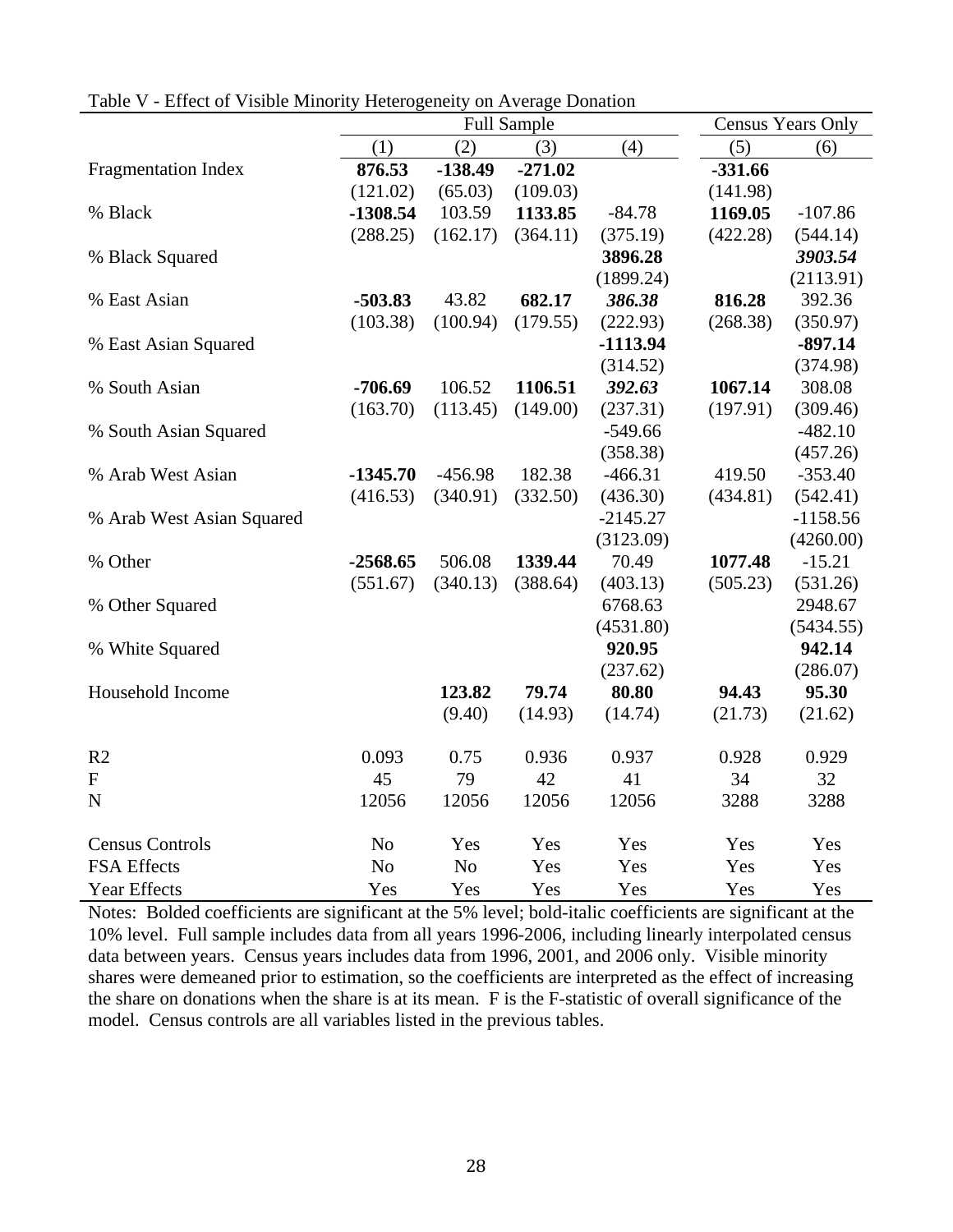| <b>ELICCO</b> THEOR IMMORITY |            | $r_{\rm L}$ , $r_{\rm L}$ , $r_{\rm L}$ , $r_{\rm L}$ , $r_{\rm L}$ , $r_{\rm L}$ , $r_{\rm L}$ , $r_{\rm L}$ , $r_{\rm L}$ , $r_{\rm L}$<br><b>Full Sample</b> | <b>Census Years Only</b> |            |           |            |
|------------------------------|------------|-----------------------------------------------------------------------------------------------------------------------------------------------------------------|--------------------------|------------|-----------|------------|
|                              | (1)        | (2)                                                                                                                                                             | (3)                      | (4)        | (5)       | (6)        |
| <b>Fragmentation Index</b>   | 876.53     | $-138.49$                                                                                                                                                       | $-271.02$                |            | $-331.66$ |            |
|                              | (121.02)   | (65.03)                                                                                                                                                         | (109.03)                 |            | (141.98)  |            |
| % Black                      | $-1308.54$ | 103.59                                                                                                                                                          | 1133.85                  | $-84.78$   | 1169.05   | $-107.86$  |
|                              | (288.25)   | (162.17)                                                                                                                                                        | (364.11)                 | (375.19)   | (422.28)  | (544.14)   |
| % Black Squared              |            |                                                                                                                                                                 |                          | 3896.28    |           | 3903.54    |
|                              |            |                                                                                                                                                                 |                          | (1899.24)  |           | (2113.91)  |
| % East Asian                 | $-503.83$  | 43.82                                                                                                                                                           | 682.17                   | 386.38     | 816.28    | 392.36     |
|                              | (103.38)   | (100.94)                                                                                                                                                        | (179.55)                 | (222.93)   | (268.38)  | (350.97)   |
| % East Asian Squared         |            |                                                                                                                                                                 |                          | $-1113.94$ |           | $-897.14$  |
|                              |            |                                                                                                                                                                 |                          | (314.52)   |           | (374.98)   |
| % South Asian                | $-706.69$  | 106.52                                                                                                                                                          | 1106.51                  | 392.63     | 1067.14   | 308.08     |
|                              | (163.70)   | (113.45)                                                                                                                                                        | (149.00)                 | (237.31)   | (197.91)  | (309.46)   |
| % South Asian Squared        |            |                                                                                                                                                                 |                          | $-549.66$  |           | $-482.10$  |
|                              |            |                                                                                                                                                                 |                          | (358.38)   |           | (457.26)   |
| % Arab West Asian            | $-1345.70$ | $-456.98$                                                                                                                                                       | 182.38                   | $-466.31$  | 419.50    | $-353.40$  |
|                              | (416.53)   | (340.91)                                                                                                                                                        | (332.50)                 | (436.30)   | (434.81)  | (542.41)   |
| % Arab West Asian Squared    |            |                                                                                                                                                                 |                          | $-2145.27$ |           | $-1158.56$ |
|                              |            |                                                                                                                                                                 |                          | (3123.09)  |           | (4260.00)  |
| % Other                      | $-2568.65$ | 506.08                                                                                                                                                          | 1339.44                  | 70.49      | 1077.48   | $-15.21$   |
|                              | (551.67)   | (340.13)                                                                                                                                                        | (388.64)                 | (403.13)   | (505.23)  | (531.26)   |
| % Other Squared              |            |                                                                                                                                                                 |                          | 6768.63    |           | 2948.67    |
|                              |            |                                                                                                                                                                 |                          | (4531.80)  |           | (5434.55)  |
| % White Squared              |            |                                                                                                                                                                 |                          | 920.95     |           | 942.14     |
|                              |            |                                                                                                                                                                 |                          | (237.62)   |           | (286.07)   |
| Household Income             |            | 123.82                                                                                                                                                          | 79.74                    | 80.80      | 94.43     | 95.30      |
|                              |            | (9.40)                                                                                                                                                          | (14.93)                  | (14.74)    | (21.73)   | (21.62)    |
| R <sub>2</sub>               | 0.093      | 0.75                                                                                                                                                            | 0.936                    | 0.937      | 0.928     | 0.929      |
| ${\bf F}$                    | 45         | 79                                                                                                                                                              | 42                       | 41         | 34        | 32         |
| ${\bf N}$                    | 12056      | 12056                                                                                                                                                           | 12056                    | 12056      | 3288      | 3288       |
| <b>Census Controls</b>       | No         | Yes                                                                                                                                                             | Yes                      | Yes        | Yes       | Yes        |
| FSA Effects                  | No         | No                                                                                                                                                              | Yes                      | Yes        | Yes       | Yes        |
| <b>Year Effects</b>          | Yes        | Yes                                                                                                                                                             | Yes                      | Yes        | Yes       | Yes        |

Table V - Effect of Visible Minority Heterogeneity on Average Donation

Notes: Bolded coefficients are significant at the 5% level; bold-italic coefficients are significant at the 10% level. Full sample includes data from all years 1996-2006, including linearly interpolated census data between years. Census years includes data from 1996, 2001, and 2006 only. Visible minority shares were demeaned prior to estimation, so the coefficients are interpreted as the effect of increasing the share on donations when the share is at its mean. F is the F-statistic of overall significance of the model. Census controls are all variables listed in the previous tables.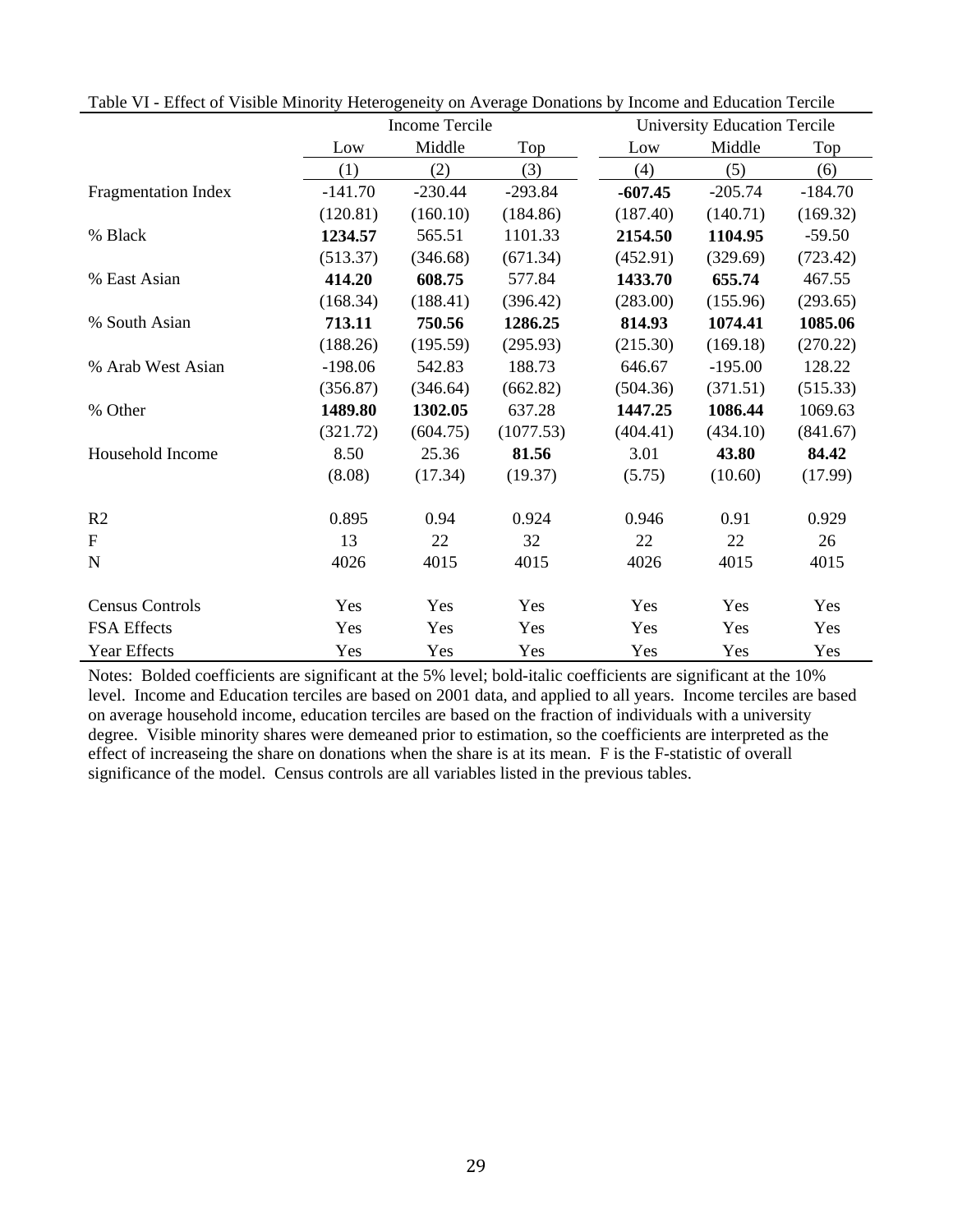|                        |           | Income Tercile |           |           | <b>University Education Tercile</b> |           |
|------------------------|-----------|----------------|-----------|-----------|-------------------------------------|-----------|
|                        | Low       | Middle         | Top       | Low       | Middle                              | Top       |
|                        | (1)       | (2)            | (3)       | (4)       | (5)                                 | (6)       |
| Fragmentation Index    | $-141.70$ | $-230.44$      | $-293.84$ | $-607.45$ | $-205.74$                           | $-184.70$ |
|                        | (120.81)  | (160.10)       | (184.86)  | (187.40)  | (140.71)                            | (169.32)  |
| % Black                | 1234.57   | 565.51         | 1101.33   | 2154.50   | 1104.95                             | $-59.50$  |
|                        | (513.37)  | (346.68)       | (671.34)  | (452.91)  | (329.69)                            | (723.42)  |
| % East Asian           | 414.20    | 608.75         | 577.84    | 1433.70   | 655.74                              | 467.55    |
|                        | (168.34)  | (188.41)       | (396.42)  | (283.00)  | (155.96)                            | (293.65)  |
| % South Asian          | 713.11    | 750.56         | 1286.25   | 814.93    | 1074.41                             | 1085.06   |
|                        | (188.26)  | (195.59)       | (295.93)  | (215.30)  | (169.18)                            | (270.22)  |
| % Arab West Asian      | $-198.06$ | 542.83         | 188.73    | 646.67    | $-195.00$                           | 128.22    |
|                        | (356.87)  | (346.64)       | (662.82)  | (504.36)  | (371.51)                            | (515.33)  |
| % Other                | 1489.80   | 1302.05        | 637.28    | 1447.25   | 1086.44                             | 1069.63   |
|                        | (321.72)  | (604.75)       | (1077.53) | (404.41)  | (434.10)                            | (841.67)  |
| Household Income       | 8.50      | 25.36          | 81.56     | 3.01      | 43.80                               | 84.42     |
|                        | (8.08)    | (17.34)        | (19.37)   | (5.75)    | (10.60)                             | (17.99)   |
| R <sub>2</sub>         | 0.895     | 0.94           | 0.924     | 0.946     | 0.91                                | 0.929     |
| $\mathbf{F}$           | 13        | 22             | 32        | 22        | 22                                  | 26        |
| $\mathbf N$            | 4026      | 4015           | 4015      | 4026      | 4015                                | 4015      |
| <b>Census Controls</b> | Yes       | Yes            | Yes       | Yes       | Yes                                 | Yes       |
| FSA Effects            | Yes       | Yes            | Yes       | Yes       | Yes                                 | Yes       |
| <b>Year Effects</b>    | Yes       | Yes            | Yes       | Yes       | Yes                                 | Yes       |

Table VI - Effect of Visible Minority Heterogeneity on Average Donations by Income and Education Tercile

Notes: Bolded coefficients are significant at the 5% level; bold-italic coefficients are significant at the 10% level. Income and Education terciles are based on 2001 data, and applied to all years. Income terciles are based on average household income, education terciles are based on the fraction of individuals with a university degree. Visible minority shares were demeaned prior to estimation, so the coefficients are interpreted as the effect of increaseing the share on donations when the share is at its mean. F is the F-statistic of overall significance of the model. Census controls are all variables listed in the previous tables.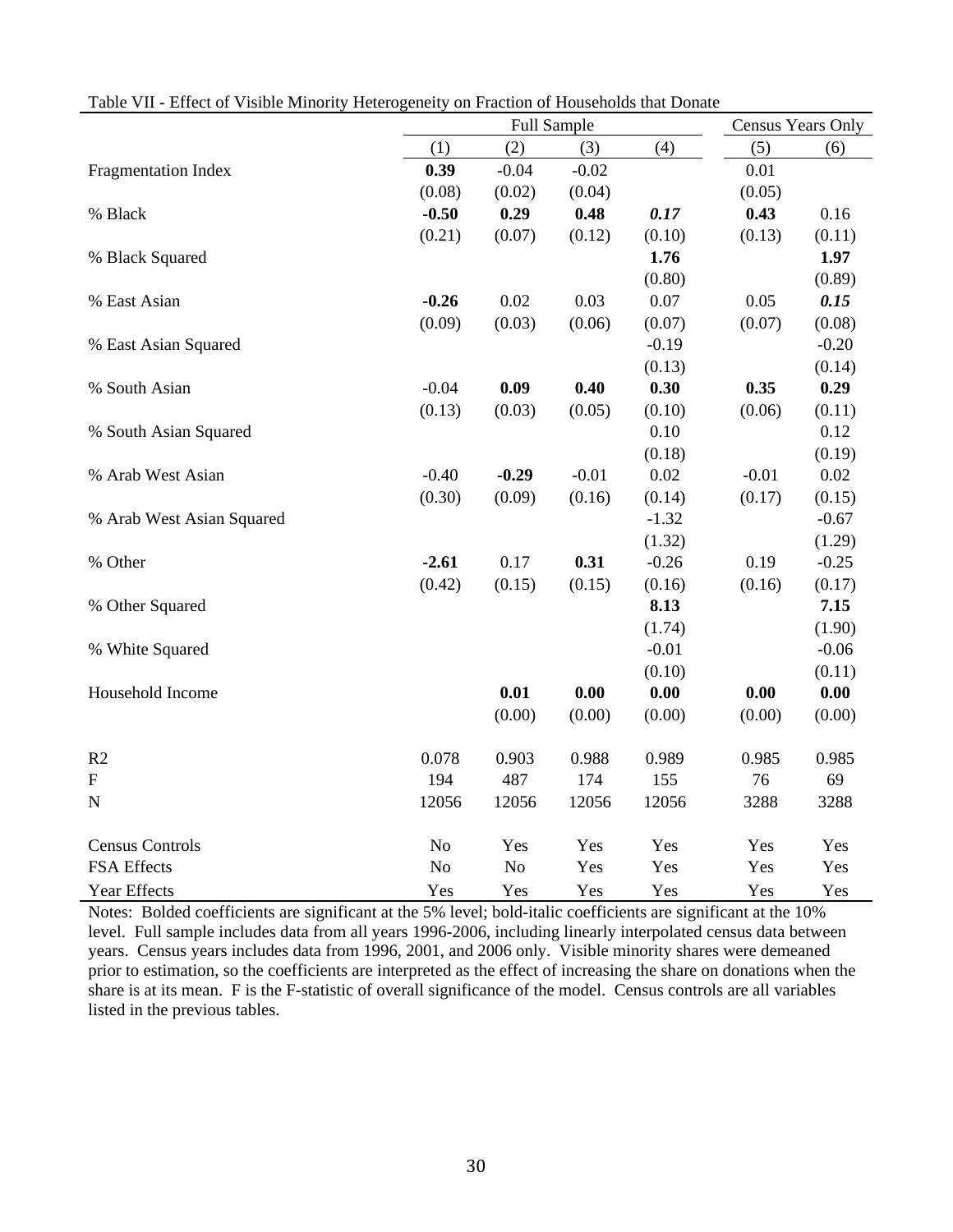|                           | Full Sample    |                |         |         | Census Years Only |          |  |
|---------------------------|----------------|----------------|---------|---------|-------------------|----------|--|
|                           | (1)            | (2)            | (3)     | (4)     | (5)               | (6)      |  |
| Fragmentation Index       | 0.39           | $-0.04$        | $-0.02$ |         | 0.01              |          |  |
|                           | (0.08)         | (0.02)         | (0.04)  |         | (0.05)            |          |  |
| % Black                   | $-0.50$        | 0.29           | 0.48    | 0.17    | 0.43              | 0.16     |  |
|                           | (0.21)         | (0.07)         | (0.12)  | (0.10)  | (0.13)            | (0.11)   |  |
| % Black Squared           |                |                |         | 1.76    |                   | 1.97     |  |
|                           |                |                |         | (0.80)  |                   | (0.89)   |  |
| % East Asian              | $-0.26$        | 0.02           | 0.03    | 0.07    | 0.05              | 0.15     |  |
|                           | (0.09)         | (0.03)         | (0.06)  | (0.07)  | (0.07)            | (0.08)   |  |
| % East Asian Squared      |                |                |         | $-0.19$ |                   | $-0.20$  |  |
|                           |                |                |         | (0.13)  |                   | (0.14)   |  |
| % South Asian             | $-0.04$        | 0.09           | 0.40    | 0.30    | 0.35              | 0.29     |  |
|                           | (0.13)         | (0.03)         | (0.05)  | (0.10)  | (0.06)            | (0.11)   |  |
| % South Asian Squared     |                |                |         | 0.10    |                   | 0.12     |  |
|                           |                |                |         | (0.18)  |                   | (0.19)   |  |
| % Arab West Asian         | $-0.40$        | $-0.29$        | $-0.01$ | 0.02    | $-0.01$           | $0.02\,$ |  |
|                           | (0.30)         | (0.09)         | (0.16)  | (0.14)  | (0.17)            | (0.15)   |  |
| % Arab West Asian Squared |                |                |         | $-1.32$ |                   | $-0.67$  |  |
|                           |                |                |         | (1.32)  |                   | (1.29)   |  |
| % Other                   | $-2.61$        | 0.17           | 0.31    | $-0.26$ | 0.19              | $-0.25$  |  |
|                           | (0.42)         | (0.15)         | (0.15)  | (0.16)  | (0.16)            | (0.17)   |  |
| % Other Squared           |                |                |         | 8.13    |                   | 7.15     |  |
|                           |                |                |         | (1.74)  |                   | (1.90)   |  |
| % White Squared           |                |                |         | $-0.01$ |                   | $-0.06$  |  |
|                           |                |                |         | (0.10)  |                   | (0.11)   |  |
| Household Income          |                | 0.01           | 0.00    | 0.00    | 0.00              | 0.00     |  |
|                           |                | (0.00)         | (0.00)  | (0.00)  | (0.00)            | (0.00)   |  |
| R2                        | 0.078          | 0.903          | 0.988   | 0.989   | 0.985             | 0.985    |  |
| $\boldsymbol{\mathrm{F}}$ | 194            | 487            | 174     | 155     | 76                | 69       |  |
| ${\bf N}$                 | 12056          | 12056          | 12056   | 12056   | 3288              | 3288     |  |
| <b>Census Controls</b>    | N <sub>o</sub> | Yes            | Yes     | Yes     | Yes               | Yes      |  |
| FSA Effects               | N <sub>o</sub> | N <sub>o</sub> | Yes     | Yes     | Yes               | Yes      |  |
| Year Effects              | Yes            | Yes            | Yes     | Yes     | Yes               | Yes      |  |

Table VII - Effect of Visible Minority Heterogeneity on Fraction of Households that Donate

Notes: Bolded coefficients are significant at the 5% level; bold-italic coefficients are significant at the 10% level. Full sample includes data from all years 1996-2006, including linearly interpolated census data between years. Census years includes data from 1996, 2001, and 2006 only. Visible minority shares were demeaned prior to estimation, so the coefficients are interpreted as the effect of increasing the share on donations when the share is at its mean. F is the F-statistic of overall significance of the model. Census controls are all variables listed in the previous tables.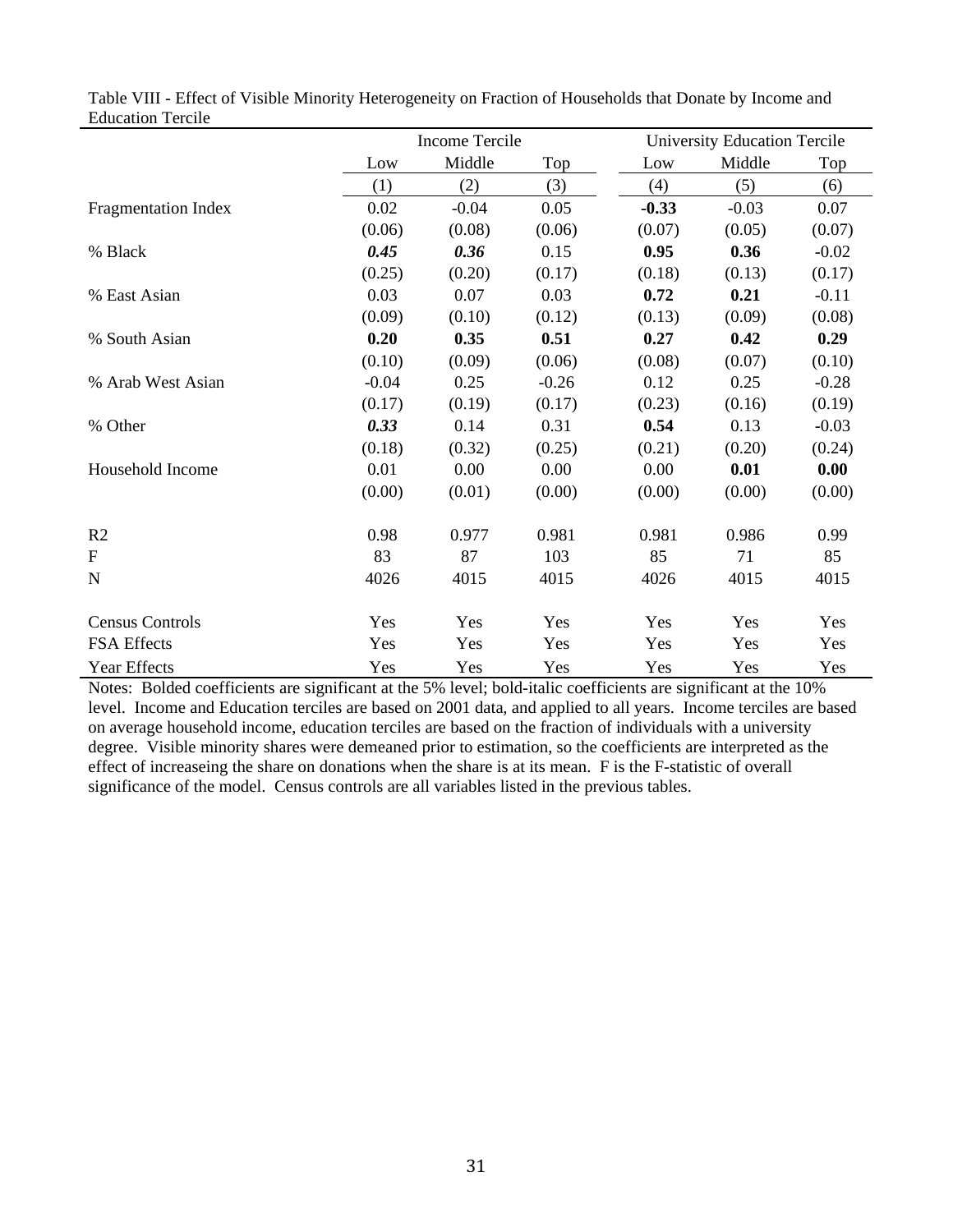|                            |         | Income Tercile |         |         | <b>University Education Tercile</b> |         |
|----------------------------|---------|----------------|---------|---------|-------------------------------------|---------|
|                            | Low     | Middle         | Top     | Low     | Middle                              | Top     |
|                            | (1)     | (2)            | (3)     | (4)     | (5)                                 | (6)     |
| <b>Fragmentation Index</b> | 0.02    | $-0.04$        | 0.05    | $-0.33$ | $-0.03$                             | 0.07    |
|                            | (0.06)  | (0.08)         | (0.06)  | (0.07)  | (0.05)                              | (0.07)  |
| % Black                    | 0.45    | 0.36           | 0.15    | 0.95    | 0.36                                | $-0.02$ |
|                            | (0.25)  | (0.20)         | (0.17)  | (0.18)  | (0.13)                              | (0.17)  |
| % East Asian               | 0.03    | 0.07           | 0.03    | 0.72    | 0.21                                | $-0.11$ |
|                            | (0.09)  | (0.10)         | (0.12)  | (0.13)  | (0.09)                              | (0.08)  |
| % South Asian              | 0.20    | 0.35           | 0.51    | 0.27    | 0.42                                | 0.29    |
|                            | (0.10)  | (0.09)         | (0.06)  | (0.08)  | (0.07)                              | (0.10)  |
| % Arab West Asian          | $-0.04$ | 0.25           | $-0.26$ | 0.12    | 0.25                                | $-0.28$ |
|                            | (0.17)  | (0.19)         | (0.17)  | (0.23)  | (0.16)                              | (0.19)  |
| % Other                    | 0.33    | 0.14           | 0.31    | 0.54    | 0.13                                | $-0.03$ |
|                            | (0.18)  | (0.32)         | (0.25)  | (0.21)  | (0.20)                              | (0.24)  |
| Household Income           | 0.01    | 0.00           | 0.00    | 0.00    | 0.01                                | 0.00    |
|                            | (0.00)  | (0.01)         | (0.00)  | (0.00)  | (0.00)                              | (0.00)  |
| R <sub>2</sub>             | 0.98    | 0.977          | 0.981   | 0.981   | 0.986                               | 0.99    |
| $\mathbf{F}$               | 83      | 87             | 103     | 85      | 71                                  | 85      |
| $\mathbf N$                | 4026    | 4015           | 4015    | 4026    | 4015                                | 4015    |
| <b>Census Controls</b>     | Yes     | Yes            | Yes     | Yes     | Yes                                 | Yes     |
| <b>FSA Effects</b>         | Yes     | Yes            | Yes     | Yes     | Yes                                 | Yes     |
| <b>Year Effects</b>        | Yes     | Yes            | Yes     | Yes     | Yes                                 | Yes     |

|                          | Table VIII - Effect of Visible Minority Heterogeneity on Fraction of Households that Donate by Income and |
|--------------------------|-----------------------------------------------------------------------------------------------------------|
| <b>Education Tercile</b> |                                                                                                           |

Notes: Bolded coefficients are significant at the 5% level; bold-italic coefficients are significant at the 10% level. Income and Education terciles are based on 2001 data, and applied to all years. Income terciles are based on average household income, education terciles are based on the fraction of individuals with a university degree. Visible minority shares were demeaned prior to estimation, so the coefficients are interpreted as the effect of increaseing the share on donations when the share is at its mean. F is the F-statistic of overall significance of the model. Census controls are all variables listed in the previous tables.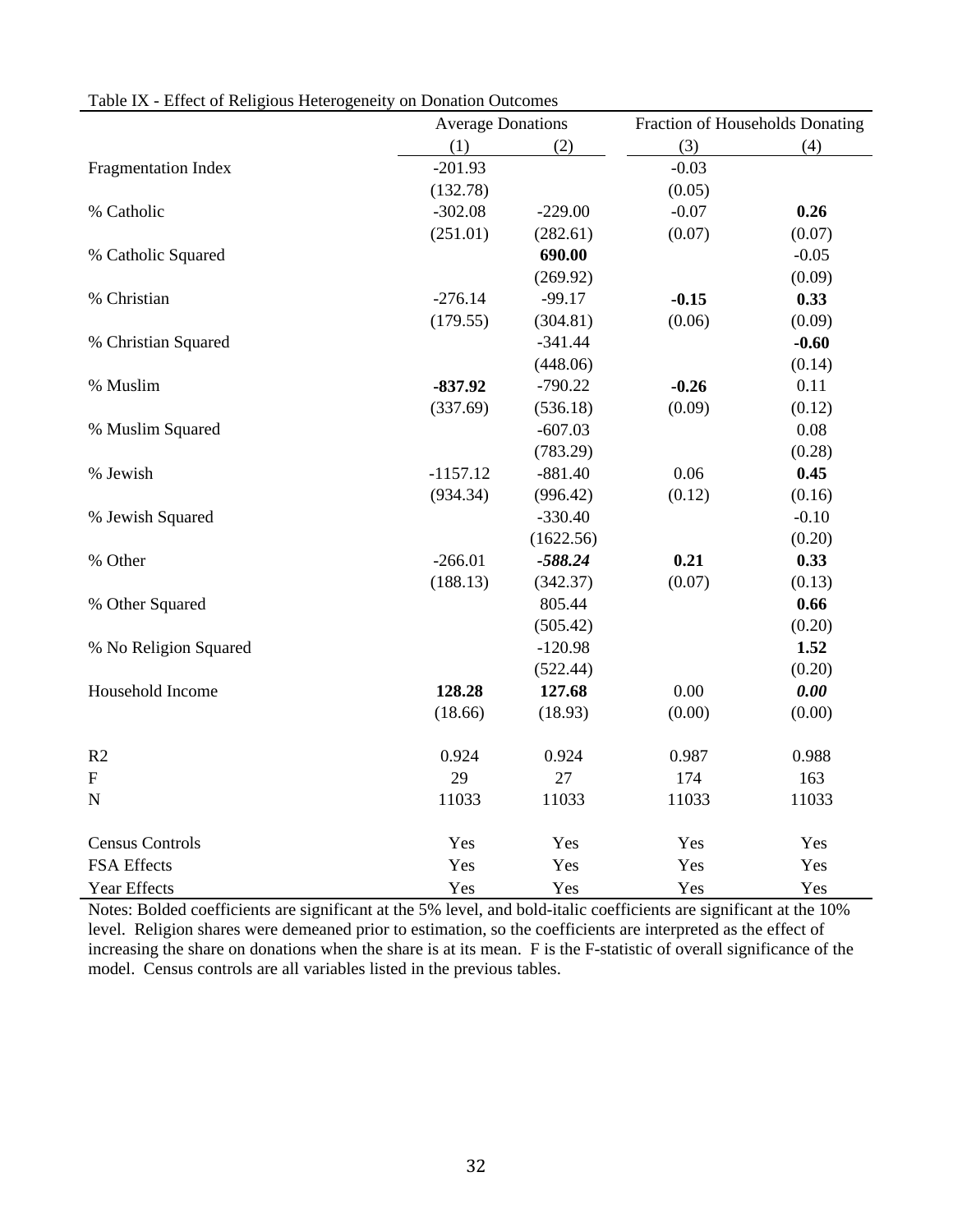|                           | <b>Average Donations</b> |           |         | Fraction of Households Donating |
|---------------------------|--------------------------|-----------|---------|---------------------------------|
|                           | (1)                      | (2)       | (3)     | (4)                             |
| Fragmentation Index       | $-201.93$                |           | $-0.03$ |                                 |
|                           | (132.78)                 |           | (0.05)  |                                 |
| % Catholic                | $-302.08$                | $-229.00$ | $-0.07$ | 0.26                            |
|                           | (251.01)                 | (282.61)  | (0.07)  | (0.07)                          |
| % Catholic Squared        |                          | 690.00    |         | $-0.05$                         |
|                           |                          | (269.92)  |         | (0.09)                          |
| % Christian               | $-276.14$                | $-99.17$  | $-0.15$ | 0.33                            |
|                           | (179.55)                 | (304.81)  | (0.06)  | (0.09)                          |
| % Christian Squared       |                          | $-341.44$ |         | $-0.60$                         |
|                           |                          | (448.06)  |         | (0.14)                          |
| % Muslim                  | $-837.92$                | $-790.22$ | $-0.26$ | 0.11                            |
|                           | (337.69)                 | (536.18)  | (0.09)  | (0.12)                          |
| % Muslim Squared          |                          | $-607.03$ |         | 0.08                            |
|                           |                          | (783.29)  |         | (0.28)                          |
| % Jewish                  | $-1157.12$               | $-881.40$ | 0.06    | 0.45                            |
|                           | (934.34)                 | (996.42)  | (0.12)  | (0.16)                          |
| % Jewish Squared          |                          | $-330.40$ |         | $-0.10$                         |
|                           |                          | (1622.56) |         | (0.20)                          |
| % Other                   | $-266.01$                | $-588.24$ | 0.21    | 0.33                            |
|                           | (188.13)                 | (342.37)  | (0.07)  | (0.13)                          |
| % Other Squared           |                          | 805.44    |         | 0.66                            |
|                           |                          | (505.42)  |         | (0.20)                          |
| % No Religion Squared     |                          | $-120.98$ |         | 1.52                            |
|                           |                          | (522.44)  |         | (0.20)                          |
| Household Income          | 128.28                   | 127.68    | 0.00    | 0.00                            |
|                           | (18.66)                  | (18.93)   | (0.00)  | (0.00)                          |
| R2                        | 0.924                    | 0.924     | 0.987   | 0.988                           |
| $\boldsymbol{\mathrm{F}}$ | 29                       | 27        | 174     | 163                             |
| $\mathbf N$               | 11033                    | 11033     | 11033   | 11033                           |
|                           |                          |           |         |                                 |
| <b>Census Controls</b>    | Yes                      | Yes       | Yes     | Yes                             |
| FSA Effects               | Yes                      | Yes       | Yes     | Yes                             |
| Year Effects              | Yes                      | Yes       | Yes     | Yes                             |

Table IX - Effect of Religious Heterogeneity on Donation Outcomes

Notes: Bolded coefficients are significant at the 5% level, and bold-italic coefficients are significant at the 10% level. Religion shares were demeaned prior to estimation, so the coefficients are interpreted as the effect of increasing the share on donations when the share is at its mean. F is the F-statistic of overall significance of the model. Census controls are all variables listed in the previous tables.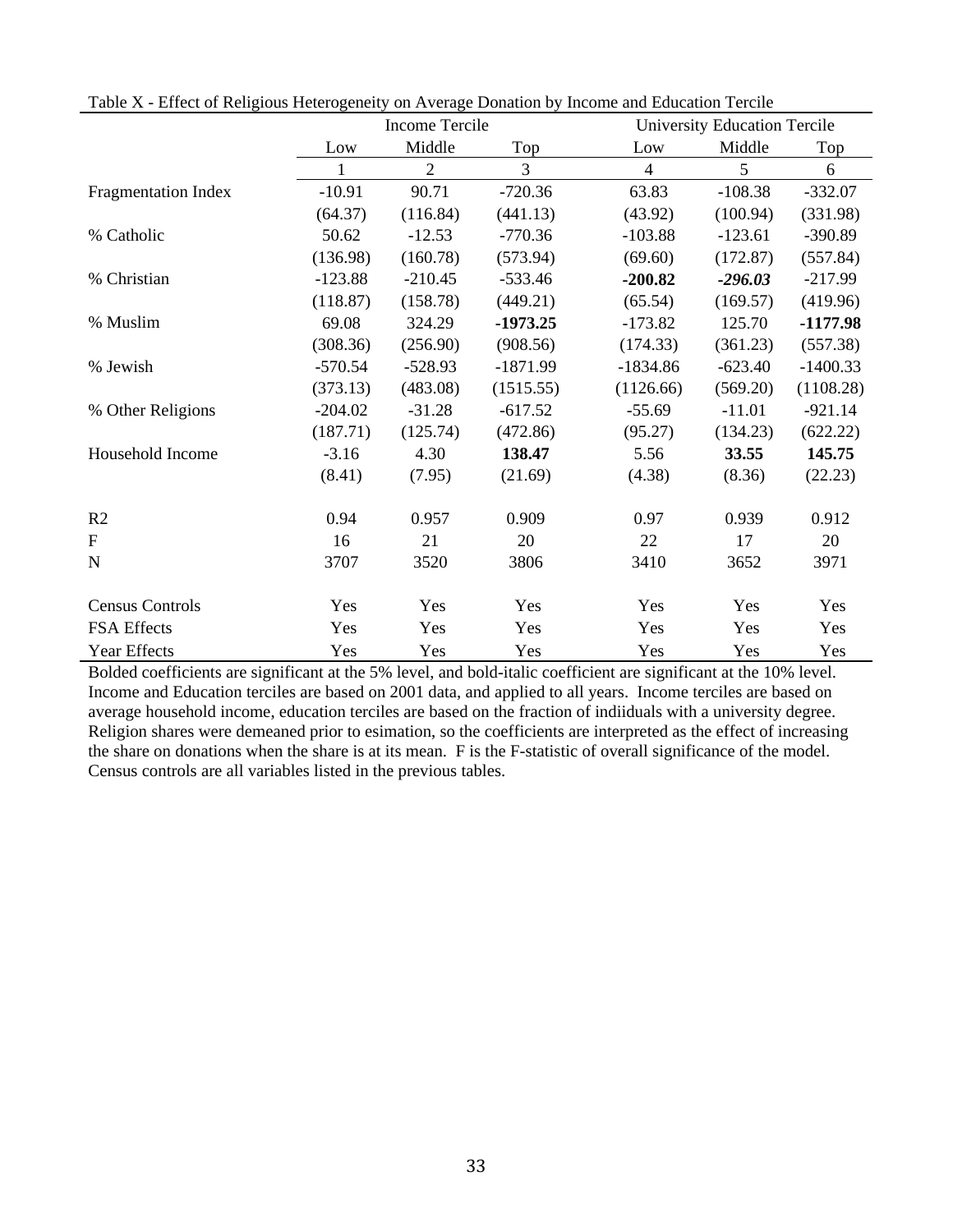|                            |           | <b>Income Tercile</b> |            | <b>University Education Tercile</b> |           |            |
|----------------------------|-----------|-----------------------|------------|-------------------------------------|-----------|------------|
|                            | Low       | Middle                | Top        | Low                                 | Middle    | Top        |
|                            | 1         | $\overline{2}$        | 3          | $\overline{4}$                      | 5         | 6          |
| <b>Fragmentation Index</b> | $-10.91$  | 90.71                 | $-720.36$  | 63.83                               | $-108.38$ | $-332.07$  |
|                            | (64.37)   | (116.84)              | (441.13)   | (43.92)                             | (100.94)  | (331.98)   |
| % Catholic                 | 50.62     | $-12.53$              | $-770.36$  | $-103.88$                           | $-123.61$ | $-390.89$  |
|                            | (136.98)  | (160.78)              | (573.94)   | (69.60)                             | (172.87)  | (557.84)   |
| % Christian                | $-123.88$ | $-210.45$             | $-533.46$  | $-200.82$                           | $-296.03$ | $-217.99$  |
|                            | (118.87)  | (158.78)              | (449.21)   | (65.54)                             | (169.57)  | (419.96)   |
| % Muslim                   | 69.08     | 324.29                | $-1973.25$ | $-173.82$                           | 125.70    | $-1177.98$ |
|                            | (308.36)  | (256.90)              | (908.56)   | (174.33)                            | (361.23)  | (557.38)   |
| % Jewish                   | $-570.54$ | $-528.93$             | $-1871.99$ | $-1834.86$                          | $-623.40$ | $-1400.33$ |
|                            | (373.13)  | (483.08)              | (1515.55)  | (1126.66)                           | (569.20)  | (1108.28)  |
| % Other Religions          | $-204.02$ | $-31.28$              | $-617.52$  | $-55.69$                            | $-11.01$  | $-921.14$  |
|                            | (187.71)  | (125.74)              | (472.86)   | (95.27)                             | (134.23)  | (622.22)   |
| Household Income           | $-3.16$   | 4.30                  | 138.47     | 5.56                                | 33.55     | 145.75     |
|                            | (8.41)    | (7.95)                | (21.69)    | (4.38)                              | (8.36)    | (22.23)    |
| R <sub>2</sub>             | 0.94      | 0.957                 | 0.909      | 0.97                                | 0.939     | 0.912      |
| $\mathbf{F}$               | 16        | 21                    | 20         | 22                                  | 17        | 20         |
| $\mathbf N$                | 3707      | 3520                  | 3806       | 3410                                | 3652      | 3971       |
| <b>Census Controls</b>     | Yes       | Yes                   | Yes        | Yes                                 | Yes       | Yes        |
| FSA Effects                | Yes       | Yes                   | Yes        | Yes                                 | Yes       | Yes        |
| <b>Year Effects</b>        | Yes       | Yes                   | Yes        | Yes                                 | Yes       | Yes        |

Table X - Effect of Religious Heterogeneity on Average Donation by Income and Education Tercile

Bolded coefficients are significant at the 5% level, and bold-italic coefficient are significant at the 10% level. Income and Education terciles are based on 2001 data, and applied to all years. Income terciles are based on average household income, education terciles are based on the fraction of indiiduals with a university degree. Religion shares were demeaned prior to esimation, so the coefficients are interpreted as the effect of increasing the share on donations when the share is at its mean. F is the F-statistic of overall significance of the model. Census controls are all variables listed in the previous tables.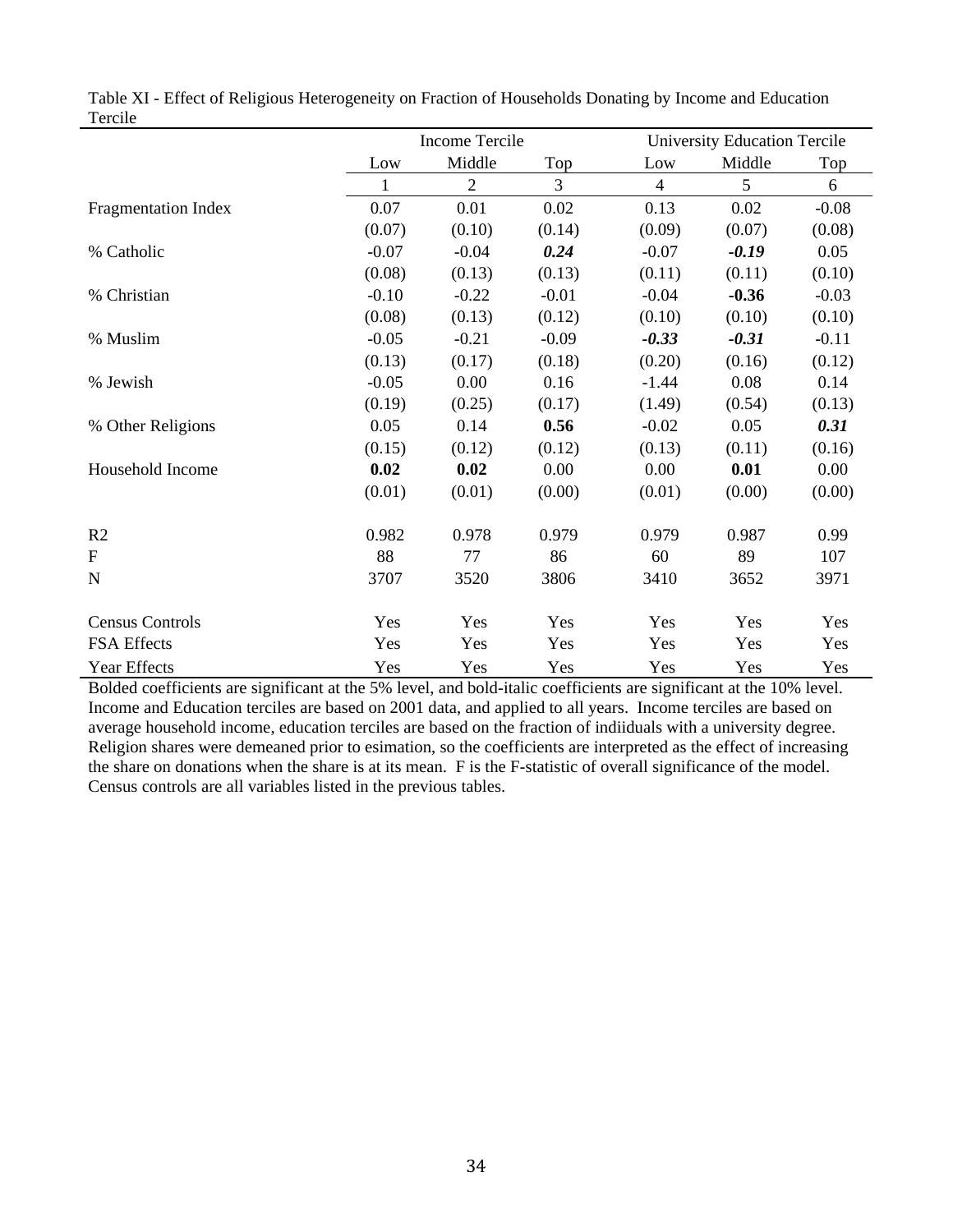|                        | Income Tercile |            |         |                | <b>University Education Tercile</b> |         |  |  |
|------------------------|----------------|------------|---------|----------------|-------------------------------------|---------|--|--|
|                        | Low            | Middle     | Top     | Low            | Middle                              | Top     |  |  |
|                        | 1              | $\sqrt{2}$ | 3       | $\overline{4}$ | 5                                   | 6       |  |  |
| Fragmentation Index    | 0.07           | 0.01       | 0.02    | 0.13           | 0.02                                | $-0.08$ |  |  |
|                        | (0.07)         | (0.10)     | (0.14)  | (0.09)         | (0.07)                              | (0.08)  |  |  |
| % Catholic             | $-0.07$        | $-0.04$    | 0.24    | $-0.07$        | $-0.19$                             | 0.05    |  |  |
|                        | (0.08)         | (0.13)     | (0.13)  | (0.11)         | (0.11)                              | (0.10)  |  |  |
| % Christian            | $-0.10$        | $-0.22$    | $-0.01$ | $-0.04$        | $-0.36$                             | $-0.03$ |  |  |
|                        | (0.08)         | (0.13)     | (0.12)  | (0.10)         | (0.10)                              | (0.10)  |  |  |
| % Muslim               | $-0.05$        | $-0.21$    | $-0.09$ | $-0.33$        | $-0.31$                             | $-0.11$ |  |  |
|                        | (0.13)         | (0.17)     | (0.18)  | (0.20)         | (0.16)                              | (0.12)  |  |  |
| % Jewish               | $-0.05$        | 0.00       | 0.16    | $-1.44$        | 0.08                                | 0.14    |  |  |
|                        | (0.19)         | (0.25)     | (0.17)  | (1.49)         | (0.54)                              | (0.13)  |  |  |
| % Other Religions      | 0.05           | 0.14       | 0.56    | $-0.02$        | 0.05                                | 0.31    |  |  |
|                        | (0.15)         | (0.12)     | (0.12)  | (0.13)         | (0.11)                              | (0.16)  |  |  |
| Household Income       | 0.02           | 0.02       | 0.00    | 0.00           | 0.01                                | 0.00    |  |  |
|                        | (0.01)         | (0.01)     | (0.00)  | (0.01)         | (0.00)                              | (0.00)  |  |  |
| R <sub>2</sub>         | 0.982          | 0.978      | 0.979   | 0.979          | 0.987                               | 0.99    |  |  |
| ${\bf F}$              | 88             | 77         | 86      | 60             | 89                                  | 107     |  |  |
| $\mathbf N$            | 3707           | 3520       | 3806    | 3410           | 3652                                | 3971    |  |  |
| <b>Census Controls</b> | Yes            | Yes        | Yes     | Yes            | Yes                                 | Yes     |  |  |
| FSA Effects            | Yes            | Yes        | Yes     | Yes            | Yes                                 | Yes     |  |  |
| Year Effects           | Yes            | Yes        | Yes     | Yes            | Yes                                 | Yes     |  |  |

|         | Table XI - Effect of Religious Heterogeneity on Fraction of Households Donating by Income and Education |  |  |  |  |
|---------|---------------------------------------------------------------------------------------------------------|--|--|--|--|
| Tercile |                                                                                                         |  |  |  |  |

Bolded coefficients are significant at the 5% level, and bold-italic coefficients are significant at the 10% level. Income and Education terciles are based on 2001 data, and applied to all years. Income terciles are based on average household income, education terciles are based on the fraction of indiiduals with a university degree. Religion shares were demeaned prior to esimation, so the coefficients are interpreted as the effect of increasing the share on donations when the share is at its mean. F is the F-statistic of overall significance of the model. Census controls are all variables listed in the previous tables.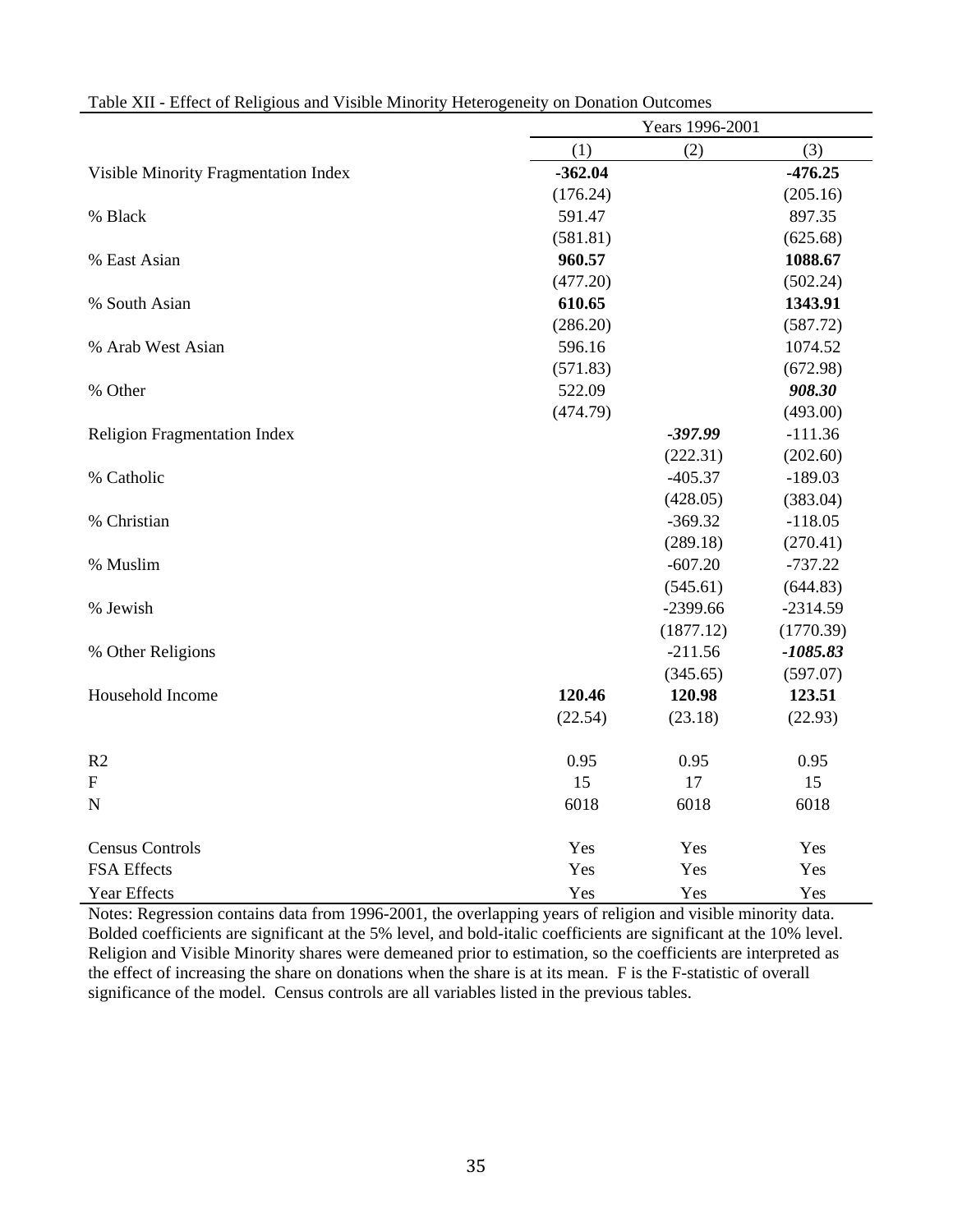|                                      |           | Years 1996-2001 |            |
|--------------------------------------|-----------|-----------------|------------|
|                                      | (1)       | (2)             | (3)        |
| Visible Minority Fragmentation Index | $-362.04$ |                 | $-476.25$  |
|                                      | (176.24)  |                 | (205.16)   |
| % Black                              | 591.47    |                 | 897.35     |
|                                      | (581.81)  |                 | (625.68)   |
| % East Asian                         | 960.57    |                 | 1088.67    |
|                                      | (477.20)  |                 | (502.24)   |
| % South Asian                        | 610.65    |                 | 1343.91    |
|                                      | (286.20)  |                 | (587.72)   |
| % Arab West Asian                    | 596.16    |                 | 1074.52    |
|                                      | (571.83)  |                 | (672.98)   |
| % Other                              | 522.09    |                 | 908.30     |
|                                      | (474.79)  |                 | (493.00)   |
| <b>Religion Fragmentation Index</b>  |           | $-397.99$       | $-111.36$  |
|                                      |           | (222.31)        | (202.60)   |
| % Catholic                           |           | $-405.37$       | $-189.03$  |
|                                      |           | (428.05)        | (383.04)   |
| % Christian                          |           | $-369.32$       | $-118.05$  |
|                                      |           | (289.18)        | (270.41)   |
| % Muslim                             |           | $-607.20$       | $-737.22$  |
|                                      |           | (545.61)        | (644.83)   |
| % Jewish                             |           | $-2399.66$      | $-2314.59$ |
|                                      |           | (1877.12)       | (1770.39)  |
| % Other Religions                    |           | $-211.56$       | $-1085.83$ |
|                                      |           | (345.65)        | (597.07)   |
| Household Income                     | 120.46    | 120.98          | 123.51     |
|                                      | (22.54)   | (23.18)         | (22.93)    |
| R <sub>2</sub>                       | 0.95      | 0.95            | 0.95       |
| $\mathbf{F}$                         | 15        | 17              | 15         |
| $\mathbf N$                          | 6018      | 6018            | 6018       |
| <b>Census Controls</b>               | Yes       | Yes             | Yes        |
| FSA Effects                          | Yes       | Yes             | Yes        |
| <b>Year Effects</b>                  | Yes       | Yes             | Yes        |

| Table XII - Effect of Religious and Visible Minority Heterogeneity on Donation Outcomes |  |  |
|-----------------------------------------------------------------------------------------|--|--|
|                                                                                         |  |  |

Notes: Regression contains data from 1996-2001, the overlapping years of religion and visible minority data. Bolded coefficients are significant at the 5% level, and bold-italic coefficients are significant at the 10% level. Religion and Visible Minority shares were demeaned prior to estimation, so the coefficients are interpreted as the effect of increasing the share on donations when the share is at its mean. F is the F-statistic of overall significance of the model. Census controls are all variables listed in the previous tables.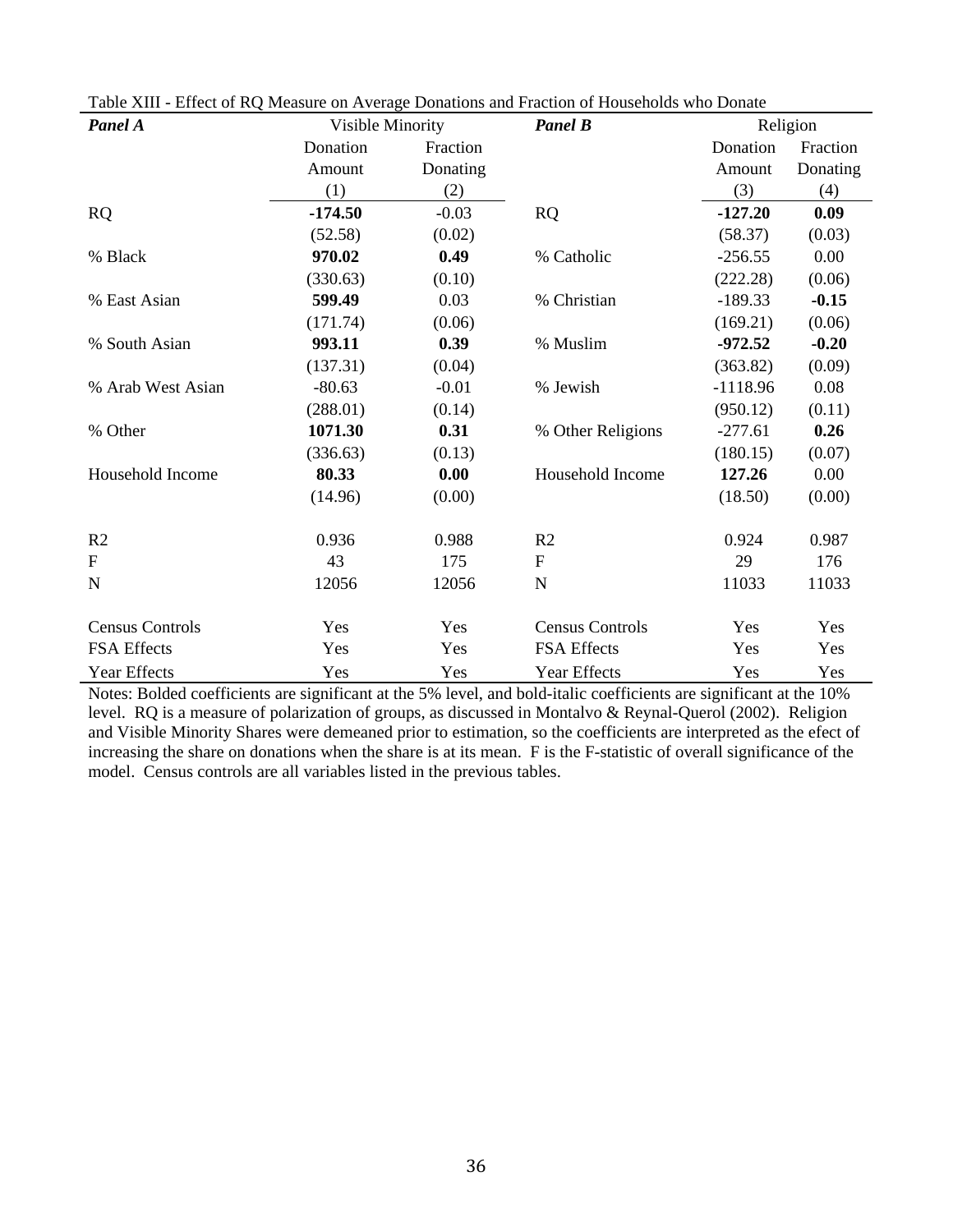| Panel A                | Visible Minority |          | <b>Panel B</b>         |            | Religion |  |
|------------------------|------------------|----------|------------------------|------------|----------|--|
|                        | Donation         | Fraction |                        | Donation   | Fraction |  |
|                        | Amount           | Donating |                        | Amount     | Donating |  |
|                        | (1)              | (2)      |                        | (3)        | (4)      |  |
| RQ                     | $-174.50$        | $-0.03$  | <b>RQ</b>              | $-127.20$  | 0.09     |  |
|                        | (52.58)          | (0.02)   |                        | (58.37)    | (0.03)   |  |
| % Black                | 970.02           | 0.49     | % Catholic             | $-256.55$  | 0.00     |  |
|                        | (330.63)         | (0.10)   |                        | (222.28)   | (0.06)   |  |
| % East Asian           | 599.49           | 0.03     | % Christian            | $-189.33$  | $-0.15$  |  |
|                        | (171.74)         | (0.06)   |                        | (169.21)   | (0.06)   |  |
| % South Asian          | 993.11           | 0.39     | % Muslim               | $-972.52$  | $-0.20$  |  |
|                        | (137.31)         | (0.04)   |                        | (363.82)   | (0.09)   |  |
| % Arab West Asian      | $-80.63$         | $-0.01$  | % Jewish               | $-1118.96$ | 0.08     |  |
|                        | (288.01)         | (0.14)   |                        | (950.12)   | (0.11)   |  |
| % Other                | 1071.30          | 0.31     | % Other Religions      | $-277.61$  | 0.26     |  |
|                        | (336.63)         | (0.13)   |                        | (180.15)   | (0.07)   |  |
| Household Income       | 80.33            | 0.00     | Household Income       | 127.26     | 0.00     |  |
|                        | (14.96)          | (0.00)   |                        | (18.50)    | (0.00)   |  |
| R <sub>2</sub>         | 0.936            | 0.988    | R <sub>2</sub>         | 0.924      | 0.987    |  |
| $\mathbf{F}$           | 43               | 175      | $\mathbf{F}$           | 29         | 176      |  |
| $\mathbf N$            | 12056            | 12056    | N                      | 11033      | 11033    |  |
| <b>Census Controls</b> | Yes              | Yes      | <b>Census Controls</b> | Yes        | Yes      |  |
| <b>FSA Effects</b>     | Yes              | Yes      | FSA Effects            | Yes        | Yes      |  |
| <b>Year Effects</b>    | Yes              | Yes      | <b>Year Effects</b>    | Yes        | Yes      |  |

Table XIII - Effect of RQ Measure on Average Donations and Fraction of Households who Donate

Notes: Bolded coefficients are significant at the 5% level, and bold-italic coefficients are significant at the 10% level. RQ is a measure of polarization of groups, as discussed in Montalvo & Reynal-Querol (2002). Religion and Visible Minority Shares were demeaned prior to estimation, so the coefficients are interpreted as the efect of increasing the share on donations when the share is at its mean. F is the F-statistic of overall significance of the model. Census controls are all variables listed in the previous tables.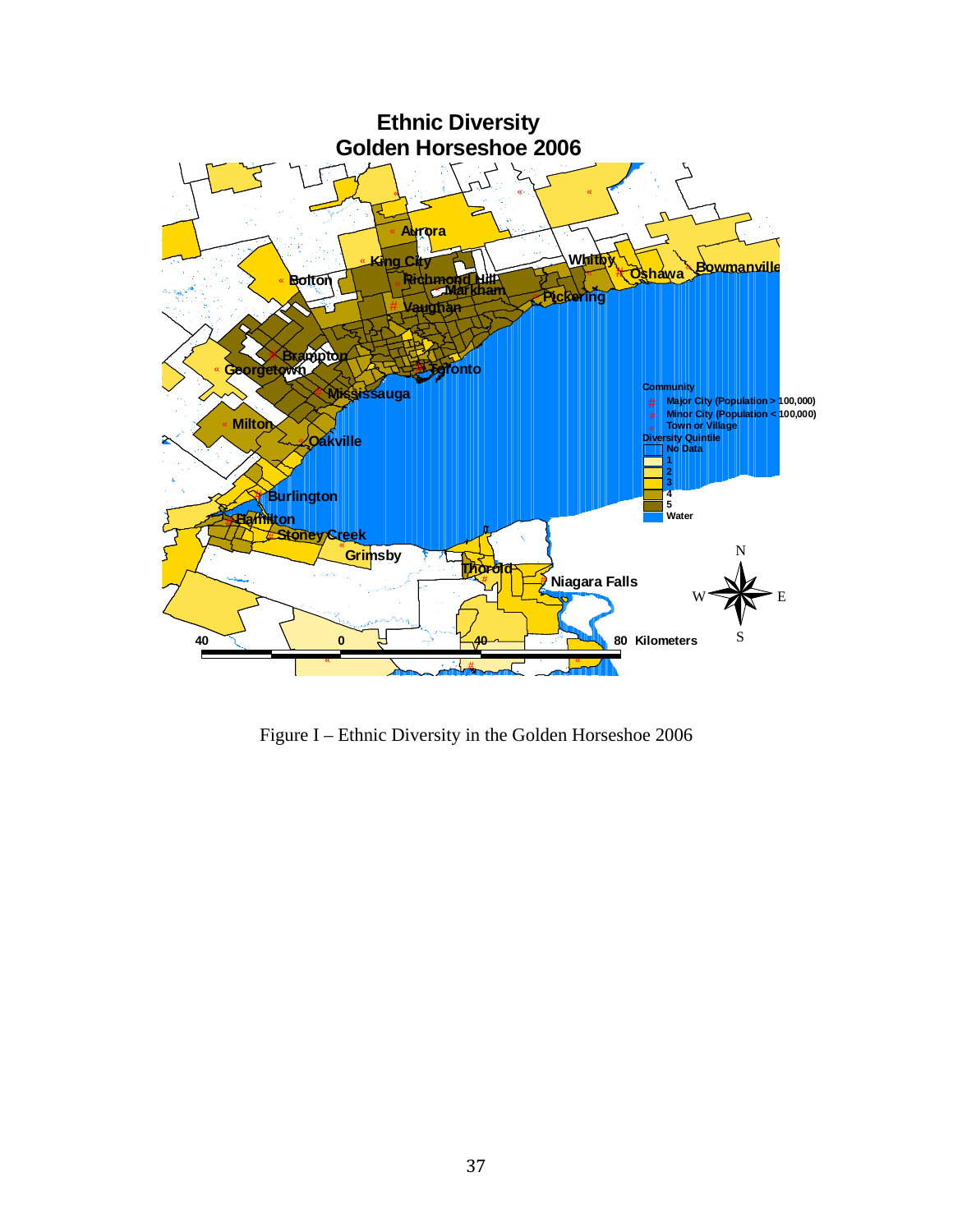

Figure I – Ethnic Diversity in the Golden Horseshoe 2006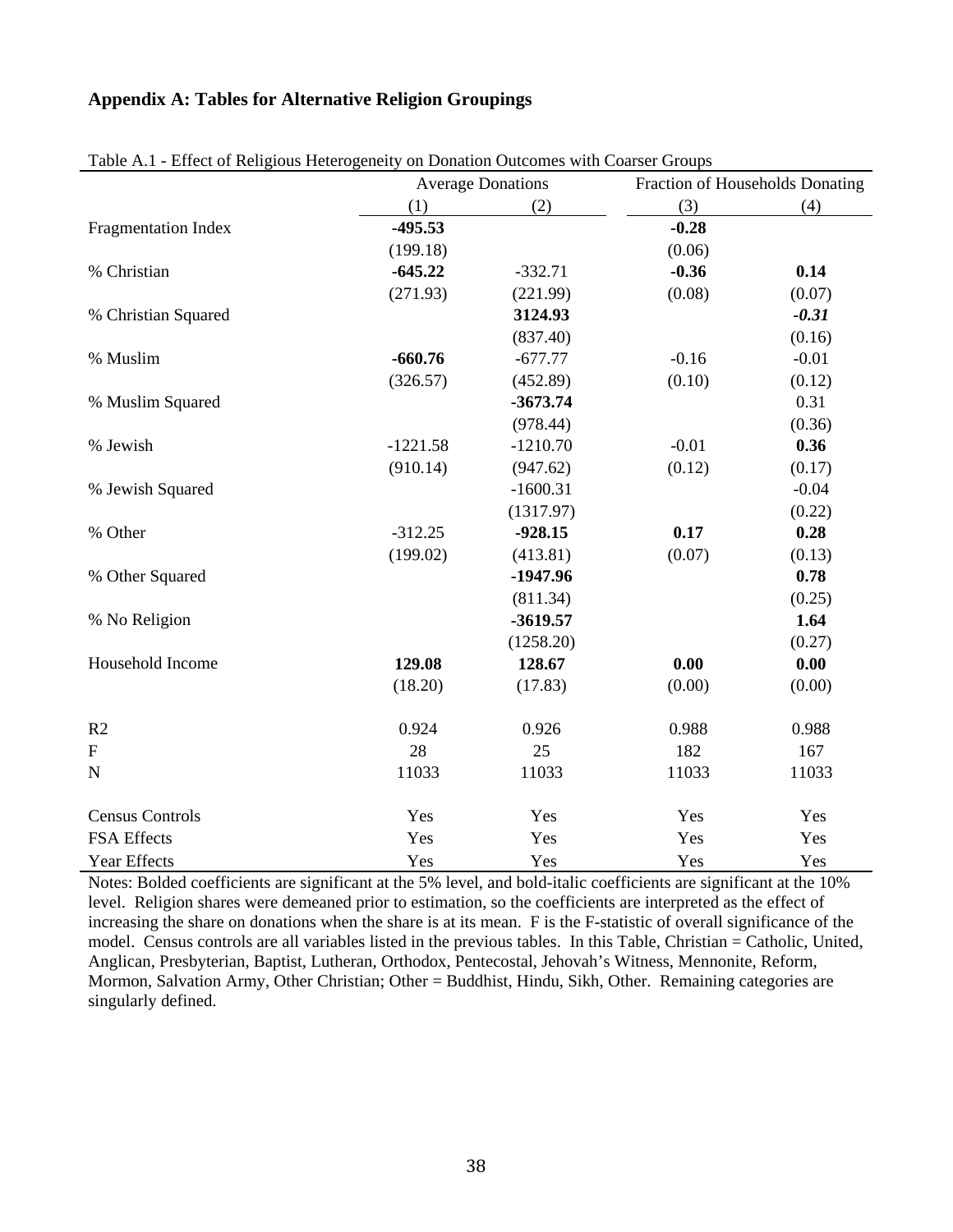# **Appendix A: Tables for Alternative Religion Groupings**

|                            | Effect of Kenglous Heterogenery on Donation Outcomes with Courser Groups<br><b>Average Donations</b> |            |         | Fraction of Households Donating |
|----------------------------|------------------------------------------------------------------------------------------------------|------------|---------|---------------------------------|
|                            | (1)                                                                                                  | (2)        | (3)     | (4)                             |
| <b>Fragmentation Index</b> | $-495.53$                                                                                            |            | $-0.28$ |                                 |
|                            | (199.18)                                                                                             |            | (0.06)  |                                 |
| % Christian                | $-645.22$                                                                                            | $-332.71$  | $-0.36$ | 0.14                            |
|                            | (271.93)                                                                                             | (221.99)   | (0.08)  | (0.07)                          |
| % Christian Squared        |                                                                                                      | 3124.93    |         | $-0.31$                         |
|                            |                                                                                                      | (837.40)   |         | (0.16)                          |
| % Muslim                   | $-660.76$                                                                                            | $-677.77$  | $-0.16$ | $-0.01$                         |
|                            | (326.57)                                                                                             | (452.89)   | (0.10)  | (0.12)                          |
| % Muslim Squared           |                                                                                                      | $-3673.74$ |         | 0.31                            |
|                            |                                                                                                      | (978.44)   |         | (0.36)                          |
| % Jewish                   | $-1221.58$                                                                                           | $-1210.70$ | $-0.01$ | 0.36                            |
|                            | (910.14)                                                                                             | (947.62)   | (0.12)  | (0.17)                          |
| % Jewish Squared           |                                                                                                      | $-1600.31$ |         | $-0.04$                         |
|                            |                                                                                                      | (1317.97)  |         | (0.22)                          |
| % Other                    | $-312.25$                                                                                            | $-928.15$  | 0.17    | 0.28                            |
|                            | (199.02)                                                                                             | (413.81)   | (0.07)  | (0.13)                          |
| % Other Squared            |                                                                                                      | $-1947.96$ |         | 0.78                            |
|                            |                                                                                                      | (811.34)   |         | (0.25)                          |
| % No Religion              |                                                                                                      | $-3619.57$ |         | 1.64                            |
|                            |                                                                                                      | (1258.20)  |         | (0.27)                          |
| Household Income           | 129.08                                                                                               | 128.67     | 0.00    | 0.00                            |
|                            | (18.20)                                                                                              | (17.83)    | (0.00)  | (0.00)                          |
| R2                         | 0.924                                                                                                | 0.926      | 0.988   | 0.988                           |
| ${\bf F}$                  | 28                                                                                                   | 25         | 182     | 167                             |
| $\mathbf N$                | 11033                                                                                                | 11033      | 11033   | 11033                           |
| <b>Census Controls</b>     | Yes                                                                                                  | Yes        | Yes     | Yes                             |
| <b>FSA Effects</b>         | Yes                                                                                                  | Yes        | Yes     | Yes                             |
| <b>Year Effects</b>        | Yes                                                                                                  | Yes        | Yes     | Yes                             |

Table A.1 - Effect of Religious Heterogeneity on Donation Outcomes with Coarser Groups

Notes: Bolded coefficients are significant at the 5% level, and bold-italic coefficients are significant at the 10% level. Religion shares were demeaned prior to estimation, so the coefficients are interpreted as the effect of increasing the share on donations when the share is at its mean. F is the F-statistic of overall significance of the model. Census controls are all variables listed in the previous tables. In this Table, Christian = Catholic, United, Anglican, Presbyterian, Baptist, Lutheran, Orthodox, Pentecostal, Jehovah's Witness, Mennonite, Reform, Mormon, Salvation Army, Other Christian; Other = Buddhist, Hindu, Sikh, Other. Remaining categories are singularly defined.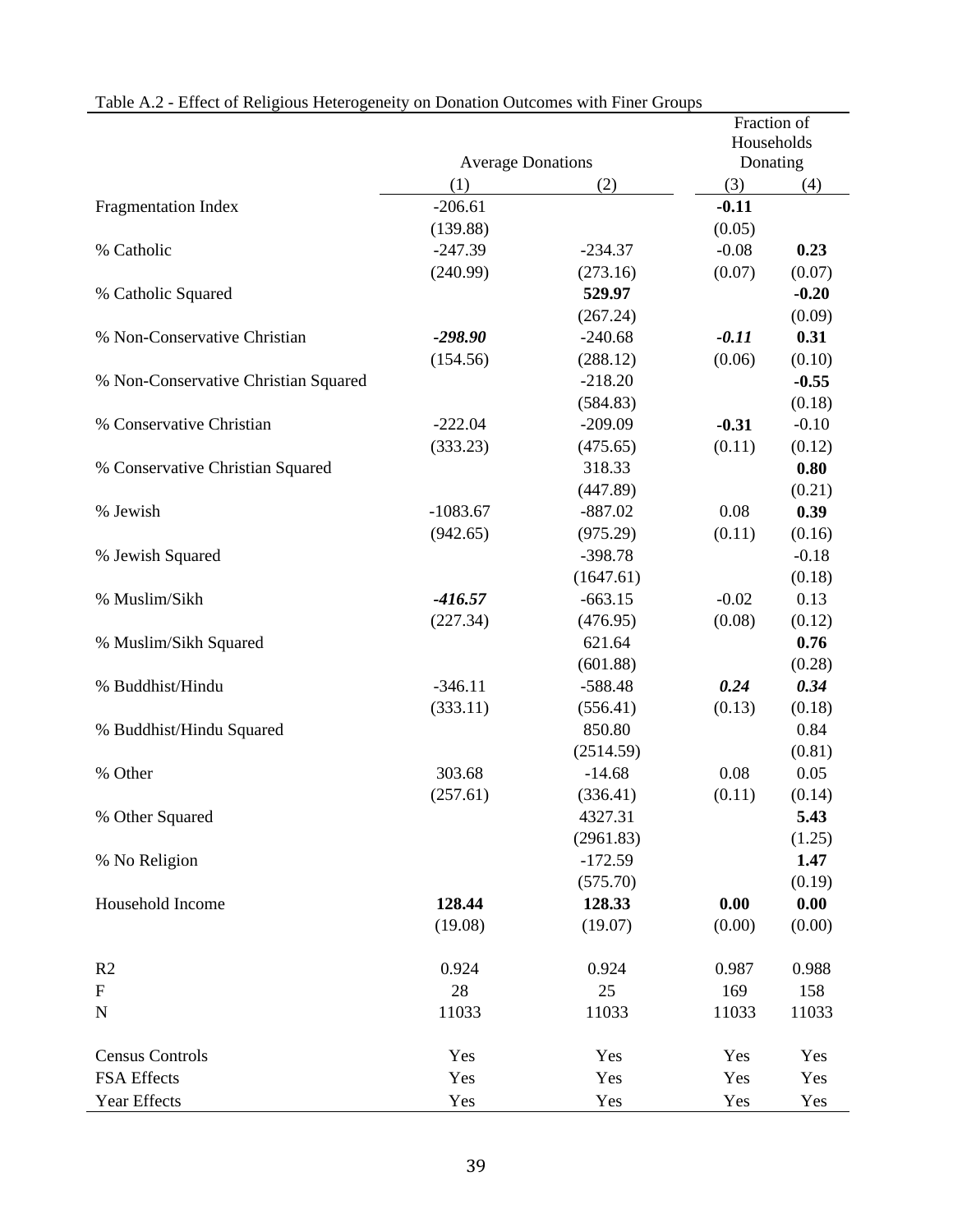| rational A.2 - Effect of Religious Heterogeneity on Donation Outcomes with Finer Groups | <b>Average Donations</b> |           | Fraction of<br>Households<br>Donating |         |
|-----------------------------------------------------------------------------------------|--------------------------|-----------|---------------------------------------|---------|
|                                                                                         | (1)                      | (2)       | (3)                                   | (4)     |
| <b>Fragmentation Index</b>                                                              | $-206.61$                |           | $-0.11$                               |         |
|                                                                                         | (139.88)                 |           | (0.05)                                |         |
| % Catholic                                                                              | $-247.39$                | $-234.37$ | $-0.08$                               | 0.23    |
|                                                                                         | (240.99)                 | (273.16)  | (0.07)                                | (0.07)  |
| % Catholic Squared                                                                      |                          | 529.97    |                                       | $-0.20$ |
|                                                                                         |                          | (267.24)  |                                       | (0.09)  |
| % Non-Conservative Christian                                                            | $-298.90$                | $-240.68$ | $-0.11$                               | 0.31    |
|                                                                                         | (154.56)                 | (288.12)  | (0.06)                                | (0.10)  |
| % Non-Conservative Christian Squared                                                    |                          | $-218.20$ |                                       | $-0.55$ |
|                                                                                         |                          | (584.83)  |                                       | (0.18)  |
| % Conservative Christian                                                                | $-222.04$                | $-209.09$ | $-0.31$                               | $-0.10$ |
|                                                                                         | (333.23)                 | (475.65)  | (0.11)                                | (0.12)  |
| % Conservative Christian Squared                                                        |                          | 318.33    |                                       | 0.80    |
|                                                                                         |                          | (447.89)  |                                       | (0.21)  |
| % Jewish                                                                                | $-1083.67$               | $-887.02$ | 0.08                                  | 0.39    |
|                                                                                         | (942.65)                 | (975.29)  | (0.11)                                | (0.16)  |
| % Jewish Squared                                                                        |                          | $-398.78$ |                                       | $-0.18$ |
|                                                                                         |                          | (1647.61) |                                       | (0.18)  |
| % Muslim/Sikh                                                                           | $-416.57$                | $-663.15$ | $-0.02$                               | 0.13    |
|                                                                                         | (227.34)                 | (476.95)  | (0.08)                                | (0.12)  |
| % Muslim/Sikh Squared                                                                   |                          | 621.64    |                                       | 0.76    |
|                                                                                         |                          | (601.88)  |                                       | (0.28)  |
| % Buddhist/Hindu                                                                        | $-346.11$                | $-588.48$ | 0.24                                  | 0.34    |
|                                                                                         | (333.11)                 | (556.41)  | (0.13)                                | (0.18)  |
| % Buddhist/Hindu Squared                                                                |                          | 850.80    |                                       | 0.84    |
|                                                                                         |                          | (2514.59) |                                       | (0.81)  |
| % Other                                                                                 | 303.68                   | $-14.68$  | 0.08                                  | 0.05    |
|                                                                                         | (257.61)                 | (336.41)  | (0.11)                                | (0.14)  |
| % Other Squared                                                                         |                          | 4327.31   |                                       | 5.43    |
|                                                                                         |                          | (2961.83) |                                       | (1.25)  |
| % No Religion                                                                           |                          | $-172.59$ |                                       | 1.47    |
|                                                                                         |                          | (575.70)  |                                       | (0.19)  |
| Household Income                                                                        | 128.44                   | 128.33    | 0.00                                  | 0.00    |
|                                                                                         | (19.08)                  | (19.07)   | (0.00)                                | (0.00)  |
| R2                                                                                      | 0.924                    | 0.924     | 0.987                                 | 0.988   |
| $\boldsymbol{\mathrm{F}}$                                                               | 28                       | 25        | 169                                   | 158     |
| ${\bf N}$                                                                               | 11033                    | 11033     | 11033                                 | 11033   |
| <b>Census Controls</b>                                                                  | Yes                      | Yes       | Yes                                   | Yes     |
| FSA Effects                                                                             | Yes                      | Yes       | Yes                                   | Yes     |
| Year Effects                                                                            | Yes                      | Yes       | Yes                                   | Yes     |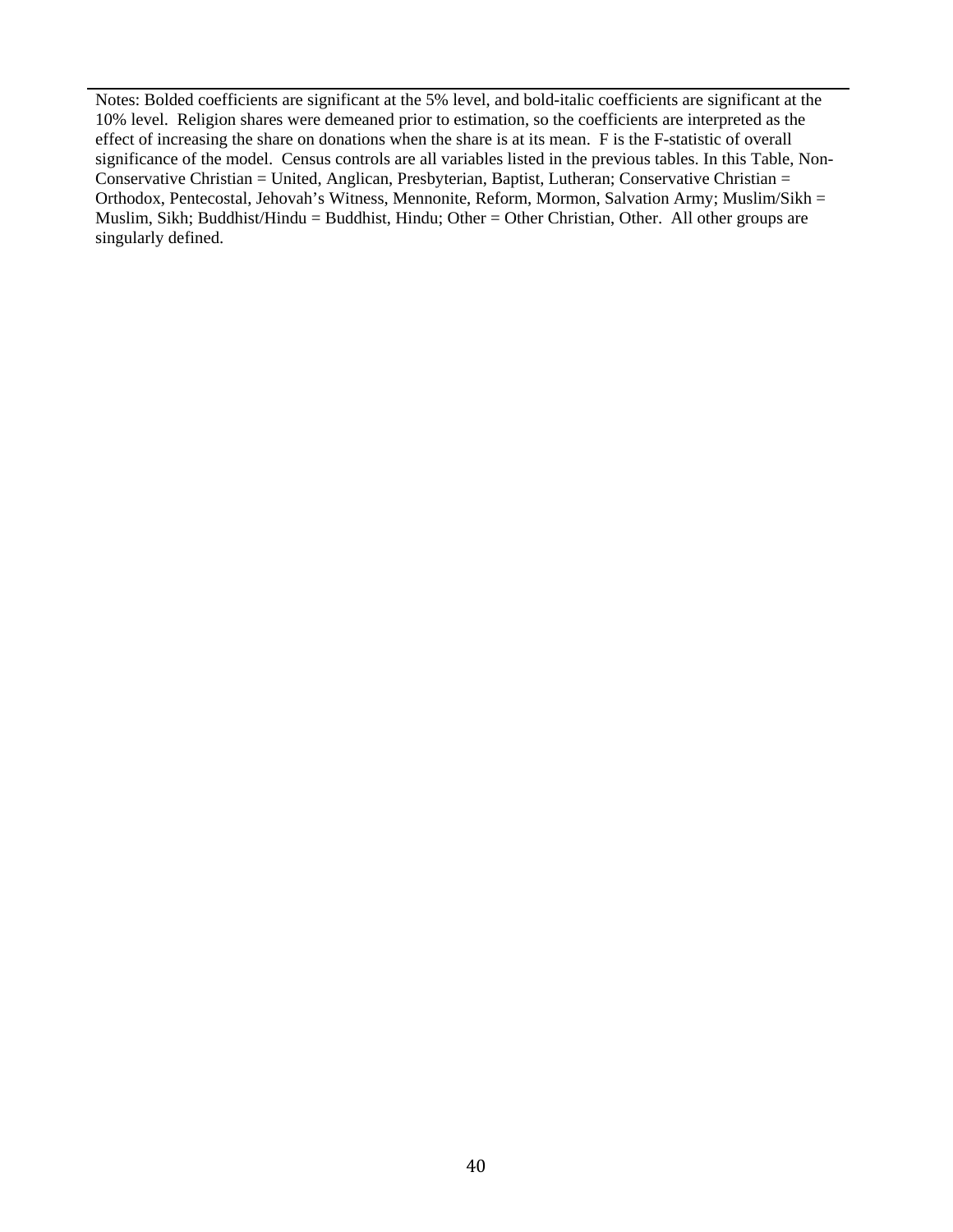Notes: Bolded coefficients are significant at the 5% level, and bold-italic coefficients are significant at the 10% level. Religion shares were demeaned prior to estimation, so the coefficients are interpreted as the effect of increasing the share on donations when the share is at its mean. F is the F-statistic of overall significance of the model. Census controls are all variables listed in the previous tables. In this Table, Non-Conservative Christian = United, Anglican, Presbyterian, Baptist, Lutheran; Conservative Christian = Orthodox, Pentecostal, Jehovah's Witness, Mennonite, Reform, Mormon, Salvation Army; Muslim/Sikh = Muslim, Sikh; Buddhist/Hindu = Buddhist, Hindu; Other = Other Christian, Other. All other groups are singularly defined.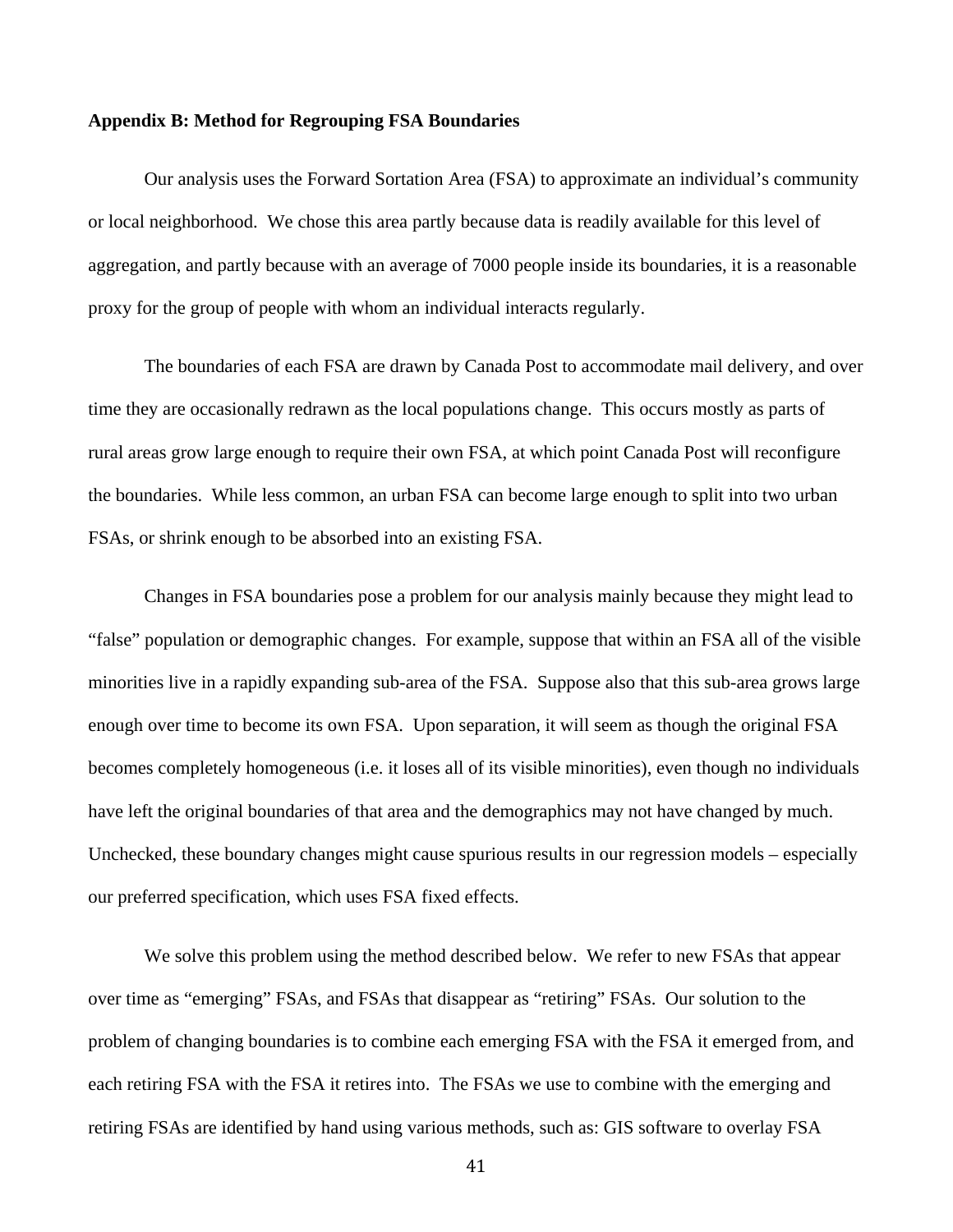#### **Appendix B: Method for Regrouping FSA Boundaries**

Our analysis uses the Forward Sortation Area (FSA) to approximate an individual's community or local neighborhood. We chose this area partly because data is readily available for this level of aggregation, and partly because with an average of 7000 people inside its boundaries, it is a reasonable proxy for the group of people with whom an individual interacts regularly.

The boundaries of each FSA are drawn by Canada Post to accommodate mail delivery, and over time they are occasionally redrawn as the local populations change. This occurs mostly as parts of rural areas grow large enough to require their own FSA, at which point Canada Post will reconfigure the boundaries. While less common, an urban FSA can become large enough to split into two urban FSAs, or shrink enough to be absorbed into an existing FSA.

Changes in FSA boundaries pose a problem for our analysis mainly because they might lead to "false" population or demographic changes. For example, suppose that within an FSA all of the visible minorities live in a rapidly expanding sub-area of the FSA. Suppose also that this sub-area grows large enough over time to become its own FSA. Upon separation, it will seem as though the original FSA becomes completely homogeneous (i.e. it loses all of its visible minorities), even though no individuals have left the original boundaries of that area and the demographics may not have changed by much. Unchecked, these boundary changes might cause spurious results in our regression models – especially our preferred specification, which uses FSA fixed effects.

We solve this problem using the method described below. We refer to new FSAs that appear over time as "emerging" FSAs, and FSAs that disappear as "retiring" FSAs. Our solution to the problem of changing boundaries is to combine each emerging FSA with the FSA it emerged from, and each retiring FSA with the FSA it retires into. The FSAs we use to combine with the emerging and retiring FSAs are identified by hand using various methods, such as: GIS software to overlay FSA